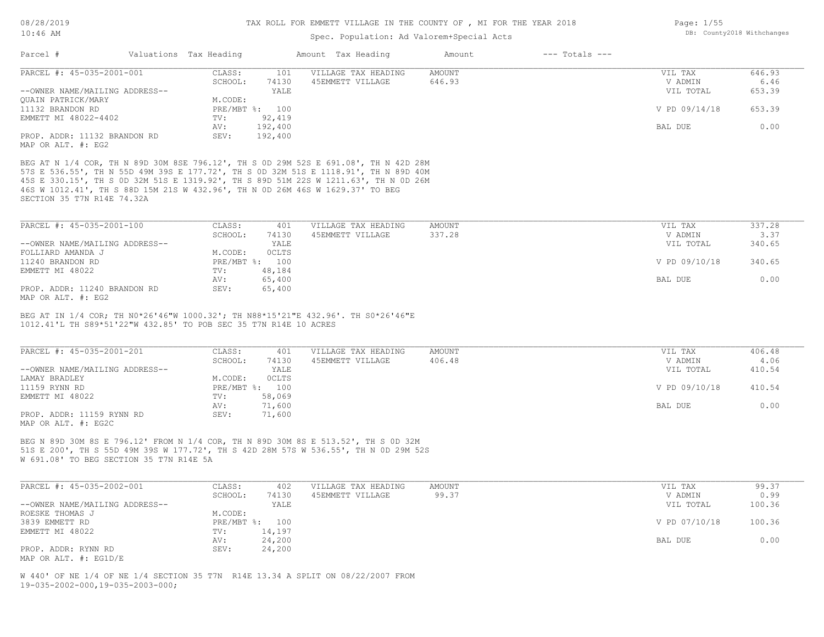### Spec. Population: Ad Valorem+Special Acts

| Parcel #                       | Valuations Tax Heading |                | Amount Tax Heading  | Amount | $---$ Totals $---$ |               |        |
|--------------------------------|------------------------|----------------|---------------------|--------|--------------------|---------------|--------|
| PARCEL #: 45-035-2001-001      | CLASS:                 | 101            | VILLAGE TAX HEADING | AMOUNT |                    | VIL TAX       | 646.93 |
|                                | SCHOOL:                | 74130          | 45EMMETT VILLAGE    | 646.93 |                    | V ADMIN       | 6.46   |
| --OWNER NAME/MAILING ADDRESS-- |                        | YALE           |                     |        |                    | VIL TOTAL     | 653.39 |
| QUAIN PATRICK/MARY             | M.CODE:                |                |                     |        |                    |               |        |
| 11132 BRANDON RD               |                        | PRE/MBT %: 100 |                     |        |                    | V PD 09/14/18 | 653.39 |
| EMMETT MI 48022-4402           | TV:                    | 92,419         |                     |        |                    |               |        |
|                                | AV:                    | 192,400        |                     |        |                    | BAL DUE       | 0.00   |
| PROP. ADDR: 11132 BRANDON RD   | SEV:                   | 192,400        |                     |        |                    |               |        |
| MAP OR ALT. #: EG2             |                        |                |                     |        |                    |               |        |

SECTION 35 T7N R14E 74.32A 46S W 1012.41', TH S 88D 15M 21S W 432.96', TH N 0D 26M 46S W 1629.37' TO BEG 45S E 330.15', TH S 0D 32M 51S E 1319.92', TH S 89D 51M 22S W 1211.63', TH N 0D 26M 57S E 536.55', TH N 55D 49M 39S E 177.72', TH S 0D 32M 51S E 1118.91', TH N 89D 40M BEG AT N 1/4 COR, TH N 89D 30M 8SE 796.12', TH S 0D 29M 52S E 691.08', TH N 42D 28M

| PARCEL #: 45-035-2001-100      | CLASS:  | 401            | VILLAGE TAX HEADING | AMOUNT | VIL TAX       | 337.28 |
|--------------------------------|---------|----------------|---------------------|--------|---------------|--------|
|                                | SCHOOL: | 74130          | 45EMMETT VILLAGE    | 337.28 | V ADMIN       | 3.37   |
| --OWNER NAME/MAILING ADDRESS-- |         | YALE           |                     |        | VIL TOTAL     | 340.65 |
| FOLLIARD AMANDA J              | M.CODE: | <b>OCLTS</b>   |                     |        |               |        |
| 11240 BRANDON RD               |         | PRE/MBT %: 100 |                     |        | V PD 09/10/18 | 340.65 |
| EMMETT MI 48022                | TV:     | 48,184         |                     |        |               |        |
|                                | AV:     | 65,400         |                     |        | BAL DUE       | 0.00   |
| PROP. ADDR: 11240 BRANDON RD   | SEV:    | 65,400         |                     |        |               |        |
|                                |         |                |                     |        |               |        |

MAP OR ALT. #: EG2

1012.41'L TH S89\*51'22"W 432.85' TO POB SEC 35 T7N R14E 10 ACRES BEG AT IN 1/4 COR; TH N0\*26'46"W 1000.32'; TH N88\*15'21"E 432.96'. TH S0\*26'46"E

| PARCEL #: 45-035-2001-201      | CLASS:  | 401            | VILLAGE TAX HEADING | AMOUNT | VIL TAX       | 406.48 |
|--------------------------------|---------|----------------|---------------------|--------|---------------|--------|
|                                | SCHOOL: | 74130          | 45EMMETT VILLAGE    | 406.48 | V ADMIN       | 4.06   |
| --OWNER NAME/MAILING ADDRESS-- |         | YALE           |                     |        | VIL TOTAL     | 410.54 |
| LAMAY BRADLEY                  | M.CODE: | <b>OCLTS</b>   |                     |        |               |        |
| 11159 RYNN RD                  |         | PRE/MBT %: 100 |                     |        | V PD 09/10/18 | 410.54 |
| EMMETT MI 48022                | TV:     | 58,069         |                     |        |               |        |
|                                | AV:     | 71,600         |                     |        | BAL DUE       | 0.00   |
| PROP. ADDR: 11159 RYNN RD      | SEV:    | 71,600         |                     |        |               |        |
| MAP OR ALT. #: EG2C            |         |                |                     |        |               |        |

W 691.08' TO BEG SECTION 35 T7N R14E 5A 51S E 200', TH S 55D 49M 39S W 177.72', TH S 42D 28M 57S W 536.55', TH N 0D 29M 52S BEG N 89D 30M 8S E 796.12' FROM N 1/4 COR, TH N 89D 30M 8S E 513.52', TH S 0D 32M

| PARCEL #: 45-035-2002-001      | CLASS:  | 402            | VILLAGE TAX HEADING | AMOUNT | VIL TAX       | 99.37  |
|--------------------------------|---------|----------------|---------------------|--------|---------------|--------|
|                                | SCHOOL: | 74130          | 45EMMETT VILLAGE    | 99.37  | V ADMIN       | 0.99   |
| --OWNER NAME/MAILING ADDRESS-- |         | YALE           |                     |        | VIL TOTAL     | 100.36 |
| ROESKE THOMAS J                | M.CODE: |                |                     |        |               |        |
| 3839 EMMETT RD                 |         | PRE/MBT %: 100 |                     |        | V PD 07/10/18 | 100.36 |
| EMMETT MI 48022                | TV:     | 14,197         |                     |        |               |        |
|                                | AV:     | 24,200         |                     |        | BAL DUE       | 0.00   |
| PROP. ADDR: RYNN RD            | SEV:    | 24,200         |                     |        |               |        |
| MAP OR ALT. #: EG1D/E          |         |                |                     |        |               |        |

19-035-2002-000,19-035-2003-000; W 440' OF NE 1/4 OF NE 1/4 SECTION 35 T7N R14E 13.34 A SPLIT ON 08/22/2007 FROM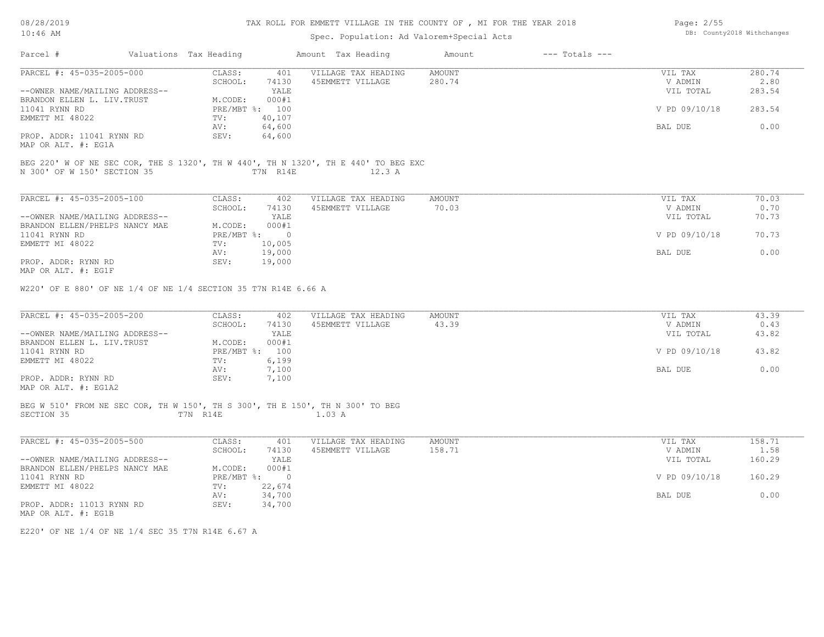08/28/2019 10:46 AM

## TAX ROLL FOR EMMETT VILLAGE IN THE COUNTY OF , MI FOR THE YEAR 2018

## Spec. Population: Ad Valorem+Special Acts

| Page: 2/55 |                            |
|------------|----------------------------|
|            | DB: County2018 Withchanges |

| Parcel #                                                                      | Valuations Tax Heading |                          | Amount Tax Heading                                                                 | Amount        | $---$ Totals $---$ |               |        |
|-------------------------------------------------------------------------------|------------------------|--------------------------|------------------------------------------------------------------------------------|---------------|--------------------|---------------|--------|
| PARCEL #: 45-035-2005-000                                                     | CLASS:                 | 401                      | VILLAGE TAX HEADING                                                                | <b>AMOUNT</b> |                    | VIL TAX       | 280.74 |
|                                                                               | SCHOOL:                | 74130                    | 45EMMETT VILLAGE                                                                   | 280.74        |                    | V ADMIN       | 2.80   |
| --OWNER NAME/MAILING ADDRESS--                                                |                        | YALE                     |                                                                                    |               |                    | VIL TOTAL     | 283.54 |
| BRANDON ELLEN L. LIV. TRUST                                                   | M.CODE:                | 000#1                    |                                                                                    |               |                    |               |        |
| 11041 RYNN RD<br>EMMETT MI 48022                                              | TV:                    | PRE/MBT %: 100<br>40,107 |                                                                                    |               |                    | V PD 09/10/18 | 283.54 |
|                                                                               | AV:                    | 64,600                   |                                                                                    |               |                    | BAL DUE       | 0.00   |
| PROP. ADDR: 11041 RYNN RD<br>MAP OR ALT. #: EG1A                              | SEV:                   | 64,600                   |                                                                                    |               |                    |               |        |
|                                                                               |                        |                          |                                                                                    |               |                    |               |        |
|                                                                               |                        |                          | BEG 220' W OF NE SEC COR, THE S 1320', TH W 440', TH N 1320', TH E 440' TO BEG EXC |               |                    |               |        |
| N 300' OF W 150' SECTION 35                                                   |                        | T7N R14E                 | 12.3 A                                                                             |               |                    |               |        |
|                                                                               |                        |                          |                                                                                    |               |                    |               |        |
| PARCEL #: 45-035-2005-100                                                     | CLASS:                 | 402                      | VILLAGE TAX HEADING                                                                | <b>AMOUNT</b> |                    | VIL TAX       | 70.03  |
|                                                                               | SCHOOL:                | 74130                    | 45EMMETT VILLAGE                                                                   | 70.03         |                    | V ADMIN       | 0.70   |
| --OWNER NAME/MAILING ADDRESS--                                                |                        | YALE                     |                                                                                    |               |                    | VIL TOTAL     | 70.73  |
| BRANDON ELLEN/PHELPS NANCY MAE                                                | M.CODE:                | 000#1                    |                                                                                    |               |                    |               |        |
| 11041 RYNN RD                                                                 |                        | $PRE/MBT$ $\div$ 0       |                                                                                    |               |                    | V PD 09/10/18 | 70.73  |
| EMMETT MI 48022                                                               | TV:                    | 10,005                   |                                                                                    |               |                    |               |        |
|                                                                               | AV:                    | 19,000                   |                                                                                    |               |                    | BAL DUE       | 0.00   |
| PROP. ADDR: RYNN RD<br>MAP OR ALT. #: EG1F                                    | SEV:                   | 19,000                   |                                                                                    |               |                    |               |        |
|                                                                               |                        |                          |                                                                                    |               |                    |               |        |
| W220' OF E 880' OF NE 1/4 OF NE 1/4 SECTION 35 T7N R14E 6.66 A                |                        |                          |                                                                                    |               |                    |               |        |
| PARCEL #: 45-035-2005-200                                                     | CLASS:                 | 402                      | VILLAGE TAX HEADING                                                                | <b>AMOUNT</b> |                    | VIL TAX       | 43.39  |
|                                                                               | SCHOOL:                | 74130                    | 45EMMETT VILLAGE                                                                   | 43.39         |                    | V ADMIN       | 0.43   |
| --OWNER NAME/MAILING ADDRESS--                                                |                        | YALE                     |                                                                                    |               |                    | VIL TOTAL     | 43.82  |
| BRANDON ELLEN L. LIV. TRUST                                                   | M.CODE:                | 000#1                    |                                                                                    |               |                    |               |        |
| 11041 RYNN RD                                                                 |                        | PRE/MBT %: 100           |                                                                                    |               |                    | V PD 09/10/18 | 43.82  |
| EMMETT MI 48022                                                               | TV:<br>AV:             | 6,199<br>7,100           |                                                                                    |               |                    | BAL DUE       | 0.00   |
| PROP. ADDR: RYNN RD                                                           | SEV:                   | 7,100                    |                                                                                    |               |                    |               |        |
| MAP OR ALT. #: EG1A2                                                          |                        |                          |                                                                                    |               |                    |               |        |
|                                                                               |                        |                          |                                                                                    |               |                    |               |        |
| BEG W 510' FROM NE SEC COR, TH W 150', TH S 300', TH E 150', TH N 300' TO BEG |                        |                          |                                                                                    |               |                    |               |        |
| SECTION 35                                                                    | T7N R14E               |                          | 1.03 A                                                                             |               |                    |               |        |
|                                                                               |                        |                          |                                                                                    |               |                    |               |        |
|                                                                               |                        |                          |                                                                                    |               |                    |               |        |
| PARCEL #: 45-035-2005-500                                                     | CLASS:                 | 401                      | VILLAGE TAX HEADING                                                                | <b>AMOUNT</b> |                    | VIL TAX       | 158.71 |
|                                                                               | SCHOOL:                | 74130                    | 45EMMETT VILLAGE                                                                   | 158.71        |                    | V ADMIN       | 1.58   |
| --OWNER NAME/MAILING ADDRESS--                                                |                        | YALE                     |                                                                                    |               |                    | VIL TOTAL     | 160.29 |
| BRANDON ELLEN/PHELPS NANCY MAE                                                | M.CODE:                | 000#1                    |                                                                                    |               |                    |               |        |
| 11041 RYNN RD                                                                 |                        | PRE/MBT %: 0             |                                                                                    |               |                    | V PD 09/10/18 | 160.29 |
| EMMETT MI 48022                                                               | TV:                    | 22,674                   |                                                                                    |               |                    |               |        |
|                                                                               | AV:                    | 34,700                   |                                                                                    |               |                    | BAL DUE       | 0.00   |
| PROP. ADDR: 11013 RYNN RD                                                     | SEV:                   | 34,700                   |                                                                                    |               |                    |               |        |
| MAP OR ALT. #: EG1B                                                           |                        |                          |                                                                                    |               |                    |               |        |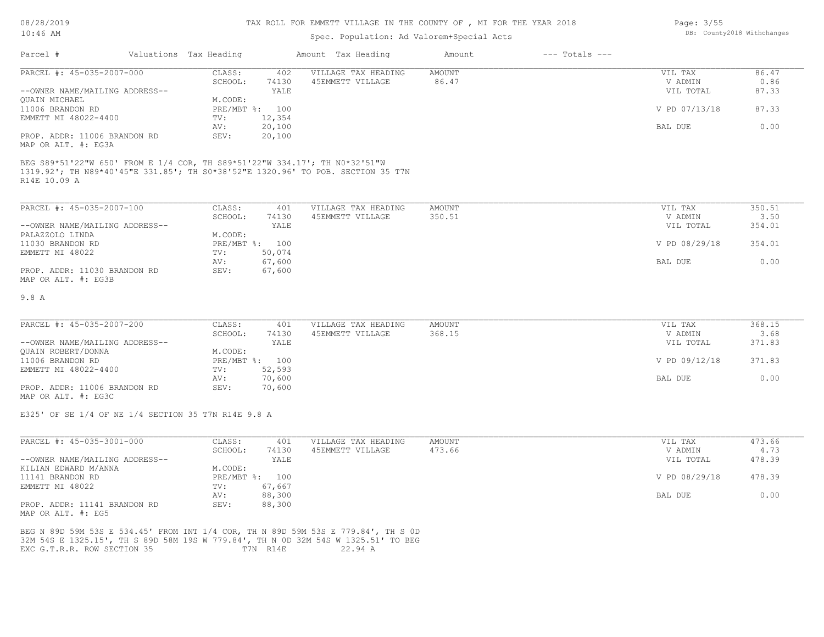## Spec. Population: Ad Valorem+Special Acts

| Parcel #                       | Valuations Tax Heading |        | Amount Tax Heading  | Amount | $---$ Totals $---$ |               |       |
|--------------------------------|------------------------|--------|---------------------|--------|--------------------|---------------|-------|
| PARCEL #: 45-035-2007-000      | CLASS:                 | 402    | VILLAGE TAX HEADING | AMOUNT |                    | VIL TAX       | 86.47 |
|                                | SCHOOL:                | 74130  | 45EMMETT VILLAGE    | 86.47  |                    | V ADMIN       | 0.86  |
| --OWNER NAME/MAILING ADDRESS-- |                        | YALE   |                     |        |                    | VIL TOTAL     | 87.33 |
| OUAIN MICHAEL                  | M.CODE:                |        |                     |        |                    |               |       |
| 11006 BRANDON RD               | PRE/MBT %: 100         |        |                     |        |                    | V PD 07/13/18 | 87.33 |
| EMMETT MI 48022-4400           | TV:                    | 12,354 |                     |        |                    |               |       |
|                                | AV:                    | 20,100 |                     |        |                    | BAL DUE       | 0.00  |
| PROP. ADDR: 11006 BRANDON RD   | SEV:                   | 20,100 |                     |        |                    |               |       |
|                                |                        |        |                     |        |                    |               |       |

MAP OR ALT. #: EG3A

R14E 10.09 A 1319.92'; TH N89\*40'45"E 331.85'; TH S0\*38'52"E 1320.96' TO POB. SECTION 35 T7N BEG S89\*51'22"W 650' FROM E 1/4 COR, TH S89\*51'22"W 334.17'; TH N0\*32'51"W

| PARCEL #: 45-035-2007-100      | CLASS:  | 401            | VILLAGE TAX HEADING | AMOUNT | VIL TAX       | 350.51 |
|--------------------------------|---------|----------------|---------------------|--------|---------------|--------|
|                                | SCHOOL: | 74130          | 45EMMETT VILLAGE    | 350.51 | V ADMIN       | 3.50   |
| --OWNER NAME/MAILING ADDRESS-- |         | YALE           |                     |        | VIL TOTAL     | 354.01 |
| PALAZZOLO LINDA                | M.CODE: |                |                     |        |               |        |
| 11030 BRANDON RD               |         | PRE/MBT %: 100 |                     |        | V PD 08/29/18 | 354.01 |
| EMMETT MI 48022                | TV:     | 50,074         |                     |        |               |        |
|                                | AV:     | 67,600         |                     |        | BAL DUE       | 0.00   |
| PROP. ADDR: 11030 BRANDON RD   | SEV:    | 67,600         |                     |        |               |        |
| MAP OR ALT. #: EG3B            |         |                |                     |        |               |        |

#### 9.8 A

| PARCEL #: 45-035-2007-200      | CLASS:         | 401    | VILLAGE TAX HEADING | AMOUNT | VIL TAX       | 368.15 |
|--------------------------------|----------------|--------|---------------------|--------|---------------|--------|
|                                | SCHOOL:        | 74130  | 45EMMETT VILLAGE    | 368.15 | V ADMIN       | 3.68   |
| --OWNER NAME/MAILING ADDRESS-- |                | YALE   |                     |        | VIL TOTAL     | 371.83 |
| QUAIN ROBERT/DONNA             | M.CODE:        |        |                     |        |               |        |
| 11006 BRANDON RD               | PRE/MBT %: 100 |        |                     |        | V PD 09/12/18 | 371.83 |
| EMMETT MI 48022-4400           | TV:            | 52,593 |                     |        |               |        |
|                                | AV:            | 70,600 |                     |        | BAL DUE       | 0.00   |
| PROP. ADDR: 11006 BRANDON RD   | SEV:           | 70,600 |                     |        |               |        |
|                                |                |        |                     |        |               |        |

MAP OR ALT. #: EG3C

E325' OF SE 1/4 OF NE 1/4 SECTION 35 T7N R14E 9.8 A

| PARCEL #: 45-035-3001-000      | CLASS:       | 401    | VILLAGE TAX HEADING | AMOUNT | VIL TAX       | 473.66 |
|--------------------------------|--------------|--------|---------------------|--------|---------------|--------|
|                                | SCHOOL:      | 74130  | 45EMMETT VILLAGE    | 473.66 | V ADMIN       | 4.73   |
| --OWNER NAME/MAILING ADDRESS-- |              | YALE   |                     |        | VIL TOTAL     | 478.39 |
| KILIAN EDWARD M/ANNA           | M.CODE:      |        |                     |        |               |        |
| 11141 BRANDON RD               | $PRE/MBT$ %: | 100    |                     |        | V PD 08/29/18 | 478.39 |
| EMMETT MI 48022                | TV:          | 67,667 |                     |        |               |        |
|                                | AV:          | 88,300 |                     |        | BAL DUE       | 0.00   |
| PROP. ADDR: 11141 BRANDON RD   | SEV:         | 88,300 |                     |        |               |        |

MAP OR ALT. #: EG5

EXC G.T.R.R. ROW SECTION 35 T7N R14E 22.94 A 32M 54S E 1325.15', TH S 89D 58M 19S W 779.84', TH N 0D 32M 54S W 1325.51' TO BEG BEG N 89D 59M 53S E 534.45' FROM INT 1/4 COR, TH N 89D 59M 53S E 779.84', TH S 0D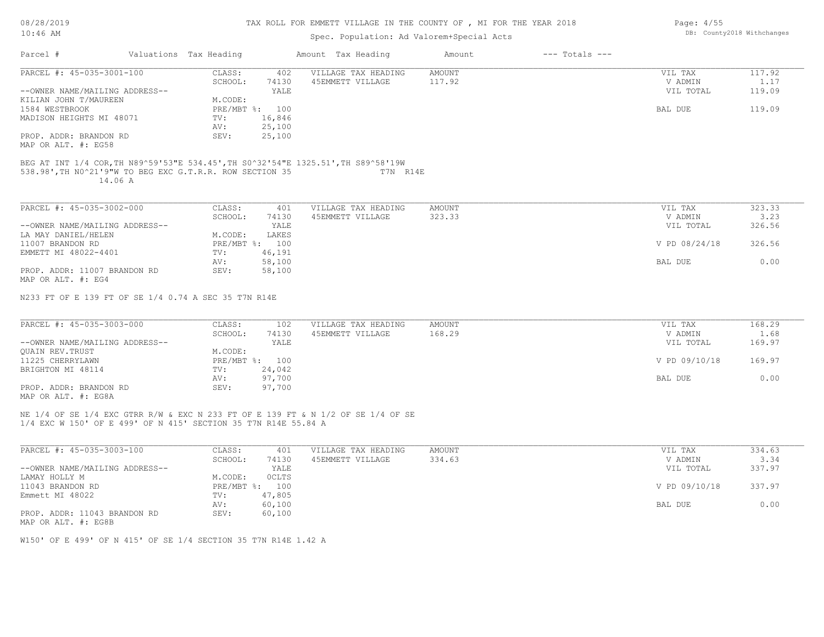08/28/2019 10:46 AM

MAP OR ALT. #: EG58 PROP. ADDR: BRANDON RD

## TAX ROLL FOR EMMETT VILLAGE IN THE COUNTY OF , MI FOR THE YEAR 2018

| 10:46 AM                       |  |                        |                | Spec. Population: Ad Valorem+Special Acts |        | DB: County2018 Withchanges |           |        |
|--------------------------------|--|------------------------|----------------|-------------------------------------------|--------|----------------------------|-----------|--------|
| Parcel #                       |  | Valuations Tax Heading |                | Amount Tax Heading                        | Amount | $---$ Totals $---$         |           |        |
| PARCEL #: 45-035-3001-100      |  | CLASS:                 | 402            | VILLAGE TAX HEADING                       | AMOUNT |                            | VIL TAX   | 117.92 |
|                                |  | SCHOOL:                | 74130          | 45EMMETT VILLAGE                          | 117.92 |                            | V ADMIN   | 1.17   |
| --OWNER NAME/MAILING ADDRESS-- |  |                        | YALE           |                                           |        |                            | VIL TOTAL | 119.09 |
| KILIAN JOHN T/MAUREEN          |  | M.CODE:                |                |                                           |        |                            |           |        |
| 1584 WESTBROOK                 |  |                        | PRE/MBT %: 100 |                                           |        |                            | BAL DUE   | 119.09 |
| MADISON HEIGHTS MI 48071       |  | TV:                    | 16,846         |                                           |        |                            |           |        |
|                                |  | AV:                    | 25,100         |                                           |        |                            |           |        |
| PROP. ADDR: BRANDON RD         |  | SEV:                   | 25,100         |                                           |        |                            |           |        |
|                                |  |                        |                |                                           |        |                            |           |        |

 14.06 A 538.98',TH N0^21'9"W TO BEG EXC G.T.R.R. ROW SECTION 35 T7N R14E BEG AT INT 1/4 COR,TH N89^59'53"E 534.45',TH S0^32'54"E 1325.51',TH S89^58'19W

| PARCEL #: 45-035-3002-000      | CLASS:     | 401    | VILLAGE TAX HEADING | AMOUNT | VIL TAX       | 323.33 |
|--------------------------------|------------|--------|---------------------|--------|---------------|--------|
|                                | SCHOOL:    | 74130  | 45EMMETT VILLAGE    | 323.33 | V ADMIN       | 3.23   |
| --OWNER NAME/MAILING ADDRESS-- |            | YALE   |                     |        | VIL TOTAL     | 326.56 |
| LA MAY DANIEL/HELEN            | M.CODE:    | LAKES  |                     |        |               |        |
| 11007 BRANDON RD               | PRE/MBT %: | 100    |                     |        | V PD 08/24/18 | 326.56 |
| EMMETT MI 48022-4401           | TV:        | 46,191 |                     |        |               |        |
|                                | AV:        | 58,100 |                     |        | BAL DUE       | 0.00   |
| PROP. ADDR: 11007 BRANDON RD   | SEV:       | 58,100 |                     |        |               |        |
| MAP OR ALT. #: EG4             |            |        |                     |        |               |        |

N233 FT OF E 139 FT OF SE 1/4 0.74 A SEC 35 T7N R14E

| PARCEL #: 45-035-3003-000                             | CLASS:  | 102            | VILLAGE TAX HEADING | AMOUNT | VIL TAX       | 168.29 |
|-------------------------------------------------------|---------|----------------|---------------------|--------|---------------|--------|
|                                                       | SCHOOL: | 74130          | 45EMMETT VILLAGE    | 168.29 | V ADMIN       | 1.68   |
| --OWNER NAME/MAILING ADDRESS--                        |         | YALE           |                     |        | VIL TOTAL     | 169.97 |
| QUAIN REV.TRUST                                       | M.CODE: |                |                     |        |               |        |
| 11225 CHERRYLAWN                                      |         | PRE/MBT %: 100 |                     |        | V PD 09/10/18 | 169.97 |
| BRIGHTON MI 48114                                     | TV:     | 24,042         |                     |        |               |        |
|                                                       | AV:     | 97,700         |                     |        | BAL DUE       | 0.00   |
| PROP. ADDR: BRANDON RD                                | SEV:    | 97,700         |                     |        |               |        |
| $\cdots$ $\cdots$ $\cdots$ $\cdots$ $\cdots$ $\cdots$ |         |                |                     |        |               |        |

MAP OR ALT. #: EG8A

1/4 EXC W 150' OF E 499' OF N 415' SECTION 35 T7N R14E 55.84 A NE 1/4 OF SE 1/4 EXC GTRR R/W & EXC N 233 FT OF E 139 FT & N 1/2 OF SE 1/4 OF SE

| PARCEL #: 45-035-3003-100      | CLASS:     | 401          | VILLAGE TAX HEADING | AMOUNT | VIL TAX       | 334.63 |
|--------------------------------|------------|--------------|---------------------|--------|---------------|--------|
|                                | SCHOOL:    | 74130        | 45EMMETT VILLAGE    | 334.63 | V ADMIN       | 3.34   |
| --OWNER NAME/MAILING ADDRESS-- |            | YALE         |                     |        | VIL TOTAL     | 337.97 |
| LAMAY HOLLY M                  | M.CODE:    | <b>OCLTS</b> |                     |        |               |        |
| 11043 BRANDON RD               | PRE/MBT %: | 100          |                     |        | V PD 09/10/18 | 337.97 |
| Emmett MI 48022                | TV:        | 47,805       |                     |        |               |        |
|                                | AV:        | 60,100       |                     |        | BAL DUE       | 0.00   |
| PROP. ADDR: 11043 BRANDON RD   | SEV:       | 60,100       |                     |        |               |        |
| MAP OR ALT. #: EG8B            |            |              |                     |        |               |        |

W150' OF E 499' OF N 415' OF SE 1/4 SECTION 35 T7N R14E 1.42 A

Page: 4/55 DB: County2018 Withchanges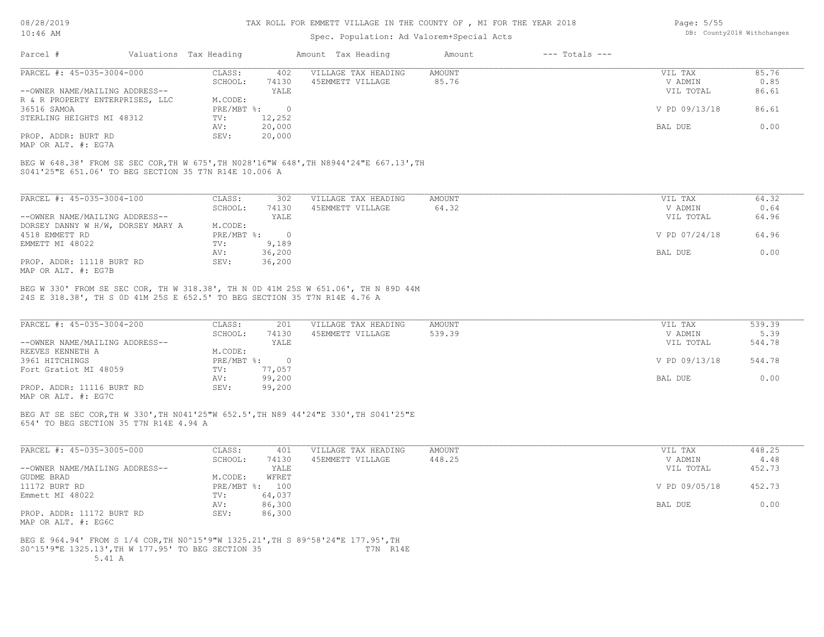## Spec. Population: Ad Valorem+Special Acts

| Page: $5/55$ |                            |
|--------------|----------------------------|
|              | DB: County2018 Withchanges |

| Parcel #                        | Valuations Tax Heading |        | Amount Tax Heading  | Amount | $---$ Totals $---$ |               |       |
|---------------------------------|------------------------|--------|---------------------|--------|--------------------|---------------|-------|
| PARCEL #: 45-035-3004-000       | CLASS:                 | 402    | VILLAGE TAX HEADING | AMOUNT |                    | VIL TAX       | 85.76 |
|                                 | SCHOOL:                | 74130  | 45EMMETT VILLAGE    | 85.76  |                    | V ADMIN       | 0.85  |
| --OWNER NAME/MAILING ADDRESS--  |                        | YALE   |                     |        |                    | VIL TOTAL     | 86.61 |
| R & R PROPERTY ENTERPRISES, LLC | M.CODE:                |        |                     |        |                    |               |       |
| 36516 SAMOA                     | PRE/MBT %:             |        |                     |        |                    | V PD 09/13/18 | 86.61 |
| STERLING HEIGHTS MI 48312       | TV:                    | 12,252 |                     |        |                    |               |       |
|                                 | AV:                    | 20,000 |                     |        |                    | BAL DUE       | 0.00  |
| PROP. ADDR: BURT RD             | SEV:                   | 20,000 |                     |        |                    |               |       |
|                                 |                        |        |                     |        |                    |               |       |

MAP OR ALT. #: EG7A

S041'25"E 651.06' TO BEG SECTION 35 T7N R14E 10.006 A BEG W 648.38' FROM SE SEC COR,TH W 675',TH N028'16"W 648',TH N8944'24"E 667.13',TH

| PARCEL #: 45-035-3004-100         | CLASS:       | 302      | VILLAGE TAX HEADING | AMOUNT | 64.32<br>VIL TAX       |
|-----------------------------------|--------------|----------|---------------------|--------|------------------------|
|                                   | SCHOOL:      | 74130    | 45EMMETT VILLAGE    | 64.32  | V ADMIN<br>0.64        |
| --OWNER NAME/MAILING ADDRESS--    |              | YALE     |                     |        | 64.96<br>VIL TOTAL     |
| DORSEY DANNY W H/W, DORSEY MARY A | M.CODE:      |          |                     |        |                        |
| 4518 EMMETT RD                    | $PRE/MBT$ %: | $\Omega$ |                     |        | V PD 07/24/18<br>64.96 |
| EMMETT MI 48022                   | TV:          | 9,189    |                     |        |                        |
|                                   | AV:          | 36,200   |                     |        | 0.00<br>BAL DUE        |
| PROP. ADDR: 11118 BURT RD         | SEV:         | 36,200   |                     |        |                        |
| MAP OR ALT. #: EG7B               |              |          |                     |        |                        |

24S E 318.38', TH S 0D 41M 25S E 652.5' TO BEG SECTION 35 T7N R14E 4.76 A BEG W 330' FROM SE SEC COR, TH W 318.38', TH N 0D 41M 25S W 651.06', TH N 89D 44M

| PARCEL #: 45-035-3004-200      | CLASS:     | 201    | VILLAGE TAX HEADING | AMOUNT | VIL TAX       | 539.39 |
|--------------------------------|------------|--------|---------------------|--------|---------------|--------|
|                                | SCHOOL:    | 74130  | 45EMMETT VILLAGE    | 539.39 | V ADMIN       | 5.39   |
| --OWNER NAME/MAILING ADDRESS-- |            | YALE   |                     |        | VIL TOTAL     | 544.78 |
| REEVES KENNETH A               | M.CODE:    |        |                     |        |               |        |
| 3961 HITCHINGS                 | PRE/MBT %: |        |                     |        | V PD 09/13/18 | 544.78 |
| Fort Gratiot MI 48059          | TV:        | 77,057 |                     |        |               |        |
|                                | AV:        | 99,200 |                     |        | BAL DUE       | 0.00   |
| PROP. ADDR: 11116 BURT RD      | SEV:       | 99,200 |                     |        |               |        |
| MAP OR ALT. #: EG7C            |            |        |                     |        |               |        |

BEG AT SE SEC COR,TH W 330',TH N041'25"W 652.5',TH N89 44'24"E 330',TH S041'25"E

654' TO BEG SECTION 35 T7N R14E 4.94 A

| PARCEL #: 45-035-3005-000      | CLASS:       | 401    | VILLAGE TAX HEADING | AMOUNT | VIL TAX       | 448.25 |
|--------------------------------|--------------|--------|---------------------|--------|---------------|--------|
|                                | SCHOOL:      | 74130  | 45EMMETT VILLAGE    | 448.25 | V ADMIN       | 4.48   |
| --OWNER NAME/MAILING ADDRESS-- |              | YALE   |                     |        | VIL TOTAL     | 452.73 |
| GUDME BRAD                     | M.CODE:      | WFRET  |                     |        |               |        |
| 11172 BURT RD                  | $PRE/MBT$ %: | 100    |                     |        | V PD 09/05/18 | 452.73 |
| Emmett MI 48022                | TV:          | 64,037 |                     |        |               |        |
|                                | AV:          | 86,300 |                     |        | BAL DUE       | 0.00   |
| PROP. ADDR: 11172 BURT RD      | SEV:         | 86,300 |                     |        |               |        |
| MAP OR ALT. #: EG6C            |              |        |                     |        |               |        |

## S0^15'9"E 1325.13',TH W 177.95' TO BEG SECTION 35 T7N R14E BEG E 964.94' FROM S 1/4 COR,TH N0^15'9"W 1325.21',TH S 89^58'24"E 177.95',TH

5.41 A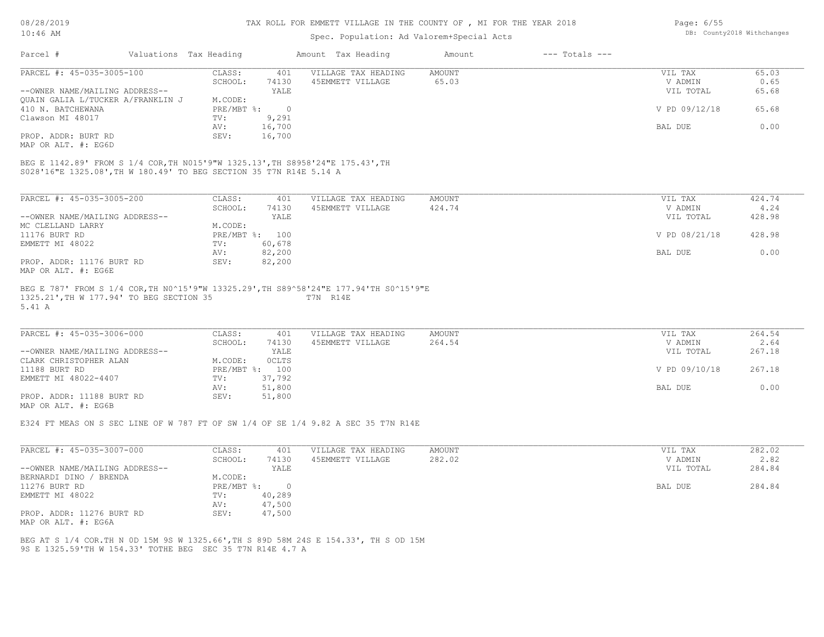## Spec. Population: Ad Valorem+Special Acts

| Parcel #                          | Valuations Tax Heading |        | Amount Tax Heading  | Amount | $---$ Totals $---$ |               |       |
|-----------------------------------|------------------------|--------|---------------------|--------|--------------------|---------------|-------|
| PARCEL #: 45-035-3005-100         | CLASS:                 | 401    | VILLAGE TAX HEADING | AMOUNT |                    | VIL TAX       | 65.03 |
|                                   | SCHOOL:                | 74130  | 45EMMETT VILLAGE    | 65.03  |                    | V ADMIN       | 0.65  |
| --OWNER NAME/MAILING ADDRESS--    |                        | YALE   |                     |        |                    | VIL TOTAL     | 65.68 |
| QUAIN GALIA L/TUCKER A/FRANKLIN J | M.CODE:                |        |                     |        |                    |               |       |
| 410 N. BATCHEWANA                 | $PRE/MBT$ %:           |        |                     |        |                    | V PD 09/12/18 | 65.68 |
| Clawson MI 48017                  | TV:                    | 9,291  |                     |        |                    |               |       |
|                                   | AV:                    | 16,700 |                     |        |                    | BAL DUE       | 0.00  |
| PROP. ADDR: BURT RD               | SEV:                   | 16,700 |                     |        |                    |               |       |
|                                   |                        |        |                     |        |                    |               |       |

MAP OR ALT. #: EG6D

S028'16"E 1325.08',TH W 180.49' TO BEG SECTION 35 T7N R14E 5.14 A BEG E 1142.89' FROM S 1/4 COR,TH N015'9"W 1325.13',TH S8958'24"E 175.43',TH

| PARCEL #: 45-035-3005-200      | CLASS:       | 401    | VILLAGE TAX HEADING | AMOUNT | VIL TAX       | 424.74 |
|--------------------------------|--------------|--------|---------------------|--------|---------------|--------|
|                                | SCHOOL:      | 74130  | 45EMMETT VILLAGE    | 424.74 | V ADMIN       | 4.24   |
| --OWNER NAME/MAILING ADDRESS-- |              | YALE   |                     |        | VIL TOTAL     | 428.98 |
| MC CLELLAND LARRY              | M.CODE:      |        |                     |        |               |        |
| 11176 BURT RD                  | $PRE/MBT$ %: | 100    |                     |        | V PD 08/21/18 | 428.98 |
| EMMETT MI 48022                | TV:          | 60,678 |                     |        |               |        |
|                                | AV:          | 82,200 |                     |        | BAL DUE       | 0.00   |
| PROP. ADDR: 11176 BURT RD      | SEV:         | 82,200 |                     |        |               |        |
| MAP OR ALT. #: EG6E            |              |        |                     |        |               |        |

#### 5.41 A 1325.21',TH W 177.94' TO BEG SECTION 35 T7N R14E BEG E 787' FROM S 1/4 COR,TH N0^15'9"W 13325.29',TH S89^58'24"E 177.94'TH S0^15'9"E

| PARCEL #: 45-035-3006-000      | CLASS:       | 401    | VILLAGE TAX HEADING | AMOUNT | VIL TAX       | 264.54 |
|--------------------------------|--------------|--------|---------------------|--------|---------------|--------|
|                                | SCHOOL:      | 74130  | 45EMMETT VILLAGE    | 264.54 | V ADMIN       | 2.64   |
| --OWNER NAME/MAILING ADDRESS-- |              | YALE   |                     |        | VIL TOTAL     | 267.18 |
| CLARK CHRISTOPHER ALAN         | M.CODE:      | OCLTS  |                     |        |               |        |
| 11188 BURT RD                  | $PRE/MBT$ %: | 100    |                     |        | V PD 09/10/18 | 267.18 |
| EMMETT MI 48022-4407           | TV:          | 37,792 |                     |        |               |        |
|                                | AV:          | 51,800 |                     |        | BAL DUE       | 0.00   |
| PROP. ADDR: 11188 BURT RD      | SEV:         | 51,800 |                     |        |               |        |

 $\_$  , and the state of the state of the state of the state of the state of the state of the state of the state of the state of the state of the state of the state of the state of the state of the state of the state of the

MAP OR ALT. #: EG6B

E324 FT MEAS ON S SEC LINE OF W 787 FT OF SW 1/4 OF SE 1/4 9.82 A SEC 35 T7N R14E

| PARCEL #: 45-035-3007-000      | CLASS:       | 401    | VILLAGE TAX HEADING | AMOUNT | VIL TAX   | 282.02 |
|--------------------------------|--------------|--------|---------------------|--------|-----------|--------|
|                                | SCHOOL:      | 74130  | 45EMMETT VILLAGE    | 282.02 | V ADMIN   | 2.82   |
| --OWNER NAME/MAILING ADDRESS-- |              | YALE   |                     |        | VIL TOTAL | 284.84 |
| BERNARDI DINO / BRENDA         | M.CODE:      |        |                     |        |           |        |
| 11276 BURT RD                  | $PRE/MBT$ %: |        |                     |        | BAL DUE   | 284.84 |
| EMMETT MI 48022                | TV:          | 40,289 |                     |        |           |        |
|                                | AV:          | 47,500 |                     |        |           |        |
| PROP. ADDR: 11276 BURT RD      | SEV:         | 47,500 |                     |        |           |        |
| MAP OR ALT. #: EG6A            |              |        |                     |        |           |        |

9S E 1325.59'TH W 154.33' TOTHE BEG SEC 35 T7N R14E 4.7 A BEG AT S 1/4 COR.TH N 0D 15M 9S W 1325.66',TH S 89D 58M 24S E 154.33', TH S OD 15M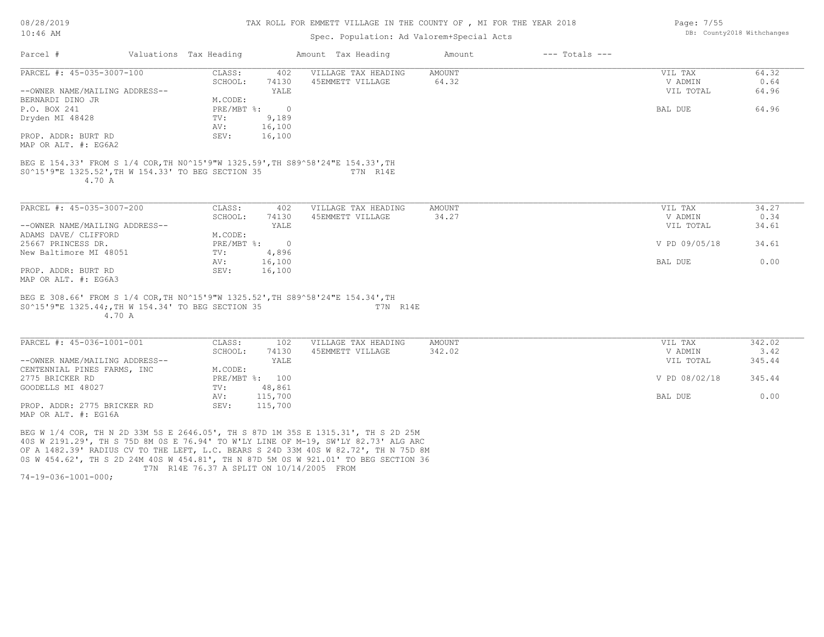08/28/2019 10:46 AM

#### TAX ROLL FOR EMMETT VILLAGE IN THE COUNTY OF , MI FOR THE YEAR 2018

## Spec. Population: Ad Valorem+Special Acts

|                                                                                                                                                 | Valuations Tax Heading |                | Amount Tax Heading  | Amount | $---$ Totals $---$ |               |       |
|-------------------------------------------------------------------------------------------------------------------------------------------------|------------------------|----------------|---------------------|--------|--------------------|---------------|-------|
| PARCEL #: 45-035-3007-100                                                                                                                       | CLASS:                 | 402            | VILLAGE TAX HEADING | AMOUNT |                    | VIL TAX       | 64.32 |
|                                                                                                                                                 | SCHOOL:                | 74130          | 45EMMETT VILLAGE    | 64.32  |                    | V ADMIN       | 0.64  |
| --OWNER NAME/MAILING ADDRESS--                                                                                                                  |                        | YALE           |                     |        |                    | VIL TOTAL     | 64.96 |
| BERNARDI DINO JR                                                                                                                                | M.CODE:                |                |                     |        |                    |               |       |
| P.O. BOX 241                                                                                                                                    | $PRE/MBT$ %:           | $\overline{0}$ |                     |        |                    | BAL DUE       | 64.96 |
| Dryden MI 48428                                                                                                                                 | TV:                    | 9,189          |                     |        |                    |               |       |
|                                                                                                                                                 | AV:                    | 16,100         |                     |        |                    |               |       |
| PROP. ADDR: BURT RD                                                                                                                             | SEV:                   | 16,100         |                     |        |                    |               |       |
| MAP OR ALT. #: EG6A2                                                                                                                            |                        |                |                     |        |                    |               |       |
| BEG E 154.33' FROM S 1/4 COR, TH NO^15'9"W 1325.59', TH S89^58'24"E 154.33', TH<br>S0^15'9"E 1325.52', TH W 154.33' TO BEG SECTION 35<br>4.70 A |                        |                | T7N R14E            |        |                    |               |       |
| PARCEL #: 45-035-3007-200                                                                                                                       | CLASS:                 | 402            | VILLAGE TAX HEADING | AMOUNT |                    | VIL TAX       | 34.27 |
|                                                                                                                                                 | SCHOOL:                | 74130          | 45EMMETT VILLAGE    | 34.27  |                    | V ADMIN       | 0.34  |
| --OWNER NAME/MAILING ADDRESS--                                                                                                                  |                        | YALE           |                     |        |                    | VIL TOTAL     | 34.61 |
| ADAMS DAVE/ CLIFFORD                                                                                                                            | M.CODE:                |                |                     |        |                    |               |       |
| 25667 PRINCESS DR.                                                                                                                              | PRE/MBT %:             | $\overline{0}$ |                     |        |                    | V PD 09/05/18 | 34.61 |
| New Baltimore MI 48051                                                                                                                          | TV:                    | 4,896          |                     |        |                    |               |       |
|                                                                                                                                                 | AV:                    | 16,100         |                     |        |                    | BAL DUE       | 0.00  |
| PROP. ADDR: BURT RD<br>MAP OR ALT. #: EG6A3                                                                                                     | SEV:                   | 16,100         |                     |        |                    |               |       |

4.70 A

| PARCEL #: 45-036-1001-001      | CLASS:       | 102     | VILLAGE TAX HEADING | AMOUNT | VIL TAX       | 342.02 |
|--------------------------------|--------------|---------|---------------------|--------|---------------|--------|
|                                | SCHOOL:      | 74130   | 45EMMETT VILLAGE    | 342.02 | V ADMIN       | 3.42   |
| --OWNER NAME/MAILING ADDRESS-- |              | YALE    |                     |        | VIL TOTAL     | 345.44 |
| CENTENNIAL PINES FARMS, INC    | M.CODE:      |         |                     |        |               |        |
| 2775 BRICKER RD                | $PRE/MBT$ %: | 100     |                     |        | V PD 08/02/18 | 345.44 |
| GOODELLS MI 48027              | TV:          | 48,861  |                     |        |               |        |
|                                | AV:          | 115,700 |                     |        | BAL DUE       | 0.00   |
| PROP. ADDR: 2775 BRICKER RD    | SEV:         | 115,700 |                     |        |               |        |
| MAP OR ALT. #: EG16A           |              |         |                     |        |               |        |

 $\_$  , and the state of the state of the state of the state of the state of the state of the state of the state of the state of the state of the state of the state of the state of the state of the state of the state of the

 T7N R14E 76.37 A SPLIT ON 10/14/2005 FROM 0S W 454.62', TH S 2D 24M 40S W 454.81', TH N 87D 5M 0S W 921.01' TO BEG SECTION 36 OF A 1482.39' RADIUS CV TO THE LEFT, L.C. BEARS S 24D 33M 40S W 82.72', TH N 75D 8M 40S W 2191.29', TH S 75D 8M 0S E 76.94' TO W'LY LINE OF M-19, SW'LY 82.73' ALG ARC BEG W 1/4 COR, TH N 2D 33M 5S E 2646.05', TH S 87D 1M 35S E 1315.31', TH S 2D 25M

74-19-036-1001-000;

Page: 7/55 DB: County2018 Withchanges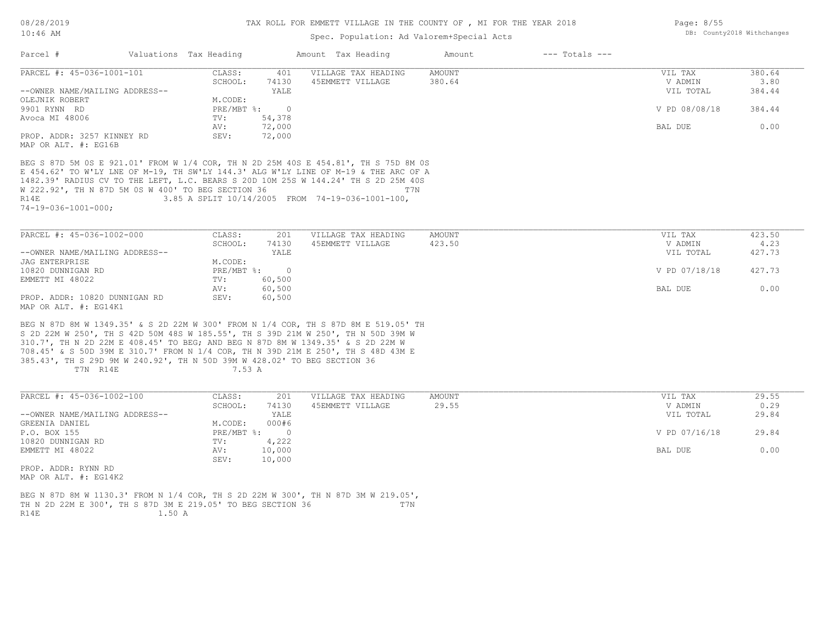Page: 8/55

DB: County2018 Withchanges

# Spec. Population: Ad Valorem+Special Acts

|                                                                                     |                                | spec. Population: Ad valorem+special Acts        |                              |               |        |
|-------------------------------------------------------------------------------------|--------------------------------|--------------------------------------------------|------------------------------|---------------|--------|
| Parcel #<br>Valuations Tax Heading                                                  |                                | Amount Tax Heading                               | $---$ Totals $---$<br>Amount |               |        |
| PARCEL #: 45-036-1001-101                                                           | CLASS:<br>401                  | VILLAGE TAX HEADING                              | AMOUNT                       | VIL TAX       | 380.64 |
|                                                                                     | SCHOOL:<br>74130               | 45EMMETT VILLAGE                                 | 380.64                       | V ADMIN       | 3.80   |
| --OWNER NAME/MAILING ADDRESS--<br>OLEJNIK ROBERT                                    | YALE<br>M.CODE:                |                                                  |                              | VIL TOTAL     | 384.44 |
| 9901 RYNN RD                                                                        | $PRE/MBT$ %:<br>$\Omega$       |                                                  |                              | V PD 08/08/18 | 384.44 |
| Avoca MI 48006                                                                      | TV:<br>54,378                  |                                                  |                              |               |        |
|                                                                                     | AV:<br>72,000                  |                                                  |                              | BAL DUE       | 0.00   |
| PROP. ADDR: 3257 KINNEY RD                                                          | SEV:<br>72,000                 |                                                  |                              |               |        |
| MAP OR ALT. #: EG16B                                                                |                                |                                                  |                              |               |        |
| BEG S 87D 5M OS E 921.01' FROM W 1/4 COR, TH N 2D 25M 40S E 454.81', TH S 75D 8M OS |                                |                                                  |                              |               |        |
| E 454.62' TO W'LY LNE OF M-19, TH SW'LY 144.3' ALG W'LY LINE OF M-19 & THE ARC OF A |                                |                                                  |                              |               |        |
| 1482.39' RADIUS CV TO THE LEFT, L.C. BEARS S 20D 10M 25S W 144.24' TH S 2D 25M 40S  |                                |                                                  |                              |               |        |
| W 222.92', TH N 87D 5M OS W 400' TO BEG SECTION 36                                  |                                | T7N                                              |                              |               |        |
| R14E                                                                                |                                | 3.85 A SPLIT 10/14/2005 FROM 74-19-036-1001-100, |                              |               |        |
| $74 - 19 - 036 - 1001 - 000$ ;                                                      |                                |                                                  |                              |               |        |
|                                                                                     |                                |                                                  |                              |               |        |
| PARCEL #: 45-036-1002-000                                                           | CLASS:<br>201                  | VILLAGE TAX HEADING                              | AMOUNT                       | VIL TAX       | 423.50 |
|                                                                                     | SCHOOL:<br>74130               | 45EMMETT VILLAGE                                 | 423.50                       | V ADMIN       | 4.23   |
| --OWNER NAME/MAILING ADDRESS--                                                      | YALE                           |                                                  |                              | VIL TOTAL     | 427.73 |
| JAG ENTERPRISE                                                                      | M.CODE:                        |                                                  |                              |               |        |
| 10820 DUNNIGAN RD                                                                   | $\overline{0}$<br>$PRE/MBT$ %: |                                                  |                              | V PD 07/18/18 | 427.73 |
| EMMETT MI 48022                                                                     | 60,500<br>TV:                  |                                                  |                              |               |        |
|                                                                                     | 60,500<br>AV:                  |                                                  |                              | BAL DUE       | 0.00   |
| PROP. ADDR: 10820 DUNNIGAN RD                                                       | SEV:<br>60,500                 |                                                  |                              |               |        |
| MAP OR ALT. #: EG14K1                                                               |                                |                                                  |                              |               |        |
|                                                                                     |                                |                                                  |                              |               |        |
| BEG N 87D 8M W 1349.35' & S 2D 22M W 300' FROM N 1/4 COR, TH S 87D 8M E 519.05' TH  |                                |                                                  |                              |               |        |
| S 2D 22M W 250', TH S 42D 50M 48S W 185.55', TH S 39D 21M W 250', TH N 50D 39M W    |                                |                                                  |                              |               |        |
| 310.7', TH N 2D 22M E 408.45' TO BEG; AND BEG N 87D 8M W 1349.35' & S 2D 22M W      |                                |                                                  |                              |               |        |
| 708.45' & S 50D 39M E 310.7' FROM N 1/4 COR, TH N 39D 21M E 250', TH S 48D 43M E    |                                |                                                  |                              |               |        |
| 385.43', TH S 29D 9M W 240.92', TH N 50D 39M W 428.02' TO BEG SECTION 36            |                                |                                                  |                              |               |        |
| T7N R14E                                                                            | 7.53 A                         |                                                  |                              |               |        |
|                                                                                     |                                |                                                  |                              |               |        |
| PARCEL #: 45-036-1002-100                                                           | 201<br>CLASS:                  | VILLAGE TAX HEADING                              | AMOUNT                       | VIL TAX       | 29.55  |
|                                                                                     | SCHOOL:<br>74130               | 45EMMETT VILLAGE                                 | 29.55                        | V ADMIN       | 0.29   |
| --OWNER NAME/MAILING ADDRESS--                                                      | YALE                           |                                                  |                              | VIL TOTAL     | 29.84  |
| GREENIA DANIEL                                                                      | M.CODE:<br>000#6               |                                                  |                              |               |        |
| P.O. BOX 155                                                                        | $PRE/MBT$ %:<br>$\overline{0}$ |                                                  |                              | V PD 07/16/18 | 29.84  |
| 10820 DUNNIGAN RD                                                                   | 4,222<br>TV:                   |                                                  |                              |               |        |
| EMMETT MI 48022                                                                     | AV:<br>10,000                  |                                                  |                              | BAL DUE       | 0.00   |
|                                                                                     | 10,000<br>SEV:                 |                                                  |                              |               |        |
| PROP. ADDR: RYNN RD                                                                 |                                |                                                  |                              |               |        |
| MAP OR ALT. #: EG14K2                                                               |                                |                                                  |                              |               |        |
|                                                                                     |                                |                                                  |                              |               |        |

R14E 1.50 A TH N 2D 22M E 300', TH S 87D 3M E 219.05' TO BEG SECTION 36 T7N BEG N 87D 8M W 1130.3' FROM N 1/4 COR, TH S 2D 22M W 300', TH N 87D 3M W 219.05',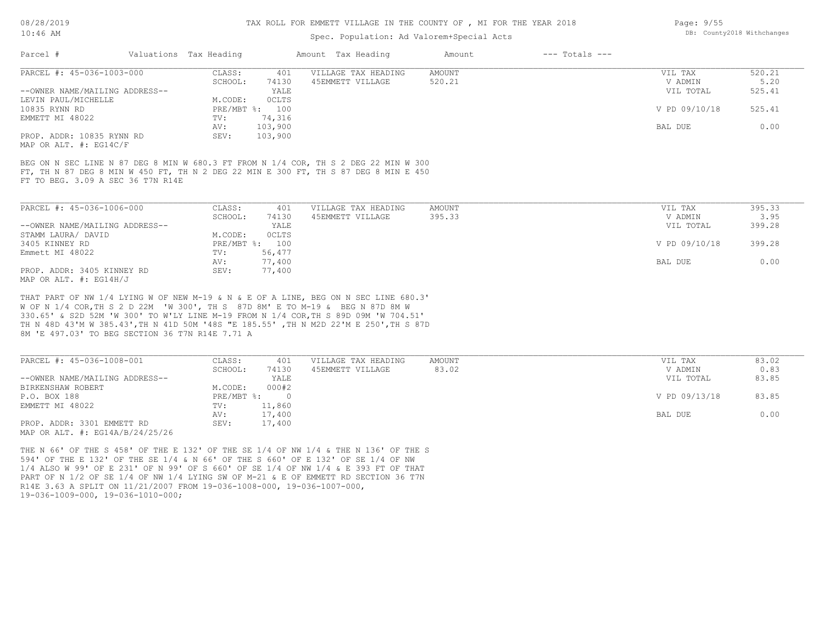### Spec. Population: Ad Valorem+Special Acts

| Parcel #                       | Valuations Tax Heading |                | Amount Tax Heading  | Amount | $---$ Totals $---$ |               |        |
|--------------------------------|------------------------|----------------|---------------------|--------|--------------------|---------------|--------|
| PARCEL #: 45-036-1003-000      | CLASS:                 | 401            | VILLAGE TAX HEADING | AMOUNT |                    | VIL TAX       | 520.21 |
|                                | SCHOOL:                | 74130          | 45EMMETT VILLAGE    | 520.21 |                    | V ADMIN       | 5.20   |
| --OWNER NAME/MAILING ADDRESS-- |                        | YALE           |                     |        |                    | VIL TOTAL     | 525.41 |
| LEVIN PAUL/MICHELLE            | M.CODE:                | OCLTS          |                     |        |                    |               |        |
| 10835 RYNN RD                  |                        | PRE/MBT %: 100 |                     |        |                    | V PD 09/10/18 | 525.41 |
| EMMETT MI 48022                | TV:                    | 74,316         |                     |        |                    |               |        |
|                                | AV:                    | 103,900        |                     |        |                    | BAL DUE       | 0.00   |
| PROP. ADDR: 10835 RYNN RD      | SEV:                   | 103,900        |                     |        |                    |               |        |
| MAP OR ALT. #: EG14C/F         |                        |                |                     |        |                    |               |        |

FT TO BEG. 3.09 A SEC 36 T7N R14E FT, TH N 87 DEG 8 MIN W 450 FT, TH N 2 DEG 22 MIN E 300 FT, TH S 87 DEG 8 MIN E 450 BEG ON N SEC LINE N 87 DEG 8 MIN W 680.3 FT FROM N 1/4 COR, TH S 2 DEG 22 MIN W 300

| PARCEL #: 45-036-1006-000      | CLASS:  | 401            | VILLAGE TAX HEADING | AMOUNT | VIL TAX       | 395.33 |
|--------------------------------|---------|----------------|---------------------|--------|---------------|--------|
|                                | SCHOOL: | 74130          | 45EMMETT VILLAGE    | 395.33 | V ADMIN       | 3.95   |
| --OWNER NAME/MAILING ADDRESS-- |         | YALE           |                     |        | VIL TOTAL     | 399.28 |
| STAMM LAURA/ DAVID             | M.CODE: | <b>OCLTS</b>   |                     |        |               |        |
| 3405 KINNEY RD                 |         | PRE/MBT %: 100 |                     |        | V PD 09/10/18 | 399.28 |
| Emmett MI 48022                | TV:     | 56,477         |                     |        |               |        |
|                                | AV:     | 77,400         |                     |        | BAL DUE       | 0.00   |
| PROP. ADDR: 3405 KINNEY RD     | SEV:    | 77,400         |                     |        |               |        |
| MAP OR ALT. $\#$ : EG14H/J     |         |                |                     |        |               |        |

8M 'E 497.03' TO BEG SECTION 36 T7N R14E 7.71 A TH N 48D 43'M W 385.43',TH N 41D 50M '48S "E 185.55' ,TH N M2D 22'M E 250',TH S 87D 330.65' & S2D 52M 'W 300' TO W'LY LINE M-19 FROM N 1/4 COR,TH S 89D 09M 'W 704.51' W OF N 1/4 COR,TH S 2 D 22M 'W 300', TH S 87D 8M' E TO M-19 & BEG N 87D 8M W THAT PART OF NW 1/4 LYING W OF NEW M-19 & N & E OF A LINE, BEG ON N SEC LINE 680.3'

| PARCEL #: 45-036-1008-001                                                | CLASS:       | 401    | VILLAGE TAX HEADING | AMOUNT | VIL TAX       | 83.02 |
|--------------------------------------------------------------------------|--------------|--------|---------------------|--------|---------------|-------|
|                                                                          | SCHOOL:      | 74130  | 45EMMETT VILLAGE    | 83.02  | V ADMIN       | 0.83  |
| --OWNER NAME/MAILING ADDRESS--                                           |              | YALE   |                     |        | VIL TOTAL     | 83.85 |
| BIRKENSHAW ROBERT                                                        | M.CODE:      | 000#2  |                     |        |               |       |
| P.O. BOX 188                                                             | $PRE/MBT$ %: |        |                     |        | V PD 09/13/18 | 83.85 |
| EMMETT MI 48022                                                          | TV:          | 11,860 |                     |        |               |       |
|                                                                          | AV:          | 17,400 |                     |        | BAL DUE       | 0.00  |
| PROP. ADDR: 3301 EMMETT RD<br>$MAP$ $OP$ $ATT$ $#$ , $ECMA$ $D/2A/25/26$ | SEV:         | 17,400 |                     |        |               |       |

MAP OR ALT. #: EG14A/B/24/25/26

19-036-1009-000, 19-036-1010-000; R14E 3.63 A SPLIT ON 11/21/2007 FROM 19-036-1008-000, 19-036-1007-000, PART OF N 1/2 OF SE 1/4 OF NW 1/4 LYING SW OF M-21 & E OF EMMETT RD SECTION 36 T7N 1/4 ALSO W 99' OF E 231' OF N 99' OF S 660' OF SE 1/4 OF NW 1/4 & E 393 FT OF THAT 594' OF THE E 132' OF THE SE 1/4 & N 66' OF THE S 660' OF E 132' OF SE 1/4 OF NW THE N 66' OF THE S 458' OF THE E 132' OF THE SE 1/4 OF NW 1/4 & THE N 136' OF THE S Page: 9/55 DB: County2018 Withchanges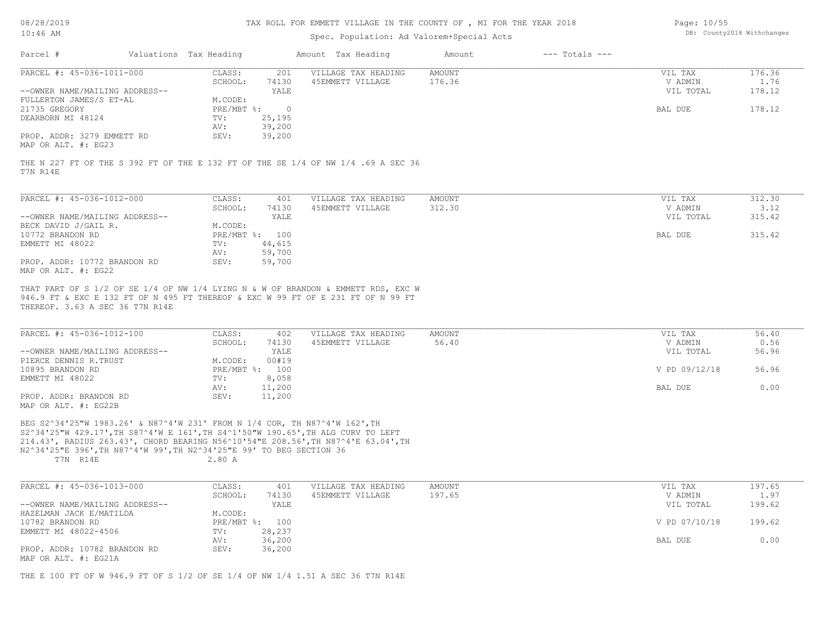08/28/2019 10:46 AM

#### TAX ROLL FOR EMMETT VILLAGE IN THE COUNTY OF , MI FOR THE YEAR 2018

### Spec. Population: Ad Valorem+Special Acts

| Page: 10/55 |                            |
|-------------|----------------------------|
|             | DB: County2018 Withchanges |

| Parcel #                       | Valuations Tax Heading |        | Amount Tax Heading  | Amount | $---$ Totals $---$ |           |        |
|--------------------------------|------------------------|--------|---------------------|--------|--------------------|-----------|--------|
| PARCEL #: 45-036-1011-000      | CLASS:                 | 201    | VILLAGE TAX HEADING | AMOUNT |                    | VIL TAX   | 176.36 |
|                                | SCHOOL:                | 74130  | 45EMMETT VILLAGE    | 176.36 |                    | V ADMIN   | 1.76   |
| --OWNER NAME/MAILING ADDRESS-- |                        | YALE   |                     |        |                    | VIL TOTAL | 178.12 |
| FULLERTON JAMES/S ET-AL        | M.CODE:                |        |                     |        |                    |           |        |
| 21735 GREGORY                  | $PRE/MBT$ %:           |        |                     |        |                    | BAL DUE   | 178.12 |
| DEARBORN MI 48124              | TV:                    | 25,195 |                     |        |                    |           |        |
|                                | AV:                    | 39,200 |                     |        |                    |           |        |
| PROP. ADDR: 3279 EMMETT RD     | SEV:                   | 39,200 |                     |        |                    |           |        |
| MAP OR ALT. #: EG23            |                        |        |                     |        |                    |           |        |

T7N R14E

| PARCEL #: 45-036-1012-000      | CLASS:       | 401    | VILLAGE TAX HEADING | AMOUNT | VIL TAX   | 312.30 |
|--------------------------------|--------------|--------|---------------------|--------|-----------|--------|
|                                | SCHOOL:      | 74130  | 45EMMETT VILLAGE    | 312.30 | V ADMIN   | 3.12   |
| --OWNER NAME/MAILING ADDRESS-- |              | YALE   |                     |        | VIL TOTAL | 315.42 |
| BECK DAVID J/GAIL R.           | M.CODE:      |        |                     |        |           |        |
| 10772 BRANDON RD               | $PRE/MBT$ %: | 100    |                     |        | BAL DUE   | 315.42 |
| EMMETT MI 48022                | TV:          | 44,615 |                     |        |           |        |
|                                | AV:          | 59,700 |                     |        |           |        |
| PROP. ADDR: 10772 BRANDON RD   | SEV:         | 59,700 |                     |        |           |        |
| MAP OR ALT. #: EG22            |              |        |                     |        |           |        |

THEREOF. 3.63 A SEC 36 T7N R14E 946.9 FT & EXC E 132 FT OF N 495 FT THEREOF & EXC W 99 FT OF E 231 FT OF N 99 FT THAT PART OF S 1/2 OF SE 1/4 OF NW 1/4 LYING N & W OF BRANDON & EMMETT RDS, EXC W

| PARCEL #: 45-036-1012-100      | CLASS:     | 402    | VILLAGE TAX HEADING | AMOUNT | VIL TAX |               | 56.40 |
|--------------------------------|------------|--------|---------------------|--------|---------|---------------|-------|
|                                | SCHOOL:    | 74130  | 45EMMETT VILLAGE    | 56.40  |         | V ADMIN       | 0.56  |
| --OWNER NAME/MAILING ADDRESS-- |            | YALE   |                     |        |         | VIL TOTAL     | 56.96 |
| PIERCE DENNIS R.TRUST          | M.CODE:    | 00#19  |                     |        |         |               |       |
| 10895 BRANDON RD               | PRE/MBT %: | 100    |                     |        |         | V PD 09/12/18 | 56.96 |
| EMMETT MI 48022                | TV:        | 8,058  |                     |        |         |               |       |
|                                | AV:        | 11,200 |                     |        | BAL DUE |               | 0.00  |
| PROP. ADDR: BRANDON RD         | SEV:       | 11,200 |                     |        |         |               |       |
| $\frac{1}{2}$                  |            |        |                     |        |         |               |       |

MAP OR ALT. #: EG22B

T7N R14E 2.80 A N2^34'25"E 396',TH N87^4'W 99',TH N2^34'25"E 99' TO BEG SECTION 36 214.43', RADIUS 263.43', CHORD BEARING N56^10'54"E 208.56',TH N87^4'E 63.04',TH S2^34'25"W 429.17',TH S87^4'W E 161',TH S4^1'50"W 190.65',TH ALG CURV TO LEFT BEG S2^34'25"W 1983.26' & N87^4'W 231' FROM N 1/4 COR, TH N87^4'W 162',TH

| PARCEL #: 45-036-1013-000      | CLASS:  | 401            | VILLAGE TAX HEADING | AMOUNT | VIL TAX       | 197.65 |
|--------------------------------|---------|----------------|---------------------|--------|---------------|--------|
|                                | SCHOOL: | 74130          | 45EMMETT VILLAGE    | 197.65 | V ADMIN       | 1.97   |
| --OWNER NAME/MAILING ADDRESS-- |         | YALE           |                     |        | VIL TOTAL     | 199.62 |
| HAZELMAN JACK E/MATILDA        | M.CODE: |                |                     |        |               |        |
| 10782 BRANDON RD               |         | PRE/MBT %: 100 |                     |        | V PD 07/10/18 | 199.62 |
| EMMETT MI 48022-4506           | TV:     | 28,237         |                     |        |               |        |
|                                | AV:     | 36,200         |                     |        | BAL DUE       | 0.00   |
| PROP. ADDR: 10782 BRANDON RD   | SEV:    | 36,200         |                     |        |               |        |
| MAP OR ALT. #: EG21A           |         |                |                     |        |               |        |

THE E 100 FT OF W 946.9 FT OF S 1/2 OF SE 1/4 OF NW 1/4 1.51 A SEC 36 T7N R14E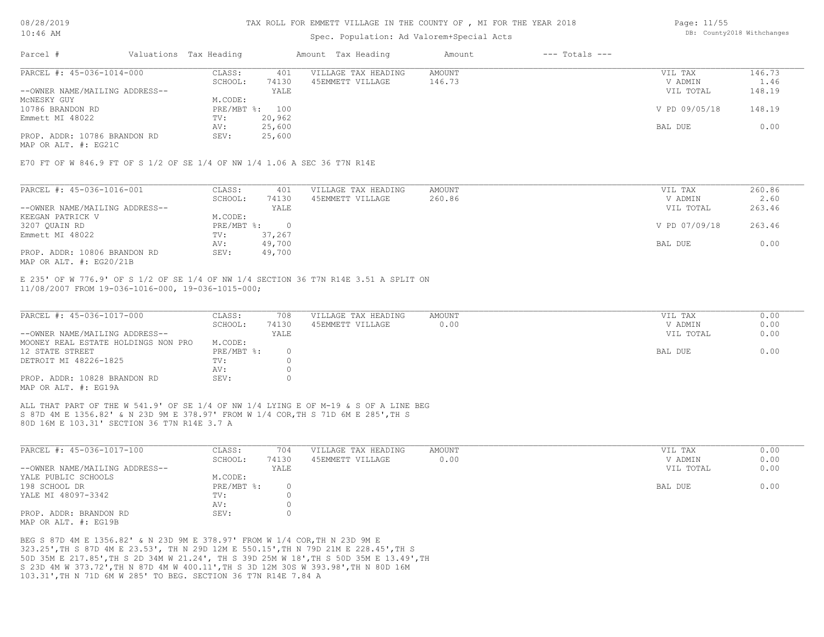### Spec. Population: Ad Valorem+Special Acts

| Page: 11/55 |                            |
|-------------|----------------------------|
|             | DB: County2018 Withchanges |

| Parcel #                       | Valuations Tax Heading |        | Amount Tax Heading  | Amount | $---$ Totals $---$ |               |        |
|--------------------------------|------------------------|--------|---------------------|--------|--------------------|---------------|--------|
| PARCEL #: 45-036-1014-000      | CLASS:                 | 401    | VILLAGE TAX HEADING | AMOUNT |                    | VIL TAX       | 146.73 |
|                                | SCHOOL:                | 74130  | 45EMMETT VILLAGE    | 146.73 |                    | V ADMIN       | 1.46   |
| --OWNER NAME/MAILING ADDRESS-- |                        | YALE   |                     |        |                    | VIL TOTAL     | 148.19 |
| MCNESKY GUY                    | M.CODE:                |        |                     |        |                    |               |        |
| 10786 BRANDON RD               | PRE/MBT %: 100         |        |                     |        |                    | V PD 09/05/18 | 148.19 |
| Emmett MI 48022                | TV:                    | 20,962 |                     |        |                    |               |        |
|                                | AV:                    | 25,600 |                     |        |                    | BAL DUE       | 0.00   |
| PROP. ADDR: 10786 BRANDON RD   | SEV:                   | 25,600 |                     |        |                    |               |        |
|                                |                        |        |                     |        |                    |               |        |

MAP OR ALT. #: EG21C

E70 FT OF W 846.9 FT OF S 1/2 OF SE 1/4 OF NW 1/4 1.06 A SEC 36 T7N R14E

| PARCEL #: 45-036-1016-001      | CLASS:     | 401    | VILLAGE TAX HEADING | AMOUNT | VIL TAX       | 260.86 |
|--------------------------------|------------|--------|---------------------|--------|---------------|--------|
|                                | SCHOOL:    | 74130  | 45EMMETT VILLAGE    | 260.86 | V ADMIN       | 2.60   |
| --OWNER NAME/MAILING ADDRESS-- |            | YALE   |                     |        | VIL TOTAL     | 263.46 |
| KEEGAN PATRICK V               | M.CODE:    |        |                     |        |               |        |
| 3207 QUAIN RD                  | PRE/MBT %: |        |                     |        | V PD 07/09/18 | 263.46 |
| Emmett MI 48022                | TV:        | 37,267 |                     |        |               |        |
|                                | AV:        | 49,700 |                     |        | BAL DUE       | 0.00   |
| PROP. ADDR: 10806 BRANDON RD   | SEV:       | 49,700 |                     |        |               |        |
| MAP OR ALT. $\#$ : EG20/21B    |            |        |                     |        |               |        |

11/08/2007 FROM 19-036-1016-000, 19-036-1015-000; E 235' OF W 776.9' OF S 1/2 OF SE 1/4 OF NW 1/4 SECTION 36 T7N R14E 3.51 A SPLIT ON

| PARCEL #: 45-036-1017-000           | CLASS:       | 708   | VILLAGE TAX HEADING | AMOUNT | VIL TAX   | 0.00 |
|-------------------------------------|--------------|-------|---------------------|--------|-----------|------|
|                                     | SCHOOL:      | 74130 | 45EMMETT VILLAGE    | 0.00   | V ADMIN   | 0.00 |
| --OWNER NAME/MAILING ADDRESS--      |              | YALE  |                     |        | VIL TOTAL | 0.00 |
| MOONEY REAL ESTATE HOLDINGS NON PRO | M.CODE:      |       |                     |        |           |      |
| 12 STATE STREET                     | $PRE/MBT$ %: |       |                     |        | BAL DUE   | 0.00 |
| DETROIT MI 48226-1825               | TV:          |       |                     |        |           |      |
|                                     | AV:          |       |                     |        |           |      |
| PROP. ADDR: 10828 BRANDON RD        | SEV:         |       |                     |        |           |      |
| MAP OR ALT. #: EG19A                |              |       |                     |        |           |      |

80D 16M E 103.31' SECTION 36 T7N R14E 3.7 A S 87D 4M E 1356.82' & N 23D 9M E 378.97' FROM W 1/4 COR,TH S 71D 6M E 285',TH S ALL THAT PART OF THE W 541.9' OF SE 1/4 OF NW 1/4 LYING E OF M-19 & S OF A LINE BEG

| PARCEL #: 45-036-1017-100      | CLASS:       | 704   | VILLAGE TAX HEADING | AMOUNT | VIL TAX   | 0.00 |
|--------------------------------|--------------|-------|---------------------|--------|-----------|------|
|                                | SCHOOL:      | 74130 | 45EMMETT VILLAGE    | 0.00   | V ADMIN   | 0.00 |
| --OWNER NAME/MAILING ADDRESS-- |              | YALE  |                     |        | VIL TOTAL | 0.00 |
| YALE PUBLIC SCHOOLS            | M.CODE:      |       |                     |        |           |      |
| 198 SCHOOL DR                  | $PRE/MBT$ %: |       |                     |        | BAL DUE   | 0.00 |
| YALE MI 48097-3342             | TV:          |       |                     |        |           |      |
|                                | AV:          |       |                     |        |           |      |
| PROP. ADDR: BRANDON RD         | SEV:         |       |                     |        |           |      |
| MAP OR ALT. #: EG19B           |              |       |                     |        |           |      |

103.31',TH N 71D 6M W 285' TO BEG. SECTION 36 T7N R14E 7.84 A S 23D 4M W 373.72',TH N 87D 4M W 400.11',TH S 3D 12M 30S W 393.98',TH N 80D 16M 50D 35M E 217.85',TH S 2D 34M W 21.24', TH S 39D 25M W 18',TH S 50D 35M E 13.49',TH 323.25',TH S 87D 4M E 23.53', TH N 29D 12M E 550.15',TH N 79D 21M E 228.45',TH S BEG S 87D 4M E 1356.82' & N 23D 9M E 378.97' FROM W 1/4 COR,TH N 23D 9M E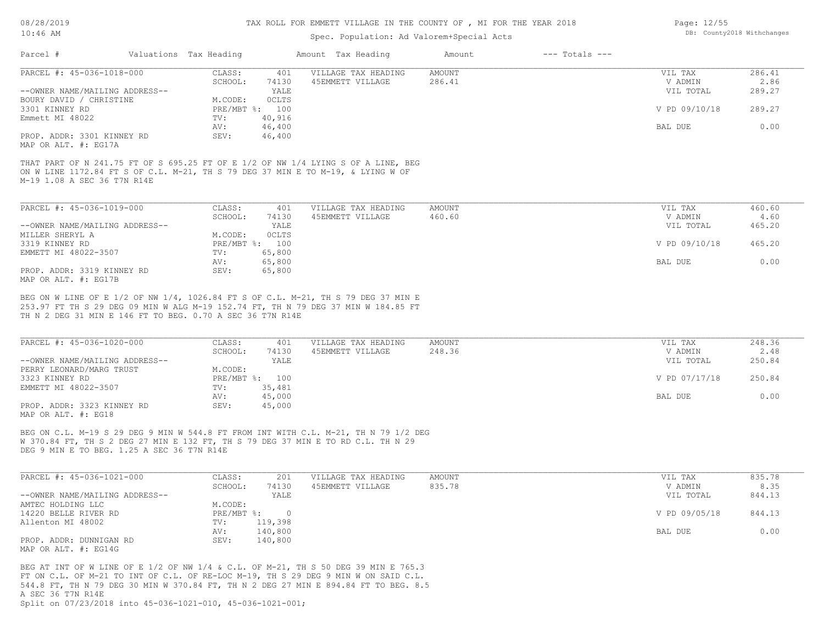## Spec. Population: Ad Valorem+Special Acts

| Page: 12/55 |                            |
|-------------|----------------------------|
|             | DB: County2018 Withchanges |

| Parcel #                       | Valuations Tax Heading |                | Amount Tax Heading  | Amount | $---$ Totals $---$ |               |        |
|--------------------------------|------------------------|----------------|---------------------|--------|--------------------|---------------|--------|
| PARCEL #: 45-036-1018-000      | CLASS:                 | 401            | VILLAGE TAX HEADING | AMOUNT |                    | VIL TAX       | 286.41 |
|                                | SCHOOL:                | 74130          | 45EMMETT VILLAGE    | 286.41 |                    | V ADMIN       | 2.86   |
| --OWNER NAME/MAILING ADDRESS-- |                        | YALE           |                     |        |                    | VIL TOTAL     | 289.27 |
| BOURY DAVID / CHRISTINE        | M.CODE:                | OCLTS          |                     |        |                    |               |        |
| 3301 KINNEY RD                 |                        | PRE/MBT %: 100 |                     |        |                    | V PD 09/10/18 | 289.27 |
| Emmett MI 48022                | TV:                    | 40,916         |                     |        |                    |               |        |
|                                | AV:                    | 46,400         |                     |        |                    | BAL DUE       | 0.00   |
| PROP. ADDR: 3301 KINNEY RD     | SEV:                   | 46,400         |                     |        |                    |               |        |
| MAP OR ALT. #: EG17A           |                        |                |                     |        |                    |               |        |

M-19 1.08 A SEC 36 T7N R14E ON W LINE 1172.84 FT S OF C.L. M-21, TH S 79 DEG 37 MIN E TO M-19, & LYING W OF THAT PART OF N 241.75 FT OF S 695.25 FT OF E 1/2 OF NW 1/4 LYING S OF A LINE, BEG

| PARCEL #: 45-036-1019-000      | CLASS:  | 401            | VILLAGE TAX HEADING | AMOUNT | VIL TAX       | 460.60 |
|--------------------------------|---------|----------------|---------------------|--------|---------------|--------|
|                                | SCHOOL: | 74130          | 45EMMETT VILLAGE    | 460.60 | V ADMIN       | 4.60   |
| --OWNER NAME/MAILING ADDRESS-- |         | YALE           |                     |        | VIL TOTAL     | 465.20 |
| MILLER SHERYL A                | M.CODE: | <b>OCLTS</b>   |                     |        |               |        |
| 3319 KINNEY RD                 |         | PRE/MBT %: 100 |                     |        | V PD 09/10/18 | 465.20 |
| EMMETT MI 48022-3507           | TV:     | 65,800         |                     |        |               |        |
|                                | AV:     | 65,800         |                     |        | BAL DUE       | 0.00   |
| PROP. ADDR: 3319 KINNEY RD     | SEV:    | 65,800         |                     |        |               |        |
| MAP OR ALT. #: EG17B           |         |                |                     |        |               |        |

TH N 2 DEG 31 MIN E 146 FT TO BEG. 0.70 A SEC 36 T7N R14E 253.97 FT TH S 29 DEG 09 MIN W ALG M-19 152.74 FT, TH N 79 DEG 37 MIN W 184.85 FT BEG ON W LINE OF E 1/2 OF NW 1/4, 1026.84 FT S OF C.L. M-21, TH S 79 DEG 37 MIN E

| PARCEL #: 45-036-1020-000      | CLASS:  | 401            | VILLAGE TAX HEADING | AMOUNT | VIL TAX       | 248.36 |
|--------------------------------|---------|----------------|---------------------|--------|---------------|--------|
|                                | SCHOOL: | 74130          | 45EMMETT VILLAGE    | 248.36 | V ADMIN       | 2.48   |
| --OWNER NAME/MAILING ADDRESS-- |         | YALE           |                     |        | VIL TOTAL     | 250.84 |
| PERRY LEONARD/MARG TRUST       | M.CODE: |                |                     |        |               |        |
| 3323 KINNEY RD                 |         | PRE/MBT %: 100 |                     |        | V PD 07/17/18 | 250.84 |
| EMMETT MI 48022-3507           | TV:     | 35,481         |                     |        |               |        |
|                                | AV:     | 45,000         |                     |        | BAL DUE       | 0.00   |
| PROP. ADDR: 3323 KINNEY RD     | SEV:    | 45,000         |                     |        |               |        |
| MAP OR ALT. #: EG18            |         |                |                     |        |               |        |

DEG 9 MIN E TO BEG. 1.25 A SEC 36 T7N R14E W 370.84 FT, TH S 2 DEG 27 MIN E 132 FT, TH S 79 DEG 37 MIN E TO RD C.L. TH N 29 BEG ON C.L. M-19 S 29 DEG 9 MIN W 544.8 FT FROM INT WITH C.L. M-21, TH N 79 1/2 DEG

| PARCEL #: 45-036-1021-000      | CLASS:       | 201     | VILLAGE TAX HEADING | AMOUNT | VIL TAX       | 835.78 |
|--------------------------------|--------------|---------|---------------------|--------|---------------|--------|
|                                | SCHOOL:      | 74130   | 45EMMETT VILLAGE    | 835.78 | V ADMIN       | 8.35   |
| --OWNER NAME/MAILING ADDRESS-- |              | YALE    |                     |        | VIL TOTAL     | 844.13 |
| AMTEC HOLDING LLC              | M.CODE:      |         |                     |        |               |        |
| 14220 BELLE RIVER RD           | $PRE/MBT$ %: |         |                     |        | V PD 09/05/18 | 844.13 |
| Allenton MI 48002              | TV:          | 119,398 |                     |        |               |        |
|                                | AV:          | 140,800 |                     |        | BAL DUE       | 0.00   |
| PROP. ADDR: DUNNIGAN RD        | SEV:         | 140,800 |                     |        |               |        |
| MAP OR ALT. $\#$ : EG14G       |              |         |                     |        |               |        |

Split on 07/23/2018 into 45-036-1021-010, 45-036-1021-001; A SEC 36 T7N R14E 544.8 FT, TH N 79 DEG 30 MIN W 370.84 FT, TH N 2 DEG 27 MIN E 894.84 FT TO BEG. 8.5 FT ON C.L. OF M-21 TO INT OF C.L. OF RE-LOC M-19, TH S 29 DEG 9 MIN W ON SAID C.L. BEG AT INT OF W LINE OF E 1/2 OF NW 1/4 & C.L. OF M-21, TH S 50 DEG 39 MIN E 765.3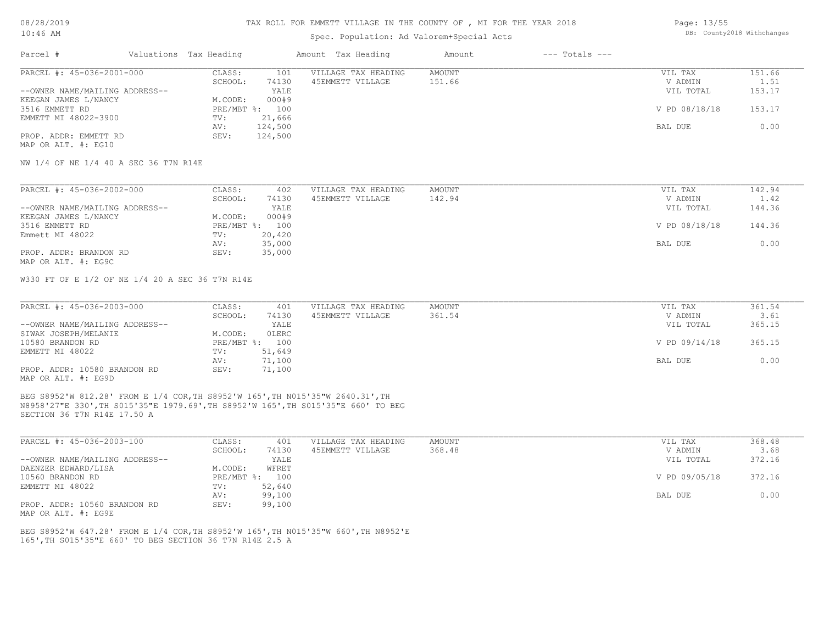### Spec. Population: Ad Valorem+Special Acts

| Page: 13/55 |                            |
|-------------|----------------------------|
|             | DB: County2018 Withchanges |

| Parcel #                       | Valuations Tax Heading |                | Amount Tax Heading  | Amount | $---$ Totals $---$ |               |        |
|--------------------------------|------------------------|----------------|---------------------|--------|--------------------|---------------|--------|
| PARCEL #: 45-036-2001-000      | CLASS:                 | 101            | VILLAGE TAX HEADING | AMOUNT |                    | VIL TAX       | 151.66 |
|                                | SCHOOL:                | 74130          | 45EMMETT VILLAGE    | 151.66 |                    | V ADMIN       | 1.51   |
| --OWNER NAME/MAILING ADDRESS-- |                        | YALE           |                     |        |                    | VIL TOTAL     | 153.17 |
| KEEGAN JAMES L/NANCY           | M.CODE:                | 000#9          |                     |        |                    |               |        |
| 3516 EMMETT RD                 |                        | PRE/MBT %: 100 |                     |        |                    | V PD 08/18/18 | 153.17 |
| EMMETT MI 48022-3900           | TV:                    | 21,666         |                     |        |                    |               |        |
|                                | AV:                    | 124,500        |                     |        |                    | BAL DUE       | 0.00   |
| PROP. ADDR: EMMETT RD          | SEV:                   | 124,500        |                     |        |                    |               |        |
| MAP OR ALT. #: EG10            |                        |                |                     |        |                    |               |        |

NW 1/4 OF NE 1/4 40 A SEC 36 T7N R14E

| PARCEL #: 45-036-2002-000      | CLASS:  | 402            | VILLAGE TAX HEADING | AMOUNT | VIL TAX       | 142.94 |
|--------------------------------|---------|----------------|---------------------|--------|---------------|--------|
|                                | SCHOOL: | 74130          | 45EMMETT VILLAGE    | 142.94 | V ADMIN       | 1.42   |
| --OWNER NAME/MAILING ADDRESS-- |         | YALE           |                     |        | VIL TOTAL     | 144.36 |
| KEEGAN JAMES L/NANCY           | M.CODE: | 000#9          |                     |        |               |        |
| 3516 EMMETT RD                 |         | PRE/MBT %: 100 |                     |        | V PD 08/18/18 | 144.36 |
| Emmett MI 48022                | TV:     | 20,420         |                     |        |               |        |
|                                | AV:     | 35,000         |                     |        | BAL DUE       | 0.00   |
| PROP. ADDR: BRANDON RD         | SEV:    | 35,000         |                     |        |               |        |
| MAP OR ALT. #: EG9C            |         |                |                     |        |               |        |

W330 FT OF E 1/2 OF NE 1/4 20 A SEC 36 T7N R14E

| PARCEL #: 45-036-2003-000      | CLASS:     | 401    | VILLAGE TAX HEADING | AMOUNT | VIL TAX       | 361.54 |
|--------------------------------|------------|--------|---------------------|--------|---------------|--------|
|                                | SCHOOL:    | 74130  | 45EMMETT VILLAGE    | 361.54 | V ADMIN       | 3.61   |
| --OWNER NAME/MAILING ADDRESS-- |            | YALE   |                     |        | VIL TOTAL     | 365.15 |
| SIWAK JOSEPH/MELANIE           | M.CODE:    | OLERC  |                     |        |               |        |
| 10580 BRANDON RD               | PRE/MBT %: | 100    |                     |        | V PD 09/14/18 | 365.15 |
| EMMETT MI 48022                | TV:        | 51,649 |                     |        |               |        |
|                                | AV:        | 71,100 |                     |        | BAL DUE       | 0.00   |
| PROP. ADDR: 10580 BRANDON RD   | SEV:       | 71,100 |                     |        |               |        |
| MAP OR ALT. #: EG9D            |            |        |                     |        |               |        |

 $\_$  , and the state of the state of the state of the state of the state of the state of the state of the state of the state of the state of the state of the state of the state of the state of the state of the state of the

SECTION 36 T7N R14E 17.50 A N8958'27"E 330',TH S015'35"E 1979.69',TH S8952'W 165',TH S015'35"E 660' TO BEG BEG S8952'W 812.28' FROM E 1/4 COR,TH S8952'W 165',TH N015'35"W 2640.31',TH

| PARCEL #: 45-036-2003-100      | CLASS:       | 401    | VILLAGE TAX HEADING | AMOUNT | VIL TAX       | 368.48 |
|--------------------------------|--------------|--------|---------------------|--------|---------------|--------|
|                                | SCHOOL:      | 74130  | 45EMMETT VILLAGE    | 368.48 | V ADMIN       | 3.68   |
| --OWNER NAME/MAILING ADDRESS-- |              | YALE   |                     |        | VIL TOTAL     | 372.16 |
| DAENZER EDWARD/LISA            | M.CODE:      | WFRET  |                     |        |               |        |
| 10560 BRANDON RD               | $PRE/MBT$ %: | 100    |                     |        | V PD 09/05/18 | 372.16 |
| EMMETT MI 48022                | TV:          | 52,640 |                     |        |               |        |
|                                | AV:          | 99,100 |                     |        | BAL DUE       | 0.00   |
| PROP. ADDR: 10560 BRANDON RD   | SEV:         | 99,100 |                     |        |               |        |

MAP OR ALT. #: EG9E

165',TH S015'35"E 660' TO BEG SECTION 36 T7N R14E 2.5 A BEG S8952'W 647.28' FROM E 1/4 COR,TH S8952'W 165',TH N015'35"W 660',TH N8952'E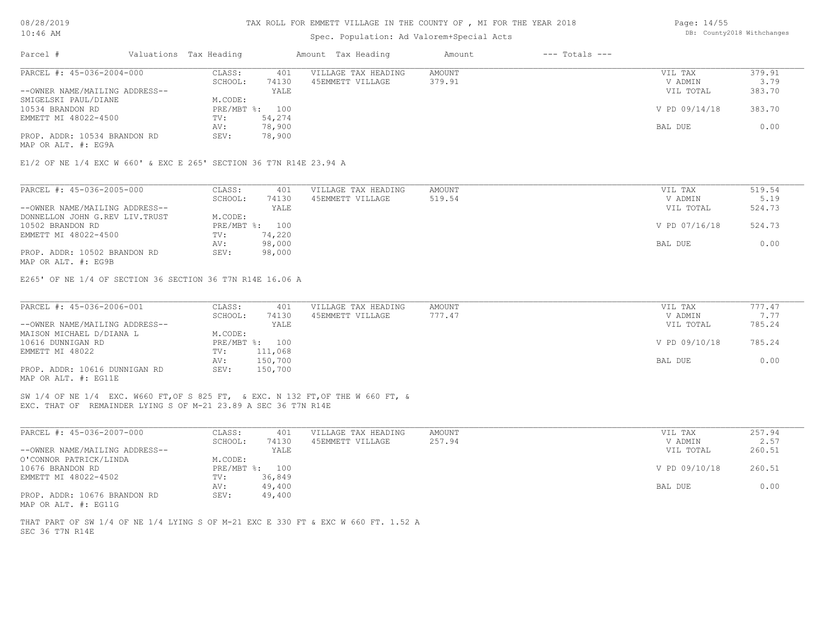## Spec. Population: Ad Valorem+Special Acts

| Page: 14/55 |                            |
|-------------|----------------------------|
|             | DB: County2018 Withchanges |

| Parcel #                       | Valuations Tax Heading |        | Amount Tax Heading  | Amount | $---$ Totals $---$ |               |        |
|--------------------------------|------------------------|--------|---------------------|--------|--------------------|---------------|--------|
| PARCEL #: 45-036-2004-000      | CLASS:                 | 401    | VILLAGE TAX HEADING | AMOUNT |                    | VIL TAX       | 379.91 |
|                                | SCHOOL:                | 74130  | 45EMMETT VILLAGE    | 379.91 |                    | V ADMIN       | 3.79   |
| --OWNER NAME/MAILING ADDRESS-- |                        | YALE   |                     |        |                    | VIL TOTAL     | 383.70 |
| SMIGELSKI PAUL/DIANE           | M.CODE:                |        |                     |        |                    |               |        |
| 10534 BRANDON RD               | PRE/MBT %: 100         |        |                     |        |                    | V PD 09/14/18 | 383.70 |
| EMMETT MI 48022-4500           | TV:                    | 54,274 |                     |        |                    |               |        |
|                                | AV:                    | 78,900 |                     |        |                    | BAL DUE       | 0.00   |
| PROP. ADDR: 10534 BRANDON RD   | SEV:                   | 78,900 |                     |        |                    |               |        |
|                                |                        |        |                     |        |                    |               |        |

MAP OR ALT. #: EG9A

E1/2 OF NE 1/4 EXC W 660' & EXC E 265' SECTION 36 T7N R14E 23.94 A

| PARCEL #: 45-036-2005-000      | CLASS:  | 401            | VILLAGE TAX HEADING | AMOUNT | VIL TAX       | 519.54 |
|--------------------------------|---------|----------------|---------------------|--------|---------------|--------|
|                                | SCHOOL: | 74130          | 45EMMETT VILLAGE    | 519.54 | V ADMIN       | 5.19   |
| --OWNER NAME/MAILING ADDRESS-- |         | YALE           |                     |        | VIL TOTAL     | 524.73 |
| DONNELLON JOHN G.REV LIV.TRUST | M.CODE: |                |                     |        |               |        |
| 10502 BRANDON RD               |         | PRE/MBT %: 100 |                     |        | V PD 07/16/18 | 524.73 |
| EMMETT MI 48022-4500           | TV:     | 74,220         |                     |        |               |        |
|                                | AV:     | 98,000         |                     |        | BAL DUE       | 0.00   |
| PROP. ADDR: 10502 BRANDON RD   | SEV:    | 98,000         |                     |        |               |        |
| MAP OR ALT. #: EG9B            |         |                |                     |        |               |        |

E265' OF NE 1/4 OF SECTION 36 SECTION 36 T7N R14E 16.06 A

| PARCEL #: 45-036-2006-001      | CLASS:  | 401            | VILLAGE TAX HEADING | AMOUNT | VIL TAX       | 777.47 |
|--------------------------------|---------|----------------|---------------------|--------|---------------|--------|
|                                | SCHOOL: | 74130          | 45EMMETT VILLAGE    | 777.47 | V ADMIN       | 7.77   |
| --OWNER NAME/MAILING ADDRESS-- |         | YALE           |                     |        | VIL TOTAL     | 785.24 |
| MAISON MICHAEL D/DIANA L       | M.CODE: |                |                     |        |               |        |
| 10616 DUNNIGAN RD              |         | PRE/MBT %: 100 |                     |        | V PD 09/10/18 | 785.24 |
| EMMETT MI 48022                | TV:     | 111,068        |                     |        |               |        |
|                                | AV:     | 150,700        |                     |        | BAL DUE       | 0.00   |
| PROP. ADDR: 10616 DUNNIGAN RD  | SEV:    | 150,700        |                     |        |               |        |
| MAP OR ALT. #: EG11E           |         |                |                     |        |               |        |

EXC. THAT OF REMAINDER LYING S OF M-21 23.89 A SEC 36 T7N R14E SW 1/4 OF NE 1/4 EXC. W660 FT,OF S 825 FT, & EXC. N 132 FT,OF THE W 660 FT, &

| PARCEL #: 45-036-2007-000      | CLASS:  | 401            | VILLAGE TAX HEADING | AMOUNT | VIL TAX       | 257.94 |
|--------------------------------|---------|----------------|---------------------|--------|---------------|--------|
|                                | SCHOOL: | 74130          | 45EMMETT VILLAGE    | 257.94 | V ADMIN       | 2.57   |
| --OWNER NAME/MAILING ADDRESS-- |         | YALE           |                     |        | VIL TOTAL     | 260.51 |
| O'CONNOR PATRICK/LINDA         | M.CODE: |                |                     |        |               |        |
| 10676 BRANDON RD               |         | PRE/MBT %: 100 |                     |        | V PD 09/10/18 | 260.51 |
| EMMETT MI 48022-4502           | TV:     | 36,849         |                     |        |               |        |
|                                | AV:     | 49,400         |                     |        | BAL DUE       | 0.00   |
| PROP. ADDR: 10676 BRANDON RD   | SEV:    | 49,400         |                     |        |               |        |
| MAP OR ALT. #: EG11G           |         |                |                     |        |               |        |

SEC 36 T7N R14E THAT PART OF SW 1/4 OF NE 1/4 LYING S OF M-21 EXC E 330 FT & EXC W 660 FT. 1.52 A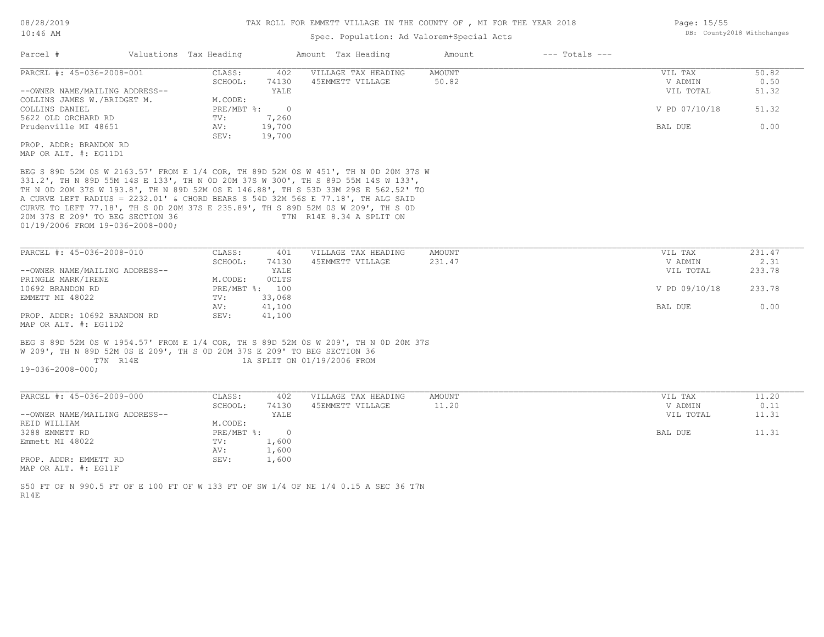## Spec. Population: Ad Valorem+Special Acts

| Parcel #                       | Valuations Tax Heading |        | Amount Tax Heading  | Amount | $---$ Totals $---$ |               |       |
|--------------------------------|------------------------|--------|---------------------|--------|--------------------|---------------|-------|
| PARCEL #: 45-036-2008-001      | CLASS:                 | 402    | VILLAGE TAX HEADING | AMOUNT |                    | VIL TAX       | 50.82 |
|                                | SCHOOL:                | 74130  | 45EMMETT VILLAGE    | 50.82  |                    | V ADMIN       | 0.50  |
| --OWNER NAME/MAILING ADDRESS-- |                        | YALE   |                     |        |                    | VIL TOTAL     | 51.32 |
| COLLINS JAMES W./BRIDGET M.    | M.CODE:                |        |                     |        |                    |               |       |
| COLLINS DANIEL                 | PRE/MBT %:             |        |                     |        |                    | V PD 07/10/18 | 51.32 |
| 5622 OLD ORCHARD RD            | TV:                    | 7,260  |                     |        |                    |               |       |
| Prudenville MI 48651           | AV:                    | 19,700 |                     |        |                    | BAL DUE       | 0.00  |
|                                | SEV:                   | 19,700 |                     |        |                    |               |       |
| PROP. ADDR: BRANDON RD         |                        |        |                     |        |                    |               |       |
| MAP OR ALT. #: EG11D1          |                        |        |                     |        |                    |               |       |

01/19/2006 FROM 19-036-2008-000; 20M 37S E 209' TO BEG SECTION 36 T7N R14E 8.34 A SPLIT ON CURVE TO LEFT 77.18', TH S 0D 20M 37S E 235.89', TH S 89D 52M 0S W 209', TH S 0D A CURVE LEFT RADIUS = 2232.01' & CHORD BEARS S 54D 32M 56S E 77.18', TH ALG SAID TH N 0D 20M 37S W 193.8', TH N 89D 52M 0S E 146.88', TH S 53D 33M 29S E 562.52' TO 331.2', TH N 89D 55M 14S E 133', TH N 0D 20M 37S W 300', TH S 89D 55M 14S W 133', BEG S 89D 52M 0S W 2163.57' FROM E 1/4 COR, TH 89D 52M 0S W 451', TH N 0D 20M 37S W

| PARCEL #: 45-036-2008-010      | CLASS:  | 401            | VILLAGE TAX HEADING | AMOUNT | VIL TAX       | 231.47 |
|--------------------------------|---------|----------------|---------------------|--------|---------------|--------|
|                                | SCHOOL: | 74130          | 45EMMETT VILLAGE    | 231.47 | V ADMIN       | 2.31   |
| --OWNER NAME/MAILING ADDRESS-- |         | YALE           |                     |        | VIL TOTAL     | 233.78 |
| PRINGLE MARK/IRENE             | M.CODE: | <b>OCLTS</b>   |                     |        |               |        |
| 10692 BRANDON RD               |         | PRE/MBT %: 100 |                     |        | V PD 09/10/18 | 233.78 |
| EMMETT MI 48022                | TV:     | 33,068         |                     |        |               |        |
|                                | AV:     | 41,100         |                     |        | BAL DUE       | 0.00   |
| PROP. ADDR: 10692 BRANDON RD   | SEV:    | 41,100         |                     |        |               |        |
| MAP OR ALT. $\#$ : EG11D2      |         |                |                     |        |               |        |

 T7N R14E 1A SPLIT ON 01/19/2006 FROM W 209', TH N 89D 52M 0S E 209', TH S 0D 20M 37S E 209' TO BEG SECTION 36 BEG S 89D 52M 0S W 1954.57' FROM E 1/4 COR, TH S 89D 52M 0S W 209', TH N 0D 20M 37S

19-036-2008-000;

| PARCEL #: 45-036-2009-000      | CLASS:     | 402    | VILLAGE TAX HEADING | AMOUNT | VIL TAX   | 11.20 |
|--------------------------------|------------|--------|---------------------|--------|-----------|-------|
|                                | SCHOOL:    | 74130  | 45EMMETT VILLAGE    | 11.20  | V ADMIN   | 0.11  |
| --OWNER NAME/MAILING ADDRESS-- |            | YALE   |                     |        | VIL TOTAL | 11.31 |
| REID WILLIAM                   | M.CODE:    |        |                     |        |           |       |
| 3288 EMMETT RD                 | PRE/MBT %: | $\cap$ |                     |        | BAL DUE   | 11.31 |
| Emmett MI 48022                | TV:        | 1,600  |                     |        |           |       |
|                                | AV:        | 1,600  |                     |        |           |       |
| PROP. ADDR: EMMETT RD          | SEV:       | 1,600  |                     |        |           |       |
| MAP OR ALT. #: EG11F           |            |        |                     |        |           |       |

 $\_$  , and the state of the state of the state of the state of the state of the state of the state of the state of the state of the state of the state of the state of the state of the state of the state of the state of the

R14E S50 FT OF N 990.5 FT OF E 100 FT OF W 133 FT OF SW 1/4 OF NE 1/4 0.15 A SEC 36 T7N Page: 15/55 DB: County2018 Withchanges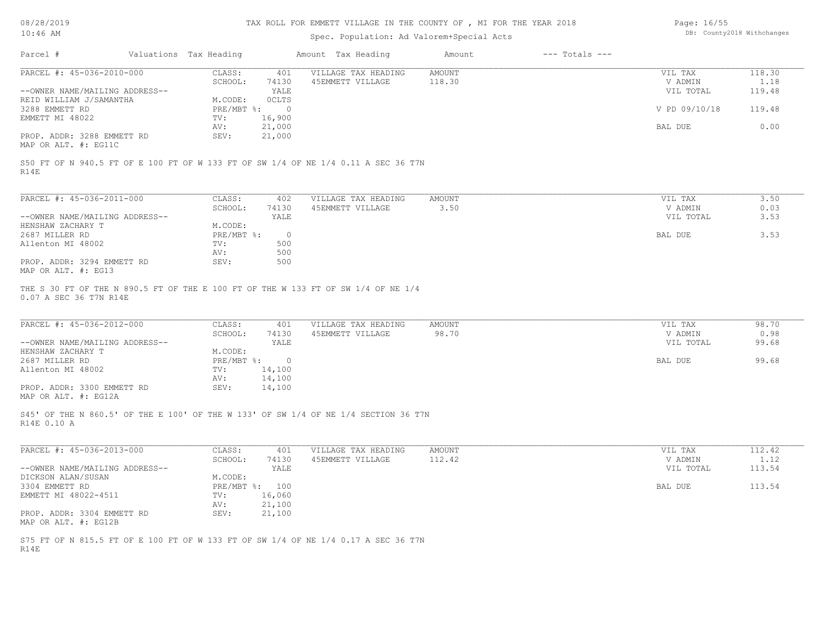## Spec. Population: Ad Valorem+Special Acts

| Page: 16/55 |                            |
|-------------|----------------------------|
|             | DB: County2018 Withchanges |

| Parcel #                                     | Valuations Tax Heading |        | Amount Tax Heading  | Amount | $---$ Totals $---$ |               |        |
|----------------------------------------------|------------------------|--------|---------------------|--------|--------------------|---------------|--------|
| PARCEL #: 45-036-2010-000                    | CLASS:                 | 401    | VILLAGE TAX HEADING | AMOUNT |                    | VIL TAX       | 118.30 |
|                                              | SCHOOL:                | 74130  | 45EMMETT VILLAGE    | 118.30 |                    | V ADMIN       | 1.18   |
| --OWNER NAME/MAILING ADDRESS--               |                        | YALE   |                     |        |                    | VIL TOTAL     | 119.48 |
| REID WILLIAM J/SAMANTHA                      | M.CODE:                | 0CLTS  |                     |        |                    |               |        |
| 3288 EMMETT RD                               | PRE/MBT %:             |        |                     |        |                    | V PD 09/10/18 | 119.48 |
| EMMETT MI 48022                              | TV:                    | 16,900 |                     |        |                    |               |        |
|                                              | AV:                    | 21,000 |                     |        |                    | BAL DUE       | 0.00   |
| PROP. ADDR: 3288 EMMETT RD                   | SEV:                   | 21,000 |                     |        |                    |               |        |
| $\cdots$ $\cdots$ $\cdots$ $\cdots$ $\cdots$ |                        |        |                     |        |                    |               |        |

MAP OR ALT. #: EG11C

R14E S50 FT OF N 940.5 FT OF E 100 FT OF W 133 FT OF SW 1/4 OF NE 1/4 0.11 A SEC 36 T7N

| PARCEL #: 45-036-2011-000      | CLASS:     | 402   | VILLAGE TAX HEADING | AMOUNT | 3.50<br>VIL TAX   |
|--------------------------------|------------|-------|---------------------|--------|-------------------|
|                                | SCHOOL:    | 74130 | 45EMMETT VILLAGE    | 3.50   | 0.03<br>V ADMIN   |
| --OWNER NAME/MAILING ADDRESS-- |            | YALE  |                     |        | 3.53<br>VIL TOTAL |
| HENSHAW ZACHARY T              | M.CODE:    |       |                     |        |                   |
| 2687 MILLER RD                 | PRE/MBT %: | ∩.    |                     |        | 3.53<br>BAL DUE   |
| Allenton MI 48002              | TV:        | 500   |                     |        |                   |
|                                | AV:        | 500   |                     |        |                   |
| PROP. ADDR: 3294 EMMETT RD     | SEV:       | 500   |                     |        |                   |
| MAP OR ALT. #: EG13            |            |       |                     |        |                   |

0.07 A SEC 36 T7N R14E THE S 30 FT OF THE N 890.5 FT OF THE E 100 FT OF THE W 133 FT OF SW 1/4 OF NE 1/4

| PARCEL #: 45-036-2012-000      | CLASS:       | 401    | VILLAGE TAX HEADING | AMOUNT | VIL TAX   | 98.70 |
|--------------------------------|--------------|--------|---------------------|--------|-----------|-------|
|                                | SCHOOL:      | 74130  | 45EMMETT VILLAGE    | 98.70  | V ADMIN   | 0.98  |
| --OWNER NAME/MAILING ADDRESS-- |              | YALE   |                     |        | VIL TOTAL | 99.68 |
| HENSHAW ZACHARY T              | M.CODE:      |        |                     |        |           |       |
| 2687 MILLER RD                 | $PRE/MBT$ %: |        |                     |        | BAL DUE   | 99.68 |
| Allenton MI 48002              | TV:          | 14,100 |                     |        |           |       |
|                                | AV:          | 14,100 |                     |        |           |       |
| PROP. ADDR: 3300 EMMETT RD     | SEV:         | 14,100 |                     |        |           |       |
| MAP OR ALT. #: EG12A           |              |        |                     |        |           |       |

R14E 0.10 A S45' OF THE N 860.5' OF THE E 100' OF THE W 133' OF SW 1/4 OF NE 1/4 SECTION 36 T7N

| PARCEL #: 45-036-2013-000      | CLASS:         | 401    | VILLAGE TAX HEADING | AMOUNT | VIL TAX   | 112.42 |
|--------------------------------|----------------|--------|---------------------|--------|-----------|--------|
|                                | SCHOOL:        | 74130  | 45EMMETT VILLAGE    | 112.42 | V ADMIN   | 1.12   |
| --OWNER NAME/MAILING ADDRESS-- |                | YALE   |                     |        | VIL TOTAL | 113.54 |
| DICKSON ALAN/SUSAN             | M.CODE:        |        |                     |        |           |        |
| 3304 EMMETT RD                 | PRE/MBT %: 100 |        |                     |        | BAL DUE   | 113.54 |
| EMMETT MI 48022-4511           | TV:            | 16,060 |                     |        |           |        |
|                                | AV:            | 21,100 |                     |        |           |        |
| PROP. ADDR: 3304 EMMETT RD     | SEV:           | 21,100 |                     |        |           |        |
| MAP OR ALT. #: EG12B           |                |        |                     |        |           |        |

R14E S75 FT OF N 815.5 FT OF E 100 FT OF W 133 FT OF SW 1/4 OF NE 1/4 0.17 A SEC 36 T7N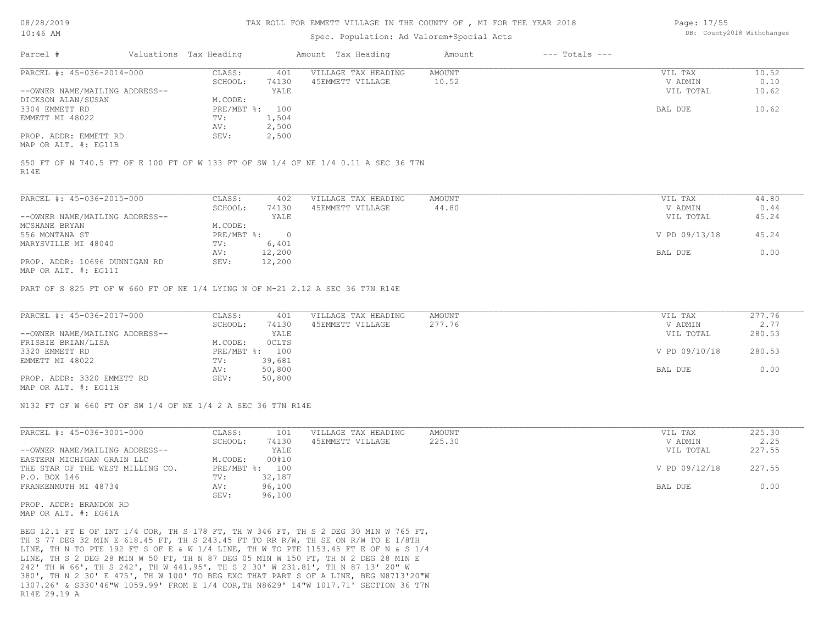### Spec. Population: Ad Valorem+Special Acts

Page: 17/55 DB: County2018 Withchanges

| Parcel #                       | Valuations Tax Heading |       | Amount Tax Heading  | Amount | $---$ Totals $---$ |           |       |
|--------------------------------|------------------------|-------|---------------------|--------|--------------------|-----------|-------|
| PARCEL #: 45-036-2014-000      | CLASS:                 | 401   | VILLAGE TAX HEADING | AMOUNT |                    | VIL TAX   | 10.52 |
|                                | SCHOOL:                | 74130 | 45EMMETT VILLAGE    | 10.52  |                    | V ADMIN   | 0.10  |
| --OWNER NAME/MAILING ADDRESS-- |                        | YALE  |                     |        |                    | VIL TOTAL | 10.62 |
| DICKSON ALAN/SUSAN             | M.CODE:                |       |                     |        |                    |           |       |
| 3304 EMMETT RD                 | PRE/MBT %:             | 100   |                     |        |                    | BAL DUE   | 10.62 |
| EMMETT MI 48022                | TV:                    | 1,504 |                     |        |                    |           |       |
|                                | AV:                    | 2,500 |                     |        |                    |           |       |
| PROP. ADDR: EMMETT RD          | SEV:                   | 2,500 |                     |        |                    |           |       |
| MAP OR ALT. #: EG11B           |                        |       |                     |        |                    |           |       |

R14E S50 FT OF N 740.5 FT OF E 100 FT OF W 133 FT OF SW 1/4 OF NE 1/4 0.11 A SEC 36 T7N

| PARCEL #: 45-036-2015-000                      | CLASS:     | 402    | VILLAGE TAX HEADING | AMOUNT | VIL TAX       | 44.80 |
|------------------------------------------------|------------|--------|---------------------|--------|---------------|-------|
|                                                | SCHOOL:    | 74130  | 45EMMETT VILLAGE    | 44.80  | V ADMIN       | 0.44  |
| --OWNER NAME/MAILING ADDRESS--                 |            | YALE   |                     |        | VIL TOTAL     | 45.24 |
| MCSHANE BRYAN                                  | M.CODE:    |        |                     |        |               |       |
| 556 MONTANA ST                                 | PRE/MBT %: |        |                     |        | V PD 09/13/18 | 45.24 |
| MARYSVILLE MI 48040                            | TV:        | 6,401  |                     |        |               |       |
|                                                | AV:        | 12,200 |                     |        | BAL DUE       | 0.00  |
| PROP. ADDR: 10696 DUNNIGAN RD<br>$\frac{1}{2}$ | SEV:       | 12,200 |                     |        |               |       |

MAP OR ALT. #: EG11I

PART OF S 825 FT OF W 660 FT OF NE 1/4 LYING N OF M-21 2.12 A SEC 36 T7N R14E

| PARCEL #: 45-036-2017-000                                                                                       | CLASS:  | 401            | VILLAGE TAX HEADING | AMOUNT | VIL TAX       | 277.76 |
|-----------------------------------------------------------------------------------------------------------------|---------|----------------|---------------------|--------|---------------|--------|
|                                                                                                                 | SCHOOL: | 74130          | 45EMMETT VILLAGE    | 277.76 | V ADMIN       | 2.77   |
| --OWNER NAME/MAILING ADDRESS--                                                                                  |         | YALE           |                     |        | VIL TOTAL     | 280.53 |
| FRISBIE BRIAN/LISA                                                                                              | M.CODE: | OCLTS          |                     |        |               |        |
| 3320 EMMETT RD                                                                                                  |         | PRE/MBT %: 100 |                     |        | V PD 09/10/18 | 280.53 |
| EMMETT MI 48022                                                                                                 | TV:     | 39,681         |                     |        |               |        |
|                                                                                                                 | AV:     | 50,800         |                     |        | BAL DUE       | 0.00   |
| PROP. ADDR: 3320 EMMETT RD                                                                                      | SEV:    | 50,800         |                     |        |               |        |
| the contract of the contract of the contract of the contract of the contract of the contract of the contract of |         |                |                     |        |               |        |

MAP OR ALT. #: EG11H

N132 FT OF W 660 FT OF SW 1/4 OF NE 1/4 2 A SEC 36 T7N R14E

| 74130<br>225.30<br>SCHOOL:<br>45EMMETT VILLAGE<br>YALE<br>00#10<br>M.CODE: | V ADMIN       | 2.25   |
|----------------------------------------------------------------------------|---------------|--------|
| --OWNER NAME/MAILING ADDRESS--                                             |               |        |
| EASTERN MICHIGAN GRAIN LLC                                                 | VIL TOTAL     | 227.55 |
|                                                                            |               |        |
| PRE/MBT %:<br>100<br>THE STAR OF THE WEST MILLING CO.                      | V PD 09/12/18 | 227.55 |
| 32,187<br>P.O. BOX 146<br>TV:                                              |               |        |
| 96,100<br>FRANKENMUTH MI 48734<br>AV:                                      | BAL DUE       | 0.00   |
| 96,100<br>SEV:                                                             |               |        |

MAP OR ALT. #: EG61A PROP. ADDR: BRANDON RD

R14E 29.19 A 1307.26' & S330'46"W 1059.99' FROM E 1/4 COR,TH N8629' 14"W 1017.71' SECTION 36 T7N 380', TH N 2 30' E 475', TH W 100' TO BEG EXC THAT PART S OF A LINE, BEG N8713'20"W 242' TH W 66', TH S 242', TH W 441.95', TH S 2 30' W 231.81', TH N 87 13' 20" W LINE, TH S 2 DEG 28 MIN W 50 FT, TH N 87 DEG 05 MIN W 150 FT, TH N 2 DEG 28 MIN E LINE, TH N TO PTE 192 FT S OF E & W 1/4 LINE, TH W TO PTE 1153.45 FT E OF N & S 1/4 TH S 77 DEG 32 MIN E 618.45 FT, TH S 243.45 FT TO RR R/W, TH SE ON R/W TO E 1/8TH BEG 12.1 FT E OF INT 1/4 COR, TH S 178 FT, TH W 346 FT, TH S 2 DEG 30 MIN W 765 FT,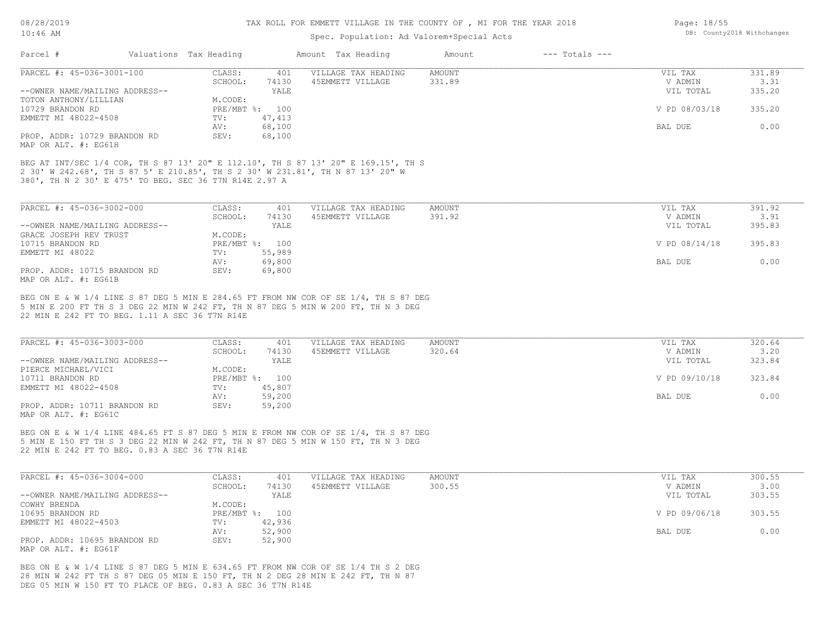## Spec. Population: Ad Valorem+Special Acts

| Parcel #                       | Valuations Tax Heading |                | Amount Tax Heading  | Amount | $---$ Totals $---$ |               |        |
|--------------------------------|------------------------|----------------|---------------------|--------|--------------------|---------------|--------|
| PARCEL #: 45-036-3001-100      | CLASS:                 | 401            | VILLAGE TAX HEADING | AMOUNT |                    | VIL TAX       | 331.89 |
|                                | SCHOOL:                | 74130          | 45EMMETT VILLAGE    | 331.89 |                    | V ADMIN       | 3.31   |
| --OWNER NAME/MAILING ADDRESS-- |                        | YALE           |                     |        |                    | VIL TOTAL     | 335.20 |
| TOTON ANTHONY/LILLIAN          | M.CODE:                |                |                     |        |                    |               |        |
| 10729 BRANDON RD               |                        | PRE/MBT %: 100 |                     |        |                    | V PD 08/03/18 | 335.20 |
| EMMETT MI 48022-4508           | TV:                    | 47,413         |                     |        |                    |               |        |
|                                | AV:                    | 68,100         |                     |        |                    | BAL DUE       | 0.00   |
| PROP. ADDR: 10729 BRANDON RD   | SEV:                   | 68,100         |                     |        |                    |               |        |
| MAP OR ALT. #: EG61H           |                        |                |                     |        |                    |               |        |

380', TH N 2 30' E 475' TO BEG. SEC 36 T7N R14E 2.97 A 2 30' W 242.68', TH S 87 5' E 210.85', TH S 2 30' W 231.81', TH N 87 13' 20" W BEG AT INT/SEC 1/4 COR, TH S 87 13' 20" E 112.10', TH S 87 13' 20" E 169.15', TH S

| PARCEL #: 45-036-3002-000      | CLASS:  | 401            | VILLAGE TAX HEADING | AMOUNT | VIL TAX       | 391.92 |
|--------------------------------|---------|----------------|---------------------|--------|---------------|--------|
|                                | SCHOOL: | 74130          | 45EMMETT VILLAGE    | 391.92 | V ADMIN       | 3.91   |
| --OWNER NAME/MAILING ADDRESS-- |         | YALE           |                     |        | VIL TOTAL     | 395.83 |
| GRACE JOSEPH REV TRUST         | M.CODE: |                |                     |        |               |        |
| 10715 BRANDON RD               |         | PRE/MBT %: 100 |                     |        | V PD 08/14/18 | 395.83 |
| EMMETT MI 48022                | TV:     | 55,989         |                     |        |               |        |
|                                | AV:     | 69,800         |                     |        | BAL DUE       | 0.00   |
| PROP. ADDR: 10715 BRANDON RD   | SEV:    | 69,800         |                     |        |               |        |
| MAP OR ALT. #: EG61B           |         |                |                     |        |               |        |

22 MIN E 242 FT TO BEG. 1.11 A SEC 36 T7N R14E 5 MIN E 200 FT TH S 3 DEG 22 MIN W 242 FT, TH N 87 DEG 5 MIN W 200 FT, TH N 3 DEG BEG ON E & W 1/4 LINE S 87 DEG 5 MIN E 284.65 FT FROM NW COR OF SE 1/4, TH S 87 DEG

| PARCEL #: 45-036-3003-000      | CLASS:  | 401            | VILLAGE TAX HEADING | AMOUNT | VIL TAX       | 320.64 |
|--------------------------------|---------|----------------|---------------------|--------|---------------|--------|
|                                | SCHOOL: | 74130          | 45EMMETT VILLAGE    | 320.64 | V ADMIN       | 3.20   |
| --OWNER NAME/MAILING ADDRESS-- |         | YALE           |                     |        | VIL TOTAL     | 323.84 |
| PIERCE MICHAEL/VICI            | M.CODE: |                |                     |        |               |        |
| 10711 BRANDON RD               |         | PRE/MBT %: 100 |                     |        | V PD 09/10/18 | 323.84 |
| EMMETT MI 48022-4508           | TV:     | 45,807         |                     |        |               |        |
|                                | AV:     | 59,200         |                     |        | BAL DUE       | 0.00   |
| PROP. ADDR: 10711 BRANDON RD   | SEV:    | 59,200         |                     |        |               |        |
| MAP OR ALT. #: EG61C           |         |                |                     |        |               |        |

22 MIN E 242 FT TO BEG. 0.83 A SEC 36 T7N R14E 5 MIN E 150 FT TH S 3 DEG 22 MIN W 242 FT, TH N 87 DEG 5 MIN W 150 FT, TH N 3 DEG BEG ON E & W 1/4 LINE 484.65 FT S 87 DEG 5 MIN E FROM NW COR OF SE 1/4, TH S 87 DEG

| PARCEL #: 45-036-3004-000      | CLASS:  | 401            | VILLAGE TAX HEADING | AMOUNT | VIL TAX       | 300.55 |
|--------------------------------|---------|----------------|---------------------|--------|---------------|--------|
|                                | SCHOOL: | 74130          | 45EMMETT VILLAGE    | 300.55 | V ADMIN       | 3.00   |
| --OWNER NAME/MAILING ADDRESS-- |         | YALE           |                     |        | VIL TOTAL     | 303.55 |
| COWHY BRENDA                   | M.CODE: |                |                     |        |               |        |
| 10695 BRANDON RD               |         | PRE/MBT %: 100 |                     |        | V PD 09/06/18 | 303.55 |
| EMMETT MI 48022-4503           | TV:     | 42,936         |                     |        |               |        |
|                                | AV:     | 52,900         |                     |        | BAL DUE       | 0.00   |
| PROP. ADDR: 10695 BRANDON RD   | SEV:    | 52,900         |                     |        |               |        |
| MAP OR ALT. #: EG61F           |         |                |                     |        |               |        |

DEG 05 MIN W 150 FT TO PLACE OF BEG. 0.83 A SEC 36 T7N R14E 28 MIN W 242 FT TH S 87 DEG 05 MIN E 150 FT, TH N 2 DEG 28 MIN E 242 FT, TH N 87 BEG ON E & W 1/4 LINE S 87 DEG 5 MIN E 634.65 FT FROM NW COR OF SE 1/4 TH S 2 DEG Page: 18/55 DB: County2018 Withchanges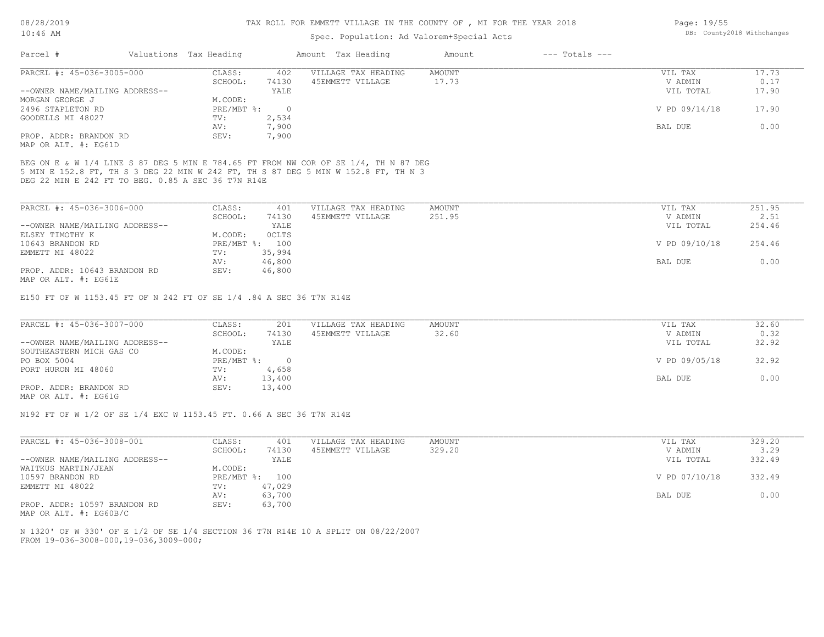## Spec. Population: Ad Valorem+Special Acts

| Parcel #                       | Valuations Tax Heading |       | Amount Tax Heading  | Amount | $---$ Totals $---$ |               |       |
|--------------------------------|------------------------|-------|---------------------|--------|--------------------|---------------|-------|
| PARCEL #: 45-036-3005-000      | CLASS:                 | 402   | VILLAGE TAX HEADING | AMOUNT |                    | VIL TAX       | 17.73 |
|                                | SCHOOL:                | 74130 | 45EMMETT VILLAGE    | 17.73  |                    | V ADMIN       | 0.17  |
| --OWNER NAME/MAILING ADDRESS-- |                        | YALE  |                     |        |                    | VIL TOTAL     | 17.90 |
| MORGAN GEORGE J                | M.CODE:                |       |                     |        |                    |               |       |
| 2496 STAPLETON RD              | PRE/MBT %:             |       |                     |        |                    | V PD 09/14/18 | 17.90 |
| GOODELLS MI 48027              | TV:                    | 2,534 |                     |        |                    |               |       |
|                                | AV:                    | 7,900 |                     |        |                    | BAL DUE       | 0.00  |
| PROP. ADDR: BRANDON RD         | SEV:                   | 7,900 |                     |        |                    |               |       |
| MAP OR ALT. #: EG61D           |                        |       |                     |        |                    |               |       |

DEG 22 MIN E 242 FT TO BEG. 0.85 A SEC 36 T7N R14E 5 MIN E 152.8 FT, TH S 3 DEG 22 MIN W 242 FT, TH S 87 DEG 5 MIN W 152.8 FT, TH N 3 BEG ON E & W 1/4 LINE S 87 DEG 5 MIN E 784.65 FT FROM NW COR OF SE 1/4, TH N 87 DEG

| PARCEL #: 45-036-3006-000      | CLASS:     | 401    | VILLAGE TAX HEADING | AMOUNT | VIL TAX       | 251.95 |
|--------------------------------|------------|--------|---------------------|--------|---------------|--------|
|                                | SCHOOL:    | 74130  | 45EMMETT VILLAGE    | 251.95 | V ADMIN       | 2.51   |
| --OWNER NAME/MAILING ADDRESS-- |            | YALE   |                     |        | VIL TOTAL     | 254.46 |
| ELSEY TIMOTHY K                | M.CODE:    | OCLTS  |                     |        |               |        |
| 10643 BRANDON RD               | PRE/MBT %: | 100    |                     |        | V PD 09/10/18 | 254.46 |
| EMMETT MI 48022                | TV:        | 35,994 |                     |        |               |        |
|                                | AV:        | 46,800 |                     |        | BAL DUE       | 0.00   |
| PROP. ADDR: 10643 BRANDON RD   | SEV:       | 46,800 |                     |        |               |        |
| MAP OR ALT. #: EG61E           |            |        |                     |        |               |        |

E150 FT OF W 1153.45 FT OF N 242 FT OF SE 1/4 .84 A SEC 36 T7N R14E

| PARCEL #: 45-036-3007-000      | CLASS:     | 201    | VILLAGE TAX HEADING | AMOUNT | VIL TAX       | 32.60 |
|--------------------------------|------------|--------|---------------------|--------|---------------|-------|
|                                | SCHOOL:    | 74130  | 45EMMETT VILLAGE    | 32.60  | V ADMIN       | 0.32  |
| --OWNER NAME/MAILING ADDRESS-- |            | YALE   |                     |        | VIL TOTAL     | 32.92 |
| SOUTHEASTERN MICH GAS CO       | M.CODE:    |        |                     |        |               |       |
| PO BOX 5004                    | PRE/MBT %: |        |                     |        | V PD 09/05/18 | 32.92 |
| PORT HURON MI 48060            | TV:        | 4,658  |                     |        |               |       |
|                                | AV:        | 13,400 |                     |        | BAL DUE       | 0.00  |
| PROP. ADDR: BRANDON RD         | SEV:       | 13,400 |                     |        |               |       |
| MAP OR ALT. #: EG61G           |            |        |                     |        |               |       |

N192 FT OF W 1/2 OF SE 1/4 EXC W 1153.45 FT. 0.66 A SEC 36 T7N R14E

| CLASS:  | 401    | VILLAGE TAX HEADING | AMOUNT | VIL TAX       | 329.20 |
|---------|--------|---------------------|--------|---------------|--------|
| SCHOOL: | 74130  | 45EMMETT VILLAGE    | 329.20 | V ADMIN       | 3.29   |
|         | YALE   |                     |        | VIL TOTAL     | 332.49 |
| M.CODE: |        |                     |        |               |        |
|         | 100    |                     |        | V PD 07/10/18 | 332.49 |
| TV:     | 47,029 |                     |        |               |        |
| AV:     | 63,700 |                     |        | BAL DUE       | 0.00   |
| SEV:    | 63,700 |                     |        |               |        |
|         |        | $PRE/MBT$ %:        |        |               |        |

MAP OR ALT. #: EG60B/C

FROM 19-036-3008-000,19-036,3009-000; N 1320' OF W 330' OF E 1/2 OF SE 1/4 SECTION 36 T7N R14E 10 A SPLIT ON 08/22/2007 Page: 19/55 DB: County2018 Withchanges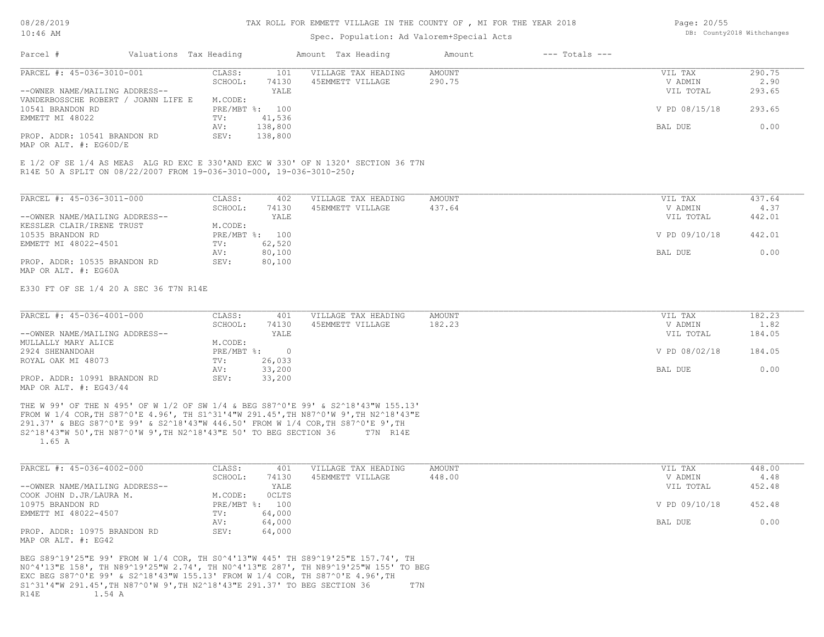## Spec. Population: Ad Valorem+Special Acts

| Page: 20/55 |                            |
|-------------|----------------------------|
|             | DB: County2018 Withchanges |

| Parcel #                            | Valuations Tax Heading |                | Amount Tax Heading  | Amount | $---$ Totals $---$ |               |        |
|-------------------------------------|------------------------|----------------|---------------------|--------|--------------------|---------------|--------|
| PARCEL #: 45-036-3010-001           | CLASS:                 | 101            | VILLAGE TAX HEADING | AMOUNT |                    | VIL TAX       | 290.75 |
|                                     | SCHOOL:                | 74130          | 45EMMETT VILLAGE    | 290.75 |                    | V ADMIN       | 2.90   |
| --OWNER NAME/MAILING ADDRESS--      |                        | YALE           |                     |        |                    | VIL TOTAL     | 293.65 |
| VANDERBOSSCHE ROBERT / JOANN LIFE E | M.CODE:                |                |                     |        |                    |               |        |
| 10541 BRANDON RD                    |                        | PRE/MBT %: 100 |                     |        |                    | V PD 08/15/18 | 293.65 |
| EMMETT MI 48022                     | TV:                    | 41,536         |                     |        |                    |               |        |
|                                     | AV:                    | 138,800        |                     |        |                    | BAL DUE       | 0.00   |
| PROP. ADDR: 10541 BRANDON RD        | SEV:                   | 138,800        |                     |        |                    |               |        |
| MAP OR ALT. $\#$ : EG60D/E          |                        |                |                     |        |                    |               |        |

R14E 50 A SPLIT ON 08/22/2007 FROM 19-036-3010-000, 19-036-3010-250; E 1/2 OF SE 1/4 AS MEAS ALG RD EXC E 330'AND EXC W 330' OF N 1320' SECTION 36 T7N

| PARCEL #: 45-036-3011-000      | CLASS:     | 402    | VILLAGE TAX HEADING | AMOUNT | VIL TAX       | 437.64 |
|--------------------------------|------------|--------|---------------------|--------|---------------|--------|
|                                | SCHOOL:    | 74130  | 45EMMETT VILLAGE    | 437.64 | V ADMIN       | 4.37   |
| --OWNER NAME/MAILING ADDRESS-- |            | YALE   |                     |        | VIL TOTAL     | 442.01 |
| KESSLER CLAIR/IRENE TRUST      | M.CODE:    |        |                     |        |               |        |
| 10535 BRANDON RD               | PRE/MBT %: | 100    |                     |        | V PD 09/10/18 | 442.01 |
| EMMETT MI 48022-4501           | TV:        | 62,520 |                     |        |               |        |
|                                | AV:        | 80,100 |                     |        | BAL DUE       | 0.00   |
| PROP. ADDR: 10535 BRANDON RD   | SEV:       | 80,100 |                     |        |               |        |
| MAP OR ALT. #: EG60A           |            |        |                     |        |               |        |

E330 FT OF SE 1/4 20 A SEC 36 T7N R14E

| PARCEL #: 45-036-4001-000      | CLASS:     | 401    | VILLAGE TAX HEADING | AMOUNT | VIL TAX       | 182.23 |
|--------------------------------|------------|--------|---------------------|--------|---------------|--------|
|                                | SCHOOL:    | 74130  | 45EMMETT VILLAGE    | 182.23 | V ADMIN       | 1.82   |
| --OWNER NAME/MAILING ADDRESS-- |            | YALE   |                     |        | VIL TOTAL     | 184.05 |
| MULLALLY MARY ALICE            | M.CODE:    |        |                     |        |               |        |
| 2924 SHENANDOAH                | PRE/MBT %: |        |                     |        | V PD 08/02/18 | 184.05 |
| ROYAL OAK MI 48073             | TV:        | 26,033 |                     |        |               |        |
|                                | AV:        | 33,200 |                     |        | BAL DUE       | 0.00   |
| PROP. ADDR: 10991 BRANDON RD   | SEV:       | 33,200 |                     |        |               |        |
| MAP OR ALT. $\#$ : EG43/44     |            |        |                     |        |               |        |

 1.65 A S2^18'43"W 50',TH N87^0'W 9',TH N2^18'43"E 50' TO BEG SECTION 36 T7N R14E 291.37' & BEG S87^0'E 99' & S2^18'43"W 446.50' FROM W 1/4 COR,TH S87^0'E 9',TH FROM W 1/4 COR,TH S87^0'E 4.96', TH S1^31'4"W 291.45',TH N87^0'W 9',TH N2^18'43"E THE W 99' OF THE N 495' OF W 1/2 OF SW 1/4 & BEG S87^0'E 99' & S2^18'43"W 155.13'

| PARCEL #: 45-036-4002-000      | CLASS:  | 401            | VILLAGE TAX HEADING | AMOUNT | VIL TAX       | 448.00 |
|--------------------------------|---------|----------------|---------------------|--------|---------------|--------|
|                                | SCHOOL: | 74130          | 45EMMETT VILLAGE    | 448.00 | V ADMIN       | 4.48   |
| --OWNER NAME/MAILING ADDRESS-- |         | YALE           |                     |        | VIL TOTAL     | 452.48 |
| COOK JOHN D.JR/LAURA M.        | M.CODE: | <b>OCLTS</b>   |                     |        |               |        |
| 10975 BRANDON RD               |         | PRE/MBT %: 100 |                     |        | V PD 09/10/18 | 452.48 |
| EMMETT MI 48022-4507           | TV:     | 64,000         |                     |        |               |        |
|                                | AV:     | 64,000         |                     |        | BAL DUE       | 0.00   |
| PROP. ADDR: 10975 BRANDON RD   | SEV:    | 64,000         |                     |        |               |        |
| MAP OR ALT. #: EG42            |         |                |                     |        |               |        |

R14E 1.54 A S1^31'4"W 291.45',TH N87^0'W 9',TH N2^18'43"E 291.37' TO BEG SECTION 36 T7N EXC BEG S87^0'E 99' & S2^18'43"W 155.13' FROM W 1/4 COR, TH S87^0'E 4.96',TH N0^4'13"E 158', TH N89^19'25"W 2.74', TH N0^4'13"E 287', TH N89^19'25"W 155' TO BEG BEG S89^19'25"E 99' FROM W 1/4 COR, TH S0^4'13"W 445' TH S89^19'25"E 157.74', TH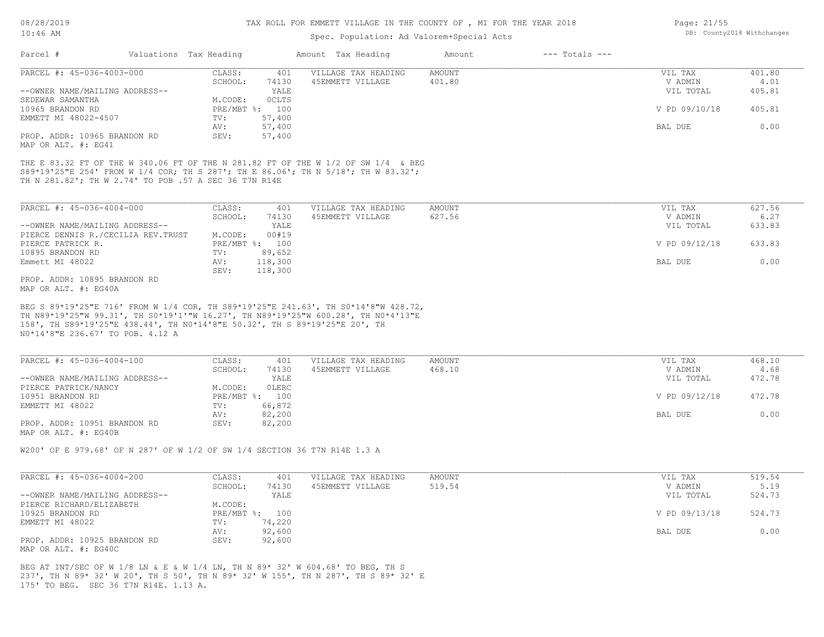| $10:46$ AM                                                                                                     |                        |                | Spec. Population: Ad Valorem+Special Acts                                                                                                                               | DB: County2018 Withchanges |                    |               |        |
|----------------------------------------------------------------------------------------------------------------|------------------------|----------------|-------------------------------------------------------------------------------------------------------------------------------------------------------------------------|----------------------------|--------------------|---------------|--------|
| Parcel #                                                                                                       | Valuations Tax Heading |                | Amount Tax Heading                                                                                                                                                      | Amount                     | $---$ Totals $---$ |               |        |
| PARCEL #: 45-036-4003-000                                                                                      | CLASS:                 | 401            | VILLAGE TAX HEADING                                                                                                                                                     | AMOUNT                     |                    | VIL TAX       | 401.80 |
|                                                                                                                | SCHOOL:                | 74130          | 45EMMETT VILLAGE                                                                                                                                                        | 401.80                     |                    | V ADMIN       | 4.01   |
| --OWNER NAME/MAILING ADDRESS--                                                                                 |                        | YALE           |                                                                                                                                                                         |                            |                    | VIL TOTAL     | 405.81 |
| SEDEWAR SAMANTHA                                                                                               | M.CODE:                | OCLTS          |                                                                                                                                                                         |                            |                    |               |        |
| 10965 BRANDON RD                                                                                               |                        | PRE/MBT %: 100 |                                                                                                                                                                         |                            |                    | V PD 09/10/18 | 405.81 |
| EMMETT MI 48022-4507                                                                                           | TV:                    | 57,400         |                                                                                                                                                                         |                            |                    |               |        |
|                                                                                                                | AV:                    | 57,400         |                                                                                                                                                                         |                            |                    | BAL DUE       | 0.00   |
| PROP. ADDR: 10965 BRANDON RD<br>MAP OR ALT. #: EG41                                                            | SEV:                   | 57,400         |                                                                                                                                                                         |                            |                    |               |        |
| TH N 281.82': TH W 2.74' TO POB .57 A SEC 36 T7N R14E                                                          |                        |                | S89*19'25"E 254' FROM W 1/4 COR; TH S 287'; TH E 86.06'; TH N 5/18'; TH W 83.32';                                                                                       |                            |                    |               |        |
| PARCEL #: 45-036-4004-000                                                                                      | CLASS:                 | 401            | VILLAGE TAX HEADING                                                                                                                                                     | <b>AMOUNT</b>              |                    | VIL TAX       | 627.56 |
|                                                                                                                | SCHOOL:                | 74130          | 45EMMETT VILLAGE                                                                                                                                                        | 627.56                     |                    | V ADMIN       | 6.27   |
| --OWNER NAME/MAILING ADDRESS--                                                                                 |                        | YALE           |                                                                                                                                                                         |                            |                    | VIL TOTAL     | 633.83 |
| PIERCE DENNIS R./CECILIA REV. TRUST                                                                            | M.CODE:                | 00#19          |                                                                                                                                                                         |                            |                    |               |        |
| PIERCE PATRICK R.                                                                                              |                        | PRE/MBT %: 100 |                                                                                                                                                                         |                            |                    | V PD 09/12/18 | 633.83 |
| 10895 BRANDON RD                                                                                               | TV:                    | 89,652         |                                                                                                                                                                         |                            |                    |               |        |
| Emmett MI 48022                                                                                                | AV:                    | 118,300        |                                                                                                                                                                         |                            |                    | BAL DUE       | 0.00   |
|                                                                                                                | SEV:                   | 118,300        |                                                                                                                                                                         |                            |                    |               |        |
| PROP. ADDR: 10895 BRANDON RD<br>MAP OR ALT. #: EG40A                                                           |                        |                |                                                                                                                                                                         |                            |                    |               |        |
| 158', TH S89*19'25"E 438.44', TH NO*14'8"E 50.32', TH S 89*19'25"E 20', TH<br>NO*14'8"E 236.67' TO POB. 4.12 A |                        |                | BEG S 89*19'25"E 716' FROM W 1/4 COR, TH S89*19'25"E 241.63', TH S0*14'8"W 428.72,<br>TH N89*19'25"W 99.31', TH S0*19'1'"W 16.27', TH N89*19'25"W 600.28', TH N0*4'13"E |                            |                    |               |        |
| PARCEL #: 45-036-4004-100                                                                                      | CLASS:                 | 401            | VILLAGE TAX HEADING                                                                                                                                                     | <b>AMOUNT</b>              |                    | VIL TAX       | 468.10 |
|                                                                                                                | SCHOOL:                | 74130          | 45EMMETT VILLAGE                                                                                                                                                        | 468.10                     |                    | V ADMIN       | 4.68   |

| --OWNER NAME/MAILING ADDRESS-- |            | YALE   | VIL TOTAL     | 472.78 |
|--------------------------------|------------|--------|---------------|--------|
| PIERCE PATRICK/NANCY           | M.CODE:    | OLERC  |               |        |
| 10951 BRANDON RD               | PRE/MBT %: | 100    | V PD 09/12/18 | 472.78 |
| EMMETT MI 48022                | TV:        | 66,872 |               |        |
|                                | AV:        | 82,200 | BAL DUE       | 0.00   |
| PROP. ADDR: 10951 BRANDON RD   | SEV:       | 82,200 |               |        |
| MAP OR ALT. #: EG40B           |            |        |               |        |

W200' OF E 979.68' OF N 287' OF W 1/2 OF SW 1/4 SECTION 36 T7N R14E 1.3 A

| PARCEL #: 45-036-4004-200      | CLASS:  | 401            | VILLAGE TAX HEADING | AMOUNT | VIL TAX       | 519.54 |
|--------------------------------|---------|----------------|---------------------|--------|---------------|--------|
|                                | SCHOOL: | 74130          | 45EMMETT VILLAGE    | 519.54 | V ADMIN       | 5.19   |
| --OWNER NAME/MAILING ADDRESS-- |         | YALE           |                     |        | VIL TOTAL     | 524.73 |
| PIERCE RICHARD/ELIZABETH       | M.CODE: |                |                     |        |               |        |
| 10925 BRANDON RD               |         | PRE/MBT %: 100 |                     |        | V PD 09/13/18 | 524.73 |
| EMMETT MI 48022                | TV:     | 74,220         |                     |        |               |        |
|                                | AV:     | 92,600         |                     |        | BAL DUE       | 0.00   |
| PROP. ADDR: 10925 BRANDON RD   | SEV:    | 92,600         |                     |        |               |        |
| MAP OR ALT. #: EG40C           |         |                |                     |        |               |        |

175' TO BEG. SEC 36 T7N R14E. 1.13 A. 237', TH N 89\* 32' W 20', TH S 50', TH N 89\* 32' W 155', TH N 287', TH S 89\* 32' E BEG AT INT/SEC OF W 1/8 LN & E & W 1/4 LN, TH N 89\* 32' W 604.68' TO BEG, TH S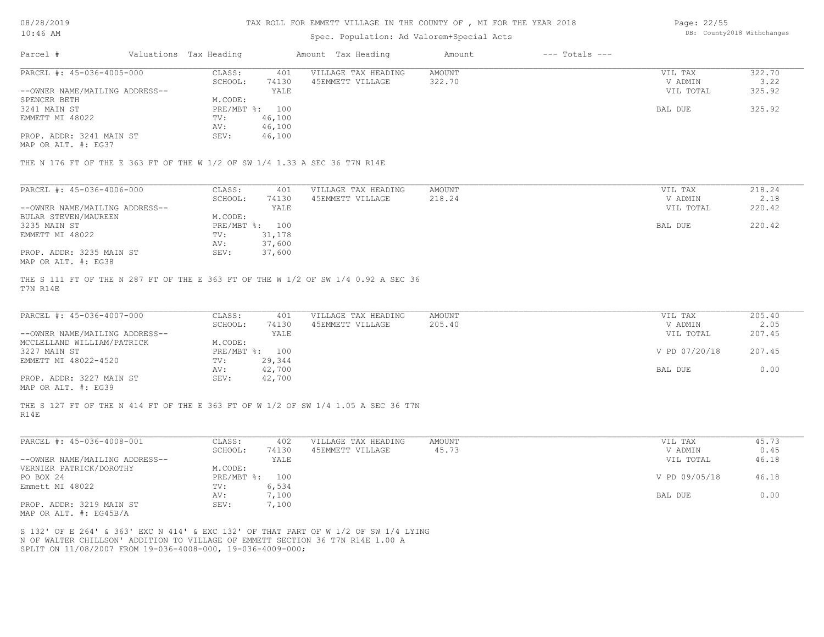### Spec. Population: Ad Valorem+Special Acts

Page: 22/55 DB: County2018 Withchanges

| Parcel #                       | Valuations Tax Heading |        | Amount Tax Heading  | Amount | $---$ Totals $---$ |           |        |
|--------------------------------|------------------------|--------|---------------------|--------|--------------------|-----------|--------|
| PARCEL #: 45-036-4005-000      | CLASS:                 | 401    | VILLAGE TAX HEADING | AMOUNT |                    | VIL TAX   | 322.70 |
|                                | SCHOOL:                | 74130  | 45EMMETT VILLAGE    | 322.70 |                    | V ADMIN   | 3.22   |
| --OWNER NAME/MAILING ADDRESS-- |                        | YALE   |                     |        |                    | VIL TOTAL | 325.92 |
| SPENCER BETH                   | M.CODE:                |        |                     |        |                    |           |        |
| 3241 MAIN ST                   | PRE/MBT %: 100         |        |                     |        |                    | BAL DUE   | 325.92 |
| EMMETT MI 48022                | TV:                    | 46,100 |                     |        |                    |           |        |
|                                | AV:                    | 46,100 |                     |        |                    |           |        |
| PROP. ADDR: 3241 MAIN ST       | SEV:                   | 46,100 |                     |        |                    |           |        |
|                                |                        |        |                     |        |                    |           |        |

MAP OR ALT. #: EG37

THE N 176 FT OF THE E 363 FT OF THE W 1/2 OF SW 1/4 1.33 A SEC 36 T7N R14E

| PARCEL #: 45-036-4006-000      | CLASS:  | 401            | VILLAGE TAX HEADING | AMOUNT | VIL TAX   | 218.24 |
|--------------------------------|---------|----------------|---------------------|--------|-----------|--------|
|                                | SCHOOL: | 74130          | 45EMMETT VILLAGE    | 218.24 | V ADMIN   | 2.18   |
| --OWNER NAME/MAILING ADDRESS-- |         | YALE           |                     |        | VIL TOTAL | 220.42 |
| BULAR STEVEN/MAUREEN           | M.CODE: |                |                     |        |           |        |
| 3235 MAIN ST                   |         | PRE/MBT %: 100 |                     |        | BAL DUE   | 220.42 |
| EMMETT MI 48022                | TV:     | 31,178         |                     |        |           |        |
|                                | AV:     | 37,600         |                     |        |           |        |
| PROP. ADDR: 3235 MAIN ST       | SEV:    | 37,600         |                     |        |           |        |
| MAP OR ALT. #: EG38            |         |                |                     |        |           |        |

T7N R14E THE S 111 FT OF THE N 287 FT OF THE E 363 FT OF THE W 1/2 OF SW 1/4 0.92 A SEC 36

| PARCEL #: 45-036-4007-000      | CLASS:         | 401    | VILLAGE TAX HEADING | AMOUNT | VIL TAX       | 205.40 |
|--------------------------------|----------------|--------|---------------------|--------|---------------|--------|
|                                | SCHOOL:        | 74130  | 45EMMETT VILLAGE    | 205.40 | V ADMIN       | 2.05   |
| --OWNER NAME/MAILING ADDRESS-- |                | YALE   |                     |        | VIL TOTAL     | 207.45 |
| MCCLELLAND WILLIAM/PATRICK     | M.CODE:        |        |                     |        |               |        |
| 3227 MAIN ST                   | PRE/MBT %: 100 |        |                     |        | V PD 07/20/18 | 207.45 |
| EMMETT MI 48022-4520           | TV:            | 29,344 |                     |        |               |        |
|                                | AV:            | 42,700 |                     |        | BAL DUE       | 0.00   |
| PROP. ADDR: 3227 MAIN ST       | SEV:           | 42,700 |                     |        |               |        |
| $\frac{1}{2}$                  |                |        |                     |        |               |        |

MAP OR ALT. #: EG39

R14E THE S 127 FT OF THE N 414 FT OF THE E 363 FT OF W 1/2 OF SW 1/4 1.05 A SEC 36 T7N

| PARCEL #: 45-036-4008-001                                      | CLASS:           | 402   | VILLAGE TAX HEADING | AMOUNT | VIL TAX       | 45.73 |
|----------------------------------------------------------------|------------------|-------|---------------------|--------|---------------|-------|
|                                                                | SCHOOL:          | 74130 | 45EMMETT VILLAGE    | 45.73  | V ADMIN       | 0.45  |
| --OWNER NAME/MAILING ADDRESS--                                 |                  | YALE  |                     |        | VIL TOTAL     | 46.18 |
| VERNIER PATRICK/DOROTHY                                        | M.CODE:          |       |                     |        |               |       |
| PO BOX 24                                                      | $PRE/MBT$ $\div$ | 100   |                     |        | V PD 09/05/18 | 46.18 |
| Emmett MI 48022                                                | TV:              | 6,534 |                     |        |               |       |
|                                                                | AV:              | ,100  |                     |        | BAL DUE       | 0.00  |
| PROP. ADDR: 3219 MAIN ST                                       | SEV:             | ,100  |                     |        |               |       |
| $\cdots$ $\cdots$ $\cdots$ $\cdots$ $\cdots$ $\cdots$ $\cdots$ |                  |       |                     |        |               |       |

MAP OR ALT. #: EG45B/A

SPLIT ON 11/08/2007 FROM 19-036-4008-000, 19-036-4009-000; N OF WALTER CHILLSON' ADDITION TO VILLAGE OF EMMETT SECTION 36 T7N R14E 1.00 A S 132' OF E 264' & 363' EXC N 414' & EXC 132' OF THAT PART OF W 1/2 OF SW 1/4 LYING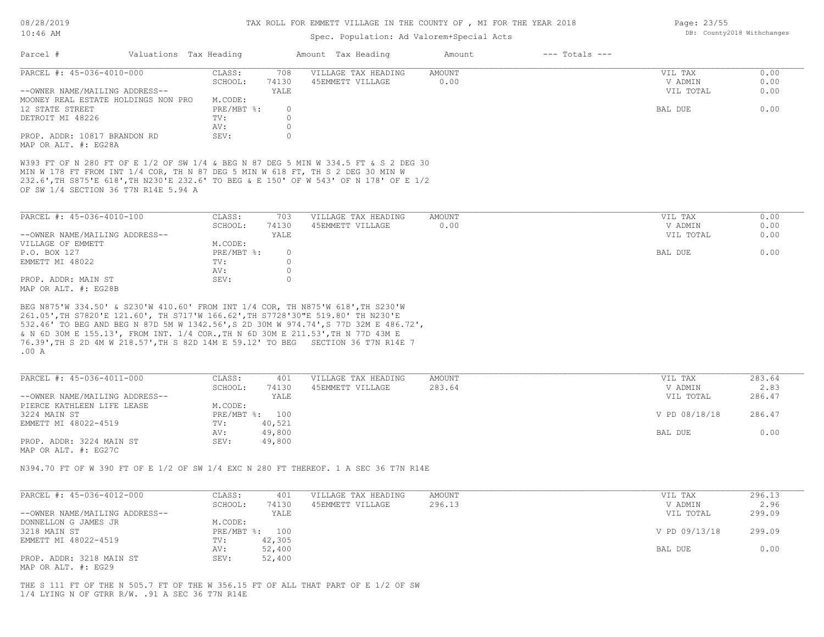## Spec. Population: Ad Valorem+Special Acts

|                                      |                                                                                                                                                                                                                                                                                                                                                                                                                                   | ppcc. reputation. na valorem special nece |               |                    |               |        |
|--------------------------------------|-----------------------------------------------------------------------------------------------------------------------------------------------------------------------------------------------------------------------------------------------------------------------------------------------------------------------------------------------------------------------------------------------------------------------------------|-------------------------------------------|---------------|--------------------|---------------|--------|
| Parcel #                             | Valuations Tax Heading                                                                                                                                                                                                                                                                                                                                                                                                            | Amount Tax Heading                        | Amount        | $---$ Totals $---$ |               |        |
| PARCEL #: 45-036-4010-000            | CLASS:                                                                                                                                                                                                                                                                                                                                                                                                                            | VILLAGE TAX HEADING<br>708                | <b>AMOUNT</b> |                    | VIL TAX       | 0.00   |
|                                      | SCHOOL:<br>74130                                                                                                                                                                                                                                                                                                                                                                                                                  | 45EMMETT VILLAGE                          | 0.00          |                    | V ADMIN       | 0.00   |
| --OWNER NAME/MAILING ADDRESS--       | YALE                                                                                                                                                                                                                                                                                                                                                                                                                              |                                           |               |                    | VIL TOTAL     | 0.00   |
| MOONEY REAL ESTATE HOLDINGS NON PRO  | M.CODE:                                                                                                                                                                                                                                                                                                                                                                                                                           |                                           |               |                    |               |        |
| 12 STATE STREET                      | PRE/MBT %:                                                                                                                                                                                                                                                                                                                                                                                                                        | $\circ$                                   |               |                    | BAL DUE       | 0.00   |
| DETROIT MI 48226                     | TV:                                                                                                                                                                                                                                                                                                                                                                                                                               | $\circ$                                   |               |                    |               |        |
|                                      | AV:                                                                                                                                                                                                                                                                                                                                                                                                                               | $\circ$                                   |               |                    |               |        |
| PROP. ADDR: 10817 BRANDON RD         | SEV:                                                                                                                                                                                                                                                                                                                                                                                                                              | $\Omega$                                  |               |                    |               |        |
| MAP OR ALT. #: EG28A                 |                                                                                                                                                                                                                                                                                                                                                                                                                                   |                                           |               |                    |               |        |
| OF SW 1/4 SECTION 36 T7N R14E 5.94 A | W393 FT OF N 280 FT OF E 1/2 OF SW 1/4 & BEG N 87 DEG 5 MIN W 334.5 FT & S 2 DEG 30<br>MIN W 178 FT FROM INT 1/4 COR, TH N 87 DEG 5 MIN W 618 FT, TH S 2 DEG 30 MIN W<br>232.6', TH S875'E 618', TH N230'E 232.6' TO BEG & E 150' OF W 543' OF N 178' OF E 1/2                                                                                                                                                                    |                                           |               |                    |               |        |
| PARCEL #: 45-036-4010-100            | CLASS:                                                                                                                                                                                                                                                                                                                                                                                                                            | 703<br>VILLAGE TAX HEADING                | AMOUNT        |                    | VIL TAX       | 0.00   |
|                                      | SCHOOL:<br>74130                                                                                                                                                                                                                                                                                                                                                                                                                  | 45EMMETT VILLAGE                          | 0.00          |                    | V ADMIN       | 0.00   |
| --OWNER NAME/MAILING ADDRESS--       | YALE                                                                                                                                                                                                                                                                                                                                                                                                                              |                                           |               |                    | VIL TOTAL     | 0.00   |
|                                      |                                                                                                                                                                                                                                                                                                                                                                                                                                   |                                           |               |                    |               |        |
| VILLAGE OF EMMETT                    | M.CODE:                                                                                                                                                                                                                                                                                                                                                                                                                           |                                           |               |                    |               |        |
| P.O. BOX 127                         | $PRE/MBT$ $\frac{1}{6}$ :                                                                                                                                                                                                                                                                                                                                                                                                         | $\circ$                                   |               |                    | BAL DUE       | 0.00   |
| EMMETT MI 48022                      | TV:                                                                                                                                                                                                                                                                                                                                                                                                                               | $\Omega$                                  |               |                    |               |        |
|                                      | AV:                                                                                                                                                                                                                                                                                                                                                                                                                               | $\circ$                                   |               |                    |               |        |
| PROP. ADDR: MAIN ST                  | SEV:                                                                                                                                                                                                                                                                                                                                                                                                                              | $\Omega$                                  |               |                    |               |        |
| MAP OR ALT. #: EG28B                 |                                                                                                                                                                                                                                                                                                                                                                                                                                   |                                           |               |                    |               |        |
| .00A                                 | BEG N875'W 334.50' & S230'W 410.60' FROM INT 1/4 COR, TH N875'W 618', TH S230'W<br>261.05', TH S7820'E 121.60', TH S717'W 166.62', TH S7728'30"E 519.80' TH N230'E<br>532.46' TO BEG AND BEG N 87D 5M W 1342.56', S 2D 30M W 974.74', S 77D 32M E 486.72',<br>& N 6D 30M E 155.13', FROM INT. 1/4 COR., TH N 6D 30M E 211.53', TH N 77D 43M E<br>76.39', TH S 2D 4M W 218.57', TH S 82D 14M E 59.12' TO BEG SECTION 36 T7N R14E 7 |                                           |               |                    |               |        |
| PARCEL #: 45-036-4011-000            | CLASS:                                                                                                                                                                                                                                                                                                                                                                                                                            | VILLAGE TAX HEADING<br>401                | AMOUNT        |                    | VIL TAX       | 283.64 |
|                                      | 74130<br>SCHOOL:                                                                                                                                                                                                                                                                                                                                                                                                                  | 45EMMETT VILLAGE                          | 283.64        |                    | V ADMIN       | 2.83   |
| --OWNER NAME/MAILING ADDRESS--       | YALE                                                                                                                                                                                                                                                                                                                                                                                                                              |                                           |               |                    | VIL TOTAL     | 286.47 |
| PIERCE KATHLEEN LIFE LEASE           | M.CODE:                                                                                                                                                                                                                                                                                                                                                                                                                           |                                           |               |                    |               |        |
| 3224 MAIN ST                         | PRE/MBT %: 100                                                                                                                                                                                                                                                                                                                                                                                                                    |                                           |               |                    | V PD 08/18/18 | 286.47 |
| EMMETT MI 48022-4519                 | 40,521<br>TV:                                                                                                                                                                                                                                                                                                                                                                                                                     |                                           |               |                    |               |        |
|                                      | 49,800<br>AV:                                                                                                                                                                                                                                                                                                                                                                                                                     |                                           |               |                    | BAL DUE       | 0.00   |
| PROP. ADDR: 3224 MAIN ST             | 49,800<br>SEV:                                                                                                                                                                                                                                                                                                                                                                                                                    |                                           |               |                    |               |        |
| MAP OR ALT. #: EG27C                 |                                                                                                                                                                                                                                                                                                                                                                                                                                   |                                           |               |                    |               |        |
|                                      | N394.70 FT OF W 390 FT OF E 1/2 OF SW 1/4 EXC N 280 FT THEREOF. 1 A SEC 36 T7N R14E                                                                                                                                                                                                                                                                                                                                               |                                           |               |                    |               |        |
| PARCEL #: 45-036-4012-000            | CLASS:                                                                                                                                                                                                                                                                                                                                                                                                                            | VILLAGE TAX HEADING<br>401                | <b>AMOUNT</b> |                    | VIL TAX       | 296.13 |
|                                      | SCHOOL:<br>74130                                                                                                                                                                                                                                                                                                                                                                                                                  | 45EMMETT VILLAGE                          | 296.13        |                    | V ADMIN       | 2.96   |
|                                      |                                                                                                                                                                                                                                                                                                                                                                                                                                   |                                           |               |                    |               |        |

|                                | ------- | $\cdot$        | ------ | .             | - - - - |
|--------------------------------|---------|----------------|--------|---------------|---------|
| --OWNER NAME/MAILING ADDRESS-- |         | YALE           |        | VIL TOTAL     | 299.09  |
| DONNELLON G JAMES JR           | M.CODE: |                |        |               |         |
| 3218 MAIN ST                   |         | PRE/MBT %: 100 |        | V PD 09/13/18 | 299.09  |
| EMMETT MI 48022-4519           | TV:     | 42,305         |        |               |         |
|                                | AV:     | 52,400         |        | BAL DUE       | 0.00    |
| PROP. ADDR: 3218 MAIN ST       | SEV:    | 52,400         |        |               |         |
| MAP OR ALT. #: EG29            |         |                |        |               |         |

1/4 LYING N OF GTRR R/W. .91 A SEC 36 T7N R14E THE S 111 FT OF THE N 505.7 FT OF THE W 356.15 FT OF ALL THAT PART OF E 1/2 OF SW Page: 23/55 DB: County2018 Withchanges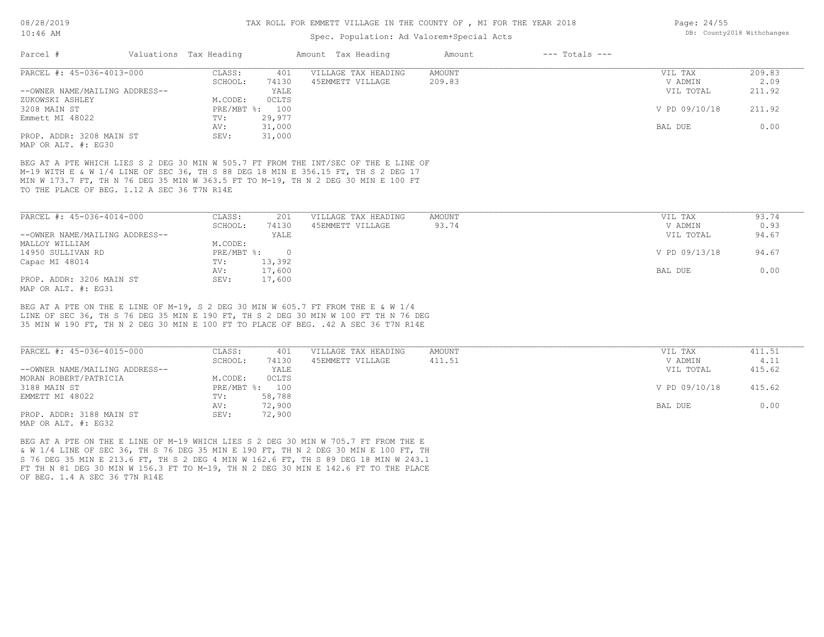## Spec. Population: Ad Valorem+Special Acts

| Parcel #                       | Valuations Tax Heading |              | Amount Tax Heading  | Amount | $---$ Totals $---$ |               |        |
|--------------------------------|------------------------|--------------|---------------------|--------|--------------------|---------------|--------|
| PARCEL #: 45-036-4013-000      | CLASS:                 | 401          | VILLAGE TAX HEADING | AMOUNT |                    | VIL TAX       | 209.83 |
|                                | SCHOOL:                | 74130        | 45EMMETT VILLAGE    | 209.83 |                    | V ADMIN       | 2.09   |
| --OWNER NAME/MAILING ADDRESS-- |                        | YALE         |                     |        |                    | VIL TOTAL     | 211.92 |
| ZUKOWSKI ASHLEY                | M.CODE:                | <b>OCLTS</b> |                     |        |                    |               |        |
| 3208 MAIN ST                   | $PRE/MBT$ %:           | 100          |                     |        |                    | V PD 09/10/18 | 211.92 |
| Emmett MI 48022                | TV:                    | 29,977       |                     |        |                    |               |        |
|                                | AV:                    | 31,000       |                     |        |                    | BAL DUE       | 0.00   |
| PROP. ADDR: 3208 MAIN ST       | SEV:                   | 31,000       |                     |        |                    |               |        |
| MAP OR ALT. #: EG30            |                        |              |                     |        |                    |               |        |

TO THE PLACE OF BEG. 1.12 A SEC 36 T7N R14E MIN W 173.7 FT, TH N 76 DEG 35 MIN W 363.5 FT TO M-19, TH N 2 DEG 30 MIN E 100 FT M-19 WITH E & W 1/4 LINE OF SEC 36, TH S 88 DEG 18 MIN E 356.15 FT, TH S 2 DEG 17 BEG AT A PTE WHICH LIES S 2 DEG 30 MIN W 505.7 FT FROM THE INT/SEC OF THE E LINE OF

| PARCEL #: 45-036-4014-000      | CLASS:     | 201      | VILLAGE TAX HEADING | AMOUNT | VIL TAX       | 93.74 |
|--------------------------------|------------|----------|---------------------|--------|---------------|-------|
|                                | SCHOOL:    | 74130    | 45EMMETT VILLAGE    | 93.74  | V ADMIN       | 0.93  |
| --OWNER NAME/MAILING ADDRESS-- |            | YALE     |                     |        | VIL TOTAL     | 94.67 |
| MALLOY WILLIAM                 | M.CODE:    |          |                     |        |               |       |
| 14950 SULLIVAN RD              | PRE/MBT %: | $\Omega$ |                     |        | V PD 09/13/18 | 94.67 |
| Capac MI 48014                 | TV:        | 13,392   |                     |        |               |       |
|                                | AV:        | 17,600   |                     |        | BAL DUE       | 0.00  |
| PROP. ADDR: 3206 MAIN ST       | SEV:       | 17,600   |                     |        |               |       |
| MAP OR ALT. $\#$ : EG31        |            |          |                     |        |               |       |

35 MIN W 190 FT, TH N 2 DEG 30 MIN E 100 FT TO PLACE OF BEG. .42 A SEC 36 T7N R14E LINE OF SEC 36, TH S 76 DEG 35 MIN E 190 FT, TH S 2 DEG 30 MIN W 100 FT TH N 76 DEG BEG AT A PTE ON THE E LINE OF M-19, S 2 DEG 30 MIN W 605.7 FT FROM THE E & W 1/4

| PARCEL #: 45-036-4015-000      | CLASS:  | 401            | VILLAGE TAX HEADING | AMOUNT | VIL TAX       | 411.51 |
|--------------------------------|---------|----------------|---------------------|--------|---------------|--------|
|                                | SCHOOL: | 74130          | 45EMMETT VILLAGE    | 411.51 | V ADMIN       | 4.11   |
| --OWNER NAME/MAILING ADDRESS-- |         | YALE           |                     |        | VIL TOTAL     | 415.62 |
| MORAN ROBERT/PATRICIA          | M.CODE: | <b>OCLTS</b>   |                     |        |               |        |
| 3188 MAIN ST                   |         | PRE/MBT %: 100 |                     |        | V PD 09/10/18 | 415.62 |
| EMMETT MI 48022                | TV:     | 58,788         |                     |        |               |        |
|                                | AV:     | 72,900         |                     |        | BAL DUE       | 0.00   |
| PROP. ADDR: 3188 MAIN ST       | SEV:    | 72,900         |                     |        |               |        |
| MAP OR ALT. #: EG32            |         |                |                     |        |               |        |

OF BEG. 1.4 A SEC 36 T7N R14E FT TH N 81 DEG 30 MIN W 156.3 FT TO M-19, TH N 2 DEG 30 MIN E 142.6 FT TO THE PLACE S 76 DEG 35 MIN E 213.6 FT, TH S 2 DEG 4 MIN W 162.6 FT, TH S 89 DEG 18 MIN W 243.1 & W 1/4 LINE OF SEC 36, TH S 76 DEG 35 MIN E 190 FT, TH N 2 DEG 30 MIN E 100 FT, TH BEG AT A PTE ON THE E LINE OF M-19 WHICH LIES S 2 DEG 30 MIN W 705.7 FT FROM THE E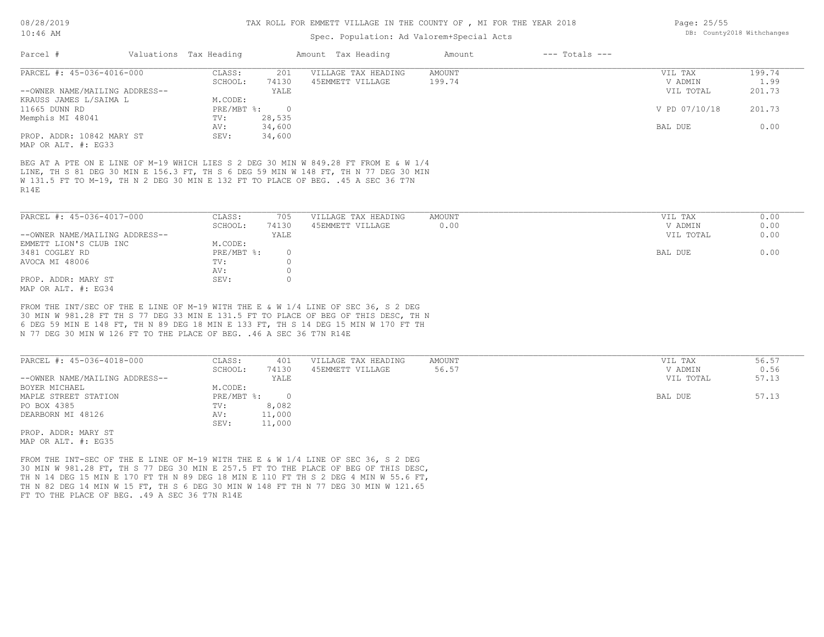| TAR QE:AR                                                                                                       | Spec. Population: Ad Valorem+Special Acts |  |  |                    |        |                    |  |  |  |
|-----------------------------------------------------------------------------------------------------------------|-------------------------------------------|--|--|--------------------|--------|--------------------|--|--|--|
| Parcel                                                                                                          | Valuations Tax Heading                    |  |  | Amount Tax Heading | Amount | $---$ Totals $---$ |  |  |  |
| the contract of the contract of the contract of the contract of the contract of the contract of the contract of |                                           |  |  |                    |        |                    |  |  |  |

| PARCEL #: 45-036-4016-000      | CLASS:     | 201      | VILLAGE TAX HEADING | AMOUNT | VIL TAX       | 199.74 |
|--------------------------------|------------|----------|---------------------|--------|---------------|--------|
|                                |            |          |                     |        |               |        |
|                                | SCHOOL:    | 74130    | 45EMMETT VILLAGE    | 199.74 | V ADMIN       | 1.99   |
| --OWNER NAME/MAILING ADDRESS-- |            | YALE     |                     |        | VIL TOTAL     | 201.73 |
| KRAUSS JAMES L/SAIMA L         | M.CODE:    |          |                     |        |               |        |
| 11665 DUNN RD                  | PRE/MBT %: | $\Omega$ |                     |        | V PD 07/10/18 | 201.73 |
| Memphis MI 48041               | TV:        | 28,535   |                     |        |               |        |
|                                | AV:        | 34,600   |                     |        | BAL DUE       | 0.00   |
| PROP. ADDR: 10842 MARY ST      | SEV:       | 34,600   |                     |        |               |        |
|                                |            |          |                     |        |               |        |

MAP OR ALT. #: EG33

R14E W 131.5 FT TO M-19, TH N 2 DEG 30 MIN E 132 FT TO PLACE OF BEG. .45 A SEC 36 T7N LINE, TH S 81 DEG 30 MIN E 156.3 FT, TH S 6 DEG 59 MIN W 148 FT, TH N 77 DEG 30 MIN BEG AT A PTE ON E LINE OF M-19 WHICH LIES S 2 DEG 30 MIN W 849.28 FT FROM E & W 1/4

| PARCEL #: 45-036-4017-000      | CLASS:     | 705   | VILLAGE TAX HEADING | AMOUNT | VIL TAX<br>0.00   |
|--------------------------------|------------|-------|---------------------|--------|-------------------|
|                                | SCHOOL:    | 74130 | 45EMMETT VILLAGE    | 0.00   | 0.00<br>V ADMIN   |
| --OWNER NAME/MAILING ADDRESS-- |            | YALE  |                     |        | 0.00<br>VIL TOTAL |
| EMMETT LION'S CLUB INC         | M.CODE:    |       |                     |        |                   |
| 3481 COGLEY RD                 | PRE/MBT %: |       |                     |        | 0.00<br>BAL DUE   |
| AVOCA MI 48006                 | TV:        |       |                     |        |                   |
|                                | AV:        |       |                     |        |                   |
| PROP. ADDR: MARY ST            | SEV:       |       |                     |        |                   |
| MAP OR ALT. #: EG34            |            |       |                     |        |                   |

N 77 DEG 30 MIN W 126 FT TO THE PLACE OF BEG. .46 A SEC 36 T7N R14E 6 DEG 59 MIN E 148 FT, TH N 89 DEG 18 MIN E 133 FT, TH S 14 DEG 15 MIN W 170 FT TH 30 MIN W 981.28 FT TH S 77 DEG 33 MIN E 131.5 FT TO PLACE OF BEG OF THIS DESC, TH N FROM THE INT/SEC OF THE E LINE OF M-19 WITH THE E & W 1/4 LINE OF SEC 36, S 2 DEG

| PARCEL #: 45-036-4018-000      | CLASS:     | 401    | VILLAGE TAX HEADING | AMOUNT | VIL TAX   | 56.57 |
|--------------------------------|------------|--------|---------------------|--------|-----------|-------|
|                                | SCHOOL:    | 74130  | 45EMMETT VILLAGE    | 56.57  | V ADMIN   | 0.56  |
| --OWNER NAME/MAILING ADDRESS-- |            | YALE   |                     |        | VIL TOTAL | 57.13 |
| BOYER MICHAEL                  | M.CODE:    |        |                     |        |           |       |
| MAPLE STREET STATION           | PRE/MBT %: |        |                     |        | BAL DUE   | 57.13 |
| PO BOX 4385                    | TV:        | 8,082  |                     |        |           |       |
| DEARBORN MI 48126              | AV:        | 11,000 |                     |        |           |       |
|                                | SEV:       | 11,000 |                     |        |           |       |
| PROP. ADDR: MARY ST            |            |        |                     |        |           |       |

MAP OR ALT. #: EG35

FT TO THE PLACE OF BEG. . 49 A SEC 36 T7N R14E TH N 82 DEG 14 MIN W 15 FT, TH S 6 DEG 30 MIN W 148 FT TH N 77 DEG 30 MIN W 121.65 TH N 14 DEG 15 MIN E 170 FT TH N 89 DEG 18 MIN E 110 FT TH S 2 DEG 4 MIN W 55.6 FT, 30 MIN W 981.28 FT, TH S 77 DEG 30 MIN E 257.5 FT TO THE PLACE OF BEG OF THIS DESC, FROM THE INT-SEC OF THE E LINE OF M-19 WITH THE E & W 1/4 LINE OF SEC 36, S 2 DEG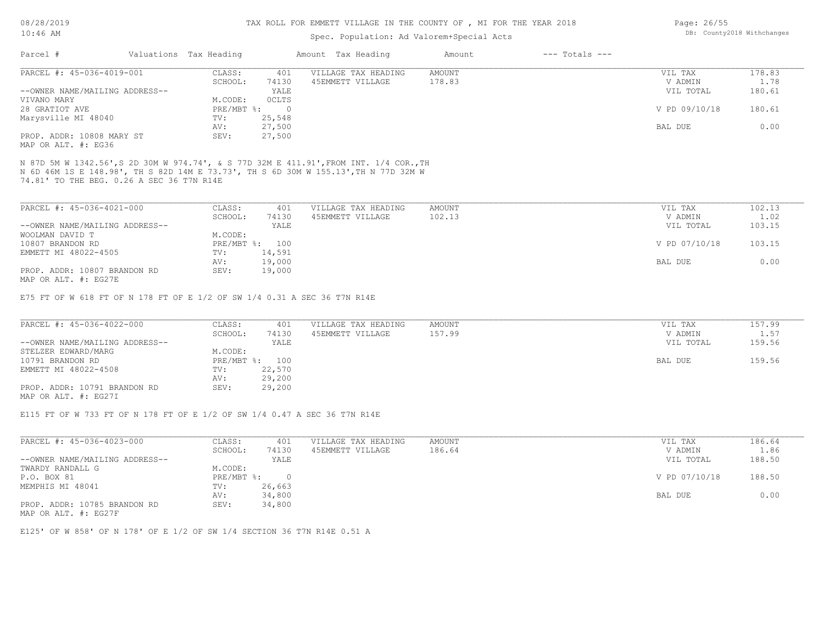## Spec. Population: Ad Valorem+Special Acts

| Parcel #                  | Valuations Tax Heading |       | Amount Tax Heading   | Amount | --- Totals --- |                  |       |
|---------------------------|------------------------|-------|----------------------|--------|----------------|------------------|-------|
| PARCEL #: 45-036-4019-001 | CLASS:                 |       | VILLAGE TAX HEADING  | AMOUNT |                | VIL TAX          | 38.83 |
|                           | $CCTI\cap T$ .         | 71120 | A E DMMDOO IITTI ACD | 17000  |                | <b>IZ ADMINI</b> |       |

|                                | SCHOOL:    | 74130    | 45EMMETT VILLAGE | 178.83 | V ADMIN       | 1.78   |
|--------------------------------|------------|----------|------------------|--------|---------------|--------|
| --OWNER NAME/MAILING ADDRESS-- |            | YALE     |                  |        | VIL TOTAL     | 180.61 |
| VIVANO MARY                    | M.CODE:    | OCLTS    |                  |        |               |        |
| 28 GRATIOT AVE                 | PRE/MBT %: | $\Omega$ |                  |        | V PD 09/10/18 | 180.61 |
| Marysville MI 48040            | TV:        | 25,548   |                  |        |               |        |
|                                | AV:        | 27,500   |                  |        | BAL DUE       | 0.00   |
| PROP. ADDR: 10808 MARY ST      | SEV:       | 27,500   |                  |        |               |        |

MAP OR ALT. #: EG36

74.81' TO THE BEG. 0.26 A SEC 36 T7N R14E N 6D 46M 1S E 148.98', TH S 82D 14M E 73.73', TH S 6D 30M W 155.13',TH N 77D 32M W N 87D 5M W 1342.56',S 2D 30M W 974.74', & S 77D 32M E 411.91',FROM INT. 1/4 COR.,TH

| PARCEL #: 45-036-4021-000      | CLASS:  | 401            | VILLAGE TAX HEADING | AMOUNT | VIL TAX       | 102.13 |
|--------------------------------|---------|----------------|---------------------|--------|---------------|--------|
|                                | SCHOOL: | 74130          | 45EMMETT VILLAGE    | 102.13 | V ADMIN       | 1.02   |
| --OWNER NAME/MAILING ADDRESS-- |         | YALE           |                     |        | VIL TOTAL     | 103.15 |
| WOOLMAN DAVID T                | M.CODE: |                |                     |        |               |        |
| 10807 BRANDON RD               |         | PRE/MBT %: 100 |                     |        | V PD 07/10/18 | 103.15 |
| EMMETT MI 48022-4505           | TV:     | 14,591         |                     |        |               |        |
|                                | AV:     | 19,000         |                     |        | BAL DUE       | 0.00   |
| PROP. ADDR: 10807 BRANDON RD   | SEV:    | 19,000         |                     |        |               |        |
| MAP OR ALT. #: EG27E           |         |                |                     |        |               |        |

E75 FT OF W 618 FT OF N 178 FT OF E 1/2 OF SW 1/4 0.31 A SEC 36 T7N R14E

| PARCEL #: 45-036-4022-000      | CLASS:  | 401            | VILLAGE TAX HEADING | AMOUNT | VIL TAX |           | 157.99     |
|--------------------------------|---------|----------------|---------------------|--------|---------|-----------|------------|
|                                | SCHOOL: | 74130          | 45EMMETT VILLAGE    | 157.99 |         | V ADMIN   | $\pm 0.57$ |
| --OWNER NAME/MAILING ADDRESS-- |         | YALE           |                     |        |         | VIL TOTAL | 159.56     |
| STELZER EDWARD/MARG            | M.CODE: |                |                     |        |         |           |            |
| 10791 BRANDON RD               |         | PRE/MBT %: 100 |                     |        | BAL DUE |           | 159.56     |
| EMMETT MI 48022-4508           | TV:     | 22,570         |                     |        |         |           |            |
|                                | AV:     | 29,200         |                     |        |         |           |            |
| PROP. ADDR: 10791 BRANDON RD   | SEV:    | 29,200         |                     |        |         |           |            |
| MAP OR ALT. #: EG27I           |         |                |                     |        |         |           |            |

E115 FT OF W 733 FT OF N 178 FT OF E 1/2 OF SW 1/4 0.47 A SEC 36 T7N R14E

| PARCEL #: 45-036-4023-000      | CLASS:     | 401    | VILLAGE TAX HEADING | AMOUNT | VIL TAX       | 186.64 |
|--------------------------------|------------|--------|---------------------|--------|---------------|--------|
|                                | SCHOOL:    | 74130  | 45EMMETT VILLAGE    | 186.64 | V ADMIN       | 1.86   |
| --OWNER NAME/MAILING ADDRESS-- |            | YALE   |                     |        | VIL TOTAL     | 188.50 |
| TWARDY RANDALL G               | M.CODE:    |        |                     |        |               |        |
| P.O. BOX 81                    | PRE/MBT %: |        |                     |        | V PD 07/10/18 | 188.50 |
| MEMPHIS MI 48041               | TV:        | 26,663 |                     |        |               |        |
|                                | AV:        | 34,800 |                     |        | BAL DUE       | 0.00   |
| PROP. ADDR: 10785 BRANDON RD   | SEV:       | 34,800 |                     |        |               |        |

MAP OR ALT. #: EG27F

E125' OF W 858' OF N 178' OF E 1/2 OF SW 1/4 SECTION 36 T7N R14E 0.51 A

Page: 26/55 DB: County2018 Withchanges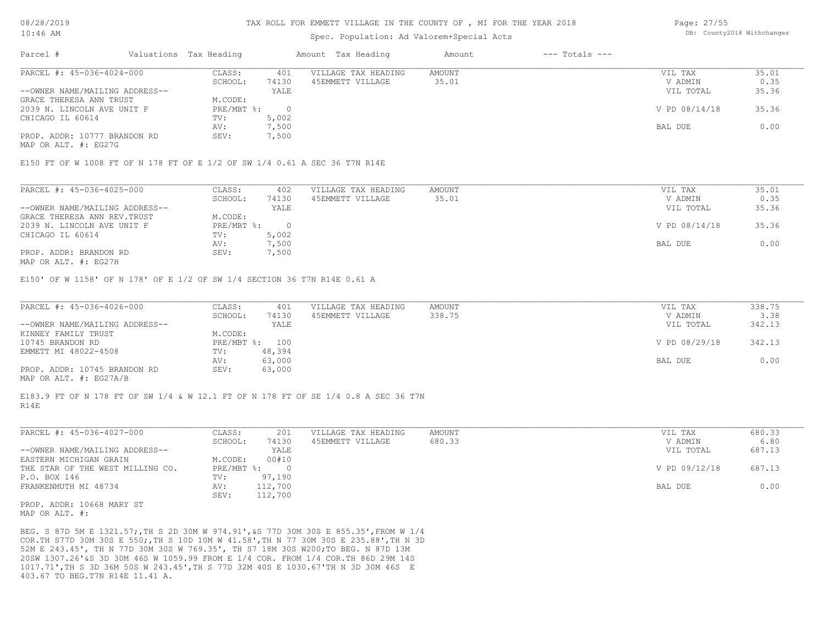### Spec. Population: Ad Valorem+Special Acts

Page: 27/55 DB: County2018 Withchanges

| Parcel #                       | Valuations Tax Heading |       | Amount Tax Heading  | Amount | $---$ Totals $---$ |               |       |
|--------------------------------|------------------------|-------|---------------------|--------|--------------------|---------------|-------|
| PARCEL #: 45-036-4024-000      | CLASS:                 | 401   | VILLAGE TAX HEADING | AMOUNT |                    | VIL TAX       | 35.01 |
|                                | SCHOOL:                | 74130 | 45EMMETT VILLAGE    | 35.01  |                    | V ADMIN       | 0.35  |
| --OWNER NAME/MAILING ADDRESS-- |                        | YALE  |                     |        |                    | VIL TOTAL     | 35.36 |
| GRACE THERESA ANN TRUST        | M.CODE:                |       |                     |        |                    |               |       |
| 2039 N. LINCOLN AVE UNIT F     | PRE/MBT %:             |       |                     |        |                    | V PD 08/14/18 | 35.36 |
| CHICAGO IL 60614               | TV:                    | 5,002 |                     |        |                    |               |       |
|                                | AV:                    | 7,500 |                     |        |                    | BAL DUE       | 0.00  |
| PROP. ADDR: 10777 BRANDON RD   | SEV:                   | 7,500 |                     |        |                    |               |       |
| MAP OR ALT. #: EG27G           |                        |       |                     |        |                    |               |       |

E150 FT OF W 1008 FT OF N 178 FT OF E 1/2 OF SW 1/4 0.61 A SEC 36 T7N R14E

| PARCEL #: 45-036-4025-000      | CLASS:     | 402   | VILLAGE TAX HEADING | AMOUNT | VIL TAX       | 35.01 |
|--------------------------------|------------|-------|---------------------|--------|---------------|-------|
|                                | SCHOOL:    | 74130 | 45EMMETT VILLAGE    | 35.01  | V ADMIN       | 0.35  |
| --OWNER NAME/MAILING ADDRESS-- |            | YALE  |                     |        | VIL TOTAL     | 35.36 |
| GRACE THERESA ANN REV. TRUST   | M.CODE:    |       |                     |        |               |       |
| 2039 N. LINCOLN AVE UNIT F     | PRE/MBT %: |       |                     |        | V PD 08/14/18 | 35.36 |
| CHICAGO IL 60614               | TV:        | 5,002 |                     |        |               |       |
|                                | AV:        | 7,500 |                     |        | BAL DUE       | 0.00  |
| PROP. ADDR: BRANDON RD         | SEV:       | 7,500 |                     |        |               |       |
| MAP OR ALT. #: EG27H           |            |       |                     |        |               |       |

E150' OF W 1158' OF N 178' OF E 1/2 OF SW 1/4 SECTION 36 T7N R14E 0.61 A

| PARCEL #: 45-036-4026-000      | CLASS:  | 401            | VILLAGE TAX HEADING | AMOUNT | VIL TAX       | 338.75 |
|--------------------------------|---------|----------------|---------------------|--------|---------------|--------|
|                                | SCHOOL: | 74130          | 45EMMETT VILLAGE    | 338.75 | V ADMIN       | 3.38   |
| --OWNER NAME/MAILING ADDRESS-- |         | YALE           |                     |        | VIL TOTAL     | 342.13 |
| KINNEY FAMILY TRUST            | M.CODE: |                |                     |        |               |        |
| 10745 BRANDON RD               |         | PRE/MBT %: 100 |                     |        | V PD 08/29/18 | 342.13 |
| EMMETT MI 48022-4508           | TV:     | 48,394         |                     |        |               |        |
|                                | AV:     | 63,000         |                     |        | BAL DUE       | 0.00   |
| PROP. ADDR: 10745 BRANDON RD   | SEV:    | 63,000         |                     |        |               |        |
| MAP OR ALT. #: EG27A/B         |         |                |                     |        |               |        |

R14E E183.9 FT OF N 178 FT OF SW 1/4 & W 12.1 FT OF N 178 FT OF SE 1/4 0.8 A SEC 36 T7N

| PARCEL #: 45-036-4027-000        | CLASS:       | 201     | VILLAGE TAX HEADING | AMOUNT | VIL TAX       | 680.33 |
|----------------------------------|--------------|---------|---------------------|--------|---------------|--------|
|                                  | SCHOOL:      | 74130   | 45EMMETT VILLAGE    | 680.33 | V ADMIN       | 6.80   |
| --OWNER NAME/MAILING ADDRESS--   |              | YALE    |                     |        | VIL TOTAL     | 687.13 |
| EASTERN MICHIGAN GRAIN           | M.CODE:      | 00#10   |                     |        |               |        |
| THE STAR OF THE WEST MILLING CO. | $PRE/MBT$ %: |         |                     |        | V PD 09/12/18 | 687.13 |
| P.O. BOX 146                     | TV:          | 97,190  |                     |        |               |        |
| FRANKENMUTH MI 48734             | AV:          | 112,700 |                     |        | BAL DUE       | 0.00   |
|                                  | SEV:         | 112,700 |                     |        |               |        |
|                                  |              |         |                     |        |               |        |

MAP OR ALT. #: PROP. ADDR: 10668 MARY ST

403.67 TO BEG.T7N R14E 11.41 A. 1017.71',TH S 3D 36M 50S W 243.45',TH S 77D 32M 40S E 1030.67'TH N 3D 30M 46S E 20SW 1307.26'&S 3D 30M 46S W 1059.99 FROM E 1/4 COR. FROM 1/4 COR.TH 86D 29M 14S 52M E 243.45', TH N 77D 30M 30S W 769.35', TH S7 18M 30S W200;TO BEG. N 87D 13M COR.TH S77D 30M 30S E 550;,TH S 10D 10M W 41.58',TH N 77 30M 30S E 235.88',TH N 3D BEG. S 87D 5M E 1321.57;,TH S 2D 30M W 974.91',&S 77D 30M 30S E 855.35',FROM W 1/4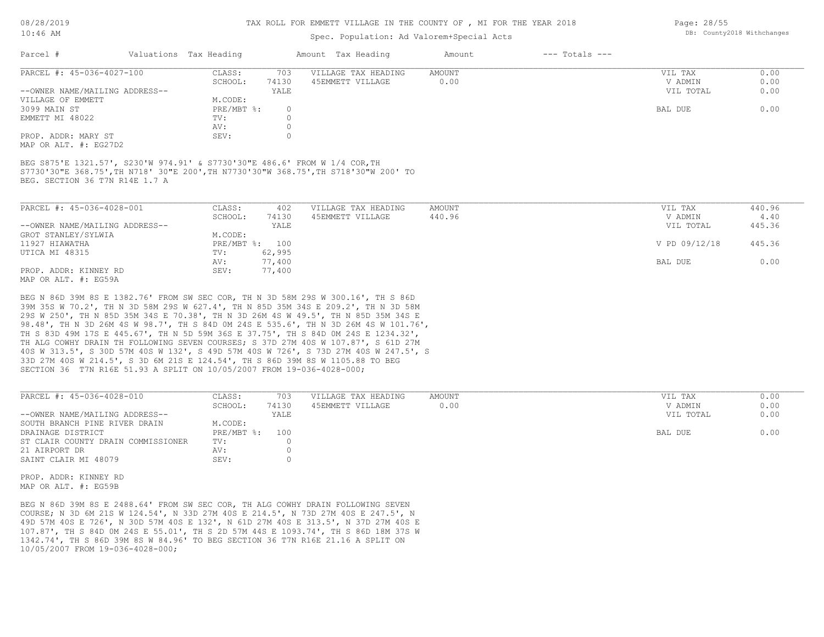## Spec. Population: Ad Valorem+Special Acts

| Parcel #                       | Valuations Tax Heading |       | Amount Tax Heading  | Amount | $---$ Totals $---$ |           |      |
|--------------------------------|------------------------|-------|---------------------|--------|--------------------|-----------|------|
| PARCEL #: 45-036-4027-100      | CLASS:                 | 703   | VILLAGE TAX HEADING | AMOUNT |                    | VIL TAX   | 0.00 |
|                                | SCHOOL:                | 74130 | 45EMMETT VILLAGE    | 0.00   |                    | V ADMIN   | 0.00 |
| --OWNER NAME/MAILING ADDRESS-- |                        | YALE  |                     |        |                    | VIL TOTAL | 0.00 |
| VILLAGE OF EMMETT              | M.CODE:                |       |                     |        |                    |           |      |
| 3099 MAIN ST                   | PRE/MBT %:             |       |                     |        |                    | BAL DUE   | 0.00 |
| EMMETT MI 48022                | TV:                    |       |                     |        |                    |           |      |
|                                | AV:                    |       |                     |        |                    |           |      |
| PROP. ADDR: MARY ST            | SEV:                   |       |                     |        |                    |           |      |
|                                |                        |       |                     |        |                    |           |      |

MAP OR ALT. #: EG27D2

BEG. SECTION 36 T7N R14E 1.7 A S7730'30"E 368.75',TH N718' 30"E 200',TH N7730'30"W 368.75',TH S718'30"W 200' TO BEG S875'E 1321.57', S230'W 974.91' & S7730'30"E 486.6' FROM W 1/4 COR,TH

| PARCEL #: 45-036-4028-001                                        | CLASS:  | 402            | VILLAGE TAX HEADING | AMOUNT | VIL TAX       | 440.96 |
|------------------------------------------------------------------|---------|----------------|---------------------|--------|---------------|--------|
|                                                                  | SCHOOL: | 74130          | 45EMMETT VILLAGE    | 440.96 | V ADMIN       | 4.40   |
| --OWNER NAME/MAILING ADDRESS--                                   |         | YALE           |                     |        | VIL TOTAL     | 445.36 |
| GROT STANLEY/SYLWIA                                              | M.CODE: |                |                     |        |               |        |
| 11927 HIAWATHA                                                   |         | PRE/MBT %: 100 |                     |        | V PD 09/12/18 | 445.36 |
| UTICA MI 48315                                                   | TV:     | 62,995         |                     |        |               |        |
|                                                                  | AV:     | 77,400         |                     |        | BAL DUE       | 0.00   |
| PROP. ADDR: KINNEY RD                                            | SEV:    | 77,400         |                     |        |               |        |
| $M \land D$ $\land D \land T$ $m$ $\#$ , $D \land E \land \land$ |         |                |                     |        |               |        |

MAP OR ALT. #: EG59A

SECTION 36 T7N R16E 51.93 A SPLIT ON 10/05/2007 FROM 19-036-4028-000; 33D 27M 40S W 214.5', S 3D 6M 21S E 124.54', TH S 86D 39M 8S W 1105.88 TO BEG 40S W 313.5', S 30D 57M 40S W 132', S 49D 57M 40S W 726', S 73D 27M 40S W 247.5', S TH ALG COWHY DRAIN TH FOLLOWING SEVEN COURSES; S 37D 27M 40S W 107.87', S 61D 27M TH S 83D 49M 17S E 445.67', TH N 5D 59M 36S E 37.75', TH S 84D 0M 24S E 1234.32', 98.48', TH N 3D 26M 4S W 98.7', TH S 84D 0M 24S E 535.6', TH N 3D 26M 4S W 101.76', 29S W 250', TH N 85D 35M 34S E 70.38', TH N 3D 26M 4S W 49.5', TH N 85D 35M 34S E 39M 35S W 70.2', TH N 3D 58M 29S W 627.4', TH N 85D 35M 34S E 209.2', TH N 3D 58M BEG N 86D 39M 8S E 1382.76' FROM SW SEC COR, TH N 3D 58M 29S W 300.16', TH S 86D

| PARCEL #: 45-036-4028-010          | CLASS:       | 703   | VILLAGE TAX HEADING | AMOUNT | VIL TAX   | 0.00 |
|------------------------------------|--------------|-------|---------------------|--------|-----------|------|
|                                    | SCHOOL:      | 74130 | 45EMMETT VILLAGE    | 0.00   | V ADMIN   | 0.00 |
| --OWNER NAME/MAILING ADDRESS--     |              | YALE  |                     |        | VIL TOTAL | 0.00 |
| SOUTH BRANCH PINE RIVER DRAIN      | M.CODE:      |       |                     |        |           |      |
| DRAINAGE DISTRICT                  | $PRE/MBT$ %: | 100   |                     |        | BAL DUE   | 0.00 |
| ST CLAIR COUNTY DRAIN COMMISSIONER | TV:          |       |                     |        |           |      |
| 21 AIRPORT DR                      | AV:          |       |                     |        |           |      |
| SAINT CLAIR MI 48079               | SEV:         |       |                     |        |           |      |
|                                    |              |       |                     |        |           |      |

 $\_$  , and the state of the state of the state of the state of the state of the state of the state of the state of the state of the state of the state of the state of the state of the state of the state of the state of the

MAP OR ALT. #: EG59B PROP. ADDR: KINNEY RD

10/05/2007 FROM 19-036-4028-000; 1342.74', TH S 86D 39M 8S W 84.96' TO BEG SECTION 36 T7N R16E 21.16 A SPLIT ON 107.87', TH S 84D 0M 24S E 55.01', TH S 2D 57M 44S E 1093.74', TH S 86D 18M 37S W 49D 57M 40S E 726', N 30D 57M 40S E 132', N 61D 27M 40S E 313.5', N 37D 27M 40S E COURSE; N 3D 6M 21S W 124.54', N 33D 27M 40S E 214.5', N 73D 27M 40S E 247.5', N BEG N 86D 39M 8S E 2488.64' FROM SW SEC COR, TH ALG COWHY DRAIN FOLLOWING SEVEN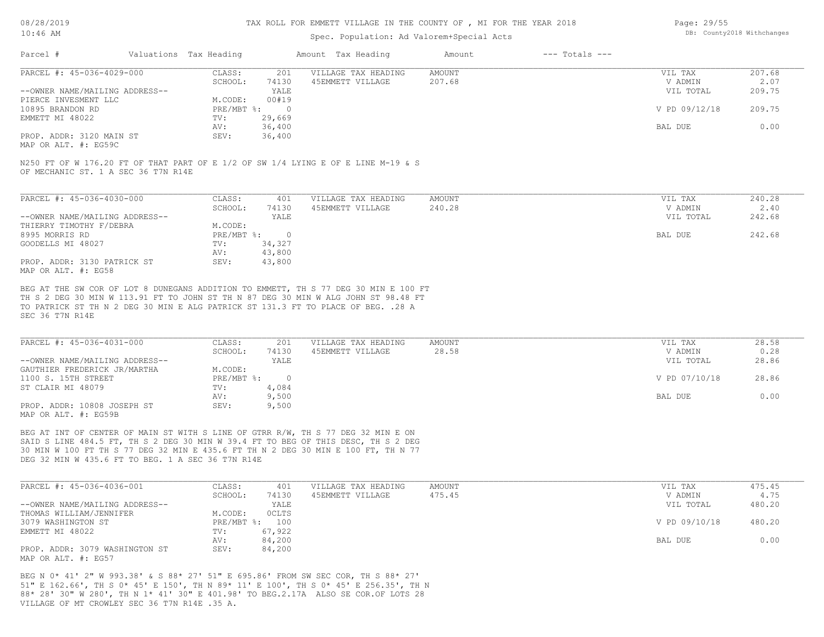## Spec. Population: Ad Valorem+Special Acts

| Page: 29/55 |                            |
|-------------|----------------------------|
|             | DB: County2018 Withchanges |

| Parcel #                       | Valuations Tax Heading |        | Amount Tax Heading  | Amount | $---$ Totals $---$ |               |        |
|--------------------------------|------------------------|--------|---------------------|--------|--------------------|---------------|--------|
| PARCEL #: 45-036-4029-000      | CLASS:                 | 201    | VILLAGE TAX HEADING | AMOUNT |                    | VIL TAX       | 207.68 |
|                                | SCHOOL:                | 74130  | 45EMMETT VILLAGE    | 207.68 |                    | V ADMIN       | 2.07   |
| --OWNER NAME/MAILING ADDRESS-- |                        | YALE   |                     |        |                    | VIL TOTAL     | 209.75 |
| PIERCE INVESMENT LLC           | M.CODE:                | 00#19  |                     |        |                    |               |        |
| 10895 BRANDON RD               | PRE/MBT %:             |        |                     |        |                    | V PD 09/12/18 | 209.75 |
| EMMETT MI 48022                | TV:                    | 29,669 |                     |        |                    |               |        |
|                                | AV:                    | 36,400 |                     |        |                    | BAL DUE       | 0.00   |
| PROP. ADDR: 3120 MAIN ST       | SEV:                   | 36,400 |                     |        |                    |               |        |
|                                |                        |        |                     |        |                    |               |        |

MAP OR ALT. #: EG59C

OF MECHANIC ST. 1 A SEC 36 T7N R14E N250 FT OF W 176.20 FT OF THAT PART OF E 1/2 OF SW 1/4 LYING E OF E LINE M-19 & S

| PARCEL #: 45-036-4030-000      | CLASS:     | 401      | VILLAGE TAX HEADING | AMOUNT | VIL TAX   | 240.28 |
|--------------------------------|------------|----------|---------------------|--------|-----------|--------|
|                                | SCHOOL:    | 74130    | 45EMMETT VILLAGE    | 240.28 | V ADMIN   | 2.40   |
| --OWNER NAME/MAILING ADDRESS-- |            | YALE     |                     |        | VIL TOTAL | 242.68 |
| THIERRY TIMOTHY F/DEBRA        | M.CODE:    |          |                     |        |           |        |
| 8995 MORRIS RD                 | PRE/MBT %: | $\Omega$ |                     |        | BAL DUE   | 242.68 |
| GOODELLS MI 48027              | TV:        | 34,327   |                     |        |           |        |
|                                | AV:        | 43,800   |                     |        |           |        |
| PROP. ADDR: 3130 PATRICK ST    | SEV:       | 43,800   |                     |        |           |        |
| MAP OR ALT. #: EG58            |            |          |                     |        |           |        |

SEC 36 T7N R14E TO PATRICK ST TH N 2 DEG 30 MIN E ALG PATRICK ST 131.3 FT TO PLACE OF BEG. .28 A TH S 2 DEG 30 MIN W 113.91 FT TO JOHN ST TH N 87 DEG 30 MIN W ALG JOHN ST 98.48 FT BEG AT THE SW COR OF LOT 8 DUNEGANS ADDITION TO EMMETT, TH S 77 DEG 30 MIN E 100 FT

| PARCEL #: 45-036-4031-000                           | CLASS:       | 201   | VILLAGE TAX HEADING | AMOUNT | VIL TAX       | 28.58 |
|-----------------------------------------------------|--------------|-------|---------------------|--------|---------------|-------|
|                                                     | SCHOOL:      | 74130 | 45EMMETT VILLAGE    | 28.58  | V ADMIN       | 0.28  |
| --OWNER NAME/MAILING ADDRESS--                      |              | YALE  |                     |        | VIL TOTAL     | 28.86 |
| GAUTHIER FREDERICK JR/MARTHA                        | M.CODE:      |       |                     |        |               |       |
| 1100 S. 15TH STREET                                 | $PRE/MBT$ %: |       |                     |        | V PD 07/10/18 | 28.86 |
| ST CLAIR MI 48079                                   | TV:          | 4,084 |                     |        |               |       |
|                                                     | AV:          | 9,500 |                     |        | BAL DUE       | 0.00  |
| PROP. ADDR: 10808 JOSEPH ST<br>MAP OR ALT. #: EG59B | SEV:         | 9,500 |                     |        |               |       |

DEG 32 MIN W 435.6 FT TO BEG. 1 A SEC 36 T7N R14E 30 MIN W 100 FT TH S 77 DEG 32 MIN E 435.6 FT TH N 2 DEG 30 MIN E 100 FT, TH N 77 SAID S LINE 484.5 FT, TH S 2 DEG 30 MIN W 39.4 FT TO BEG OF THIS DESC, TH S 2 DEG BEG AT INT OF CENTER OF MAIN ST WITH S LINE OF GTRR R/W, TH S 77 DEG 32 MIN E ON

| PARCEL #: 45-036-4036-001      | CLASS:       | 401    | VILLAGE TAX HEADING | AMOUNT | VIL TAX       | 475.45 |
|--------------------------------|--------------|--------|---------------------|--------|---------------|--------|
|                                | SCHOOL:      | 74130  | 45EMMETT VILLAGE    | 475.45 | V ADMIN       | 4.75   |
| --OWNER NAME/MAILING ADDRESS-- |              | YALE   |                     |        | VIL TOTAL     | 480.20 |
| THOMAS WILLIAM/JENNIFER        | M.CODE:      | OCLTS  |                     |        |               |        |
| 3079 WASHINGTON ST             | $PRE/MBT$ %: | 100    |                     |        | V PD 09/10/18 | 480.20 |
| EMMETT MI 48022                | TV:          | 67,922 |                     |        |               |        |
|                                | AV:          | 84,200 |                     |        | BAL DUE       | 0.00   |
| PROP. ADDR: 3079 WASHINGTON ST | SEV:         | 84,200 |                     |        |               |        |
| MAP OR ALT. #: EG57            |              |        |                     |        |               |        |

VILLAGE OF MT CROWLEY SEC 36 T7N R14E .35 A. 88\* 28' 30" W 280', TH N 1\* 41' 30" E 401.98' TO BEG.2.17A ALSO SE COR.OF LOTS 28 51" E 162.66', TH S 0\* 45' E 150', TH N 89\* 11' E 100', TH S 0\* 45' E 256.35', TH N BEG N 0\* 41' 2" W 993.38' & S 88\* 27' 51" E 695.86' FROM SW SEC COR, TH S 88\* 27'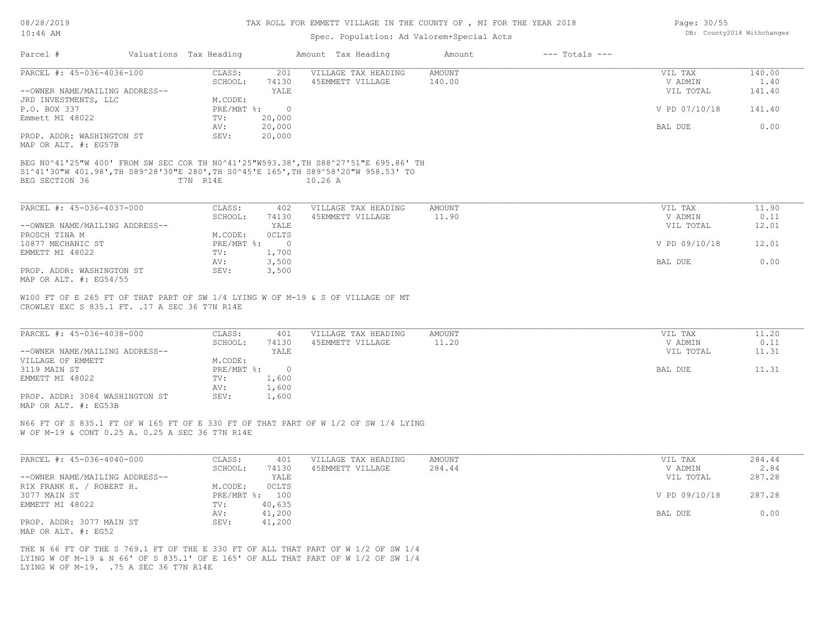### Spec. Population: Ad Valorem+Special Acts

| Page: 30/55 |                            |
|-------------|----------------------------|
|             | DB: County2018 Withchanges |

| Parcel #                       | Valuations Tax Heading |              | Amount Tax Heading  | Amount        | $---$ Totals $---$ |               |        |
|--------------------------------|------------------------|--------------|---------------------|---------------|--------------------|---------------|--------|
| PARCEL #: 45-036-4036-100      | CLASS:                 | 201          | VILLAGE TAX HEADING | <b>AMOUNT</b> |                    | VIL TAX       | 140.00 |
|                                | SCHOOL:                | 74130        | 45EMMETT VILLAGE    | 140.00        |                    | V ADMIN       | 1.40   |
| --OWNER NAME/MAILING ADDRESS-- |                        | YALE         |                     |               |                    | VIL TOTAL     | 141.40 |
| JRD INVESTMENTS, LLC           | M.CODE:                |              |                     |               |                    |               |        |
| P.O. BOX 337                   |                        | PRE/MBT %: 0 |                     |               |                    | V PD 07/10/18 | 141.40 |
| Emmett MI 48022                | TV:                    | 20,000       |                     |               |                    |               |        |
|                                | AV:                    | 20,000       |                     |               |                    | BAL DUE       | 0.00   |
| PROP. ADDR: WASHINGTON ST      | SEV:                   | 20,000       |                     |               |                    |               |        |
| MAP OR ALT. #: EG57B           |                        |              |                     |               |                    |               |        |
| BEG SECTION 36                 | T7N R14E               |              | 10.26A              |               |                    |               |        |
|                                |                        |              |                     |               |                    |               |        |
| PARCEL #: 45-036-4037-000      | CLASS:                 | 402          | VILLAGE TAX HEADING | AMOUNT        |                    | VIL TAX       | 11.90  |
|                                | SCHOOL:                | 74130        | 45EMMETT VILLAGE    | 11.90         |                    | V ADMIN       | 0.11   |
| --OWNER NAME/MAILING ADDRESS-- |                        | YALE         |                     |               |                    | VIL TOTAL     | 12.01  |
| PROSCH TINA M                  | M.CODE:                | OCLTS        |                     |               |                    |               |        |
| 10877 MECHANIC ST              | PRE/MBT %:             | $\circ$      |                     |               |                    | V PD 09/10/18 | 12.01  |
| EMMETT MI 48022                | TV:                    | 1,700        |                     |               |                    |               |        |
|                                | AV:                    | 3,500        |                     |               |                    | BAL DUE       | 0.00   |
| PROP. ADDR: WASHINGTON ST      | SEV:                   | 3,500        |                     |               |                    |               |        |
| MAP OR ALT. $\#$ : EG54/55     |                        |              |                     |               |                    |               |        |

CROWLEY EXC S 835.1 FT. .17 A SEC 36 T7N R14E W100 FT OF E 265 FT OF THAT PART OF SW 1/4 LYING W OF M-19 & S OF VILLAGE OF MT

| PARCEL #: 45-036-4038-000      | CLASS:     | 401   | VILLAGE TAX HEADING | AMOUNT | VIL TAX   | 11.20 |
|--------------------------------|------------|-------|---------------------|--------|-----------|-------|
|                                | SCHOOL:    | 74130 | 45EMMETT VILLAGE    | 11.20  | V ADMIN   | 0.11  |
| --OWNER NAME/MAILING ADDRESS-- |            | YALE  |                     |        | VIL TOTAL | 11.31 |
| VILLAGE OF EMMETT              | M.CODE:    |       |                     |        |           |       |
| 3119 MAIN ST                   | PRE/MBT %: |       |                     |        | BAL DUE   | 11.31 |
| EMMETT MI 48022                | TV:        | 1,600 |                     |        |           |       |
|                                | AV:        | 1,600 |                     |        |           |       |
| PROP. ADDR: 3084 WASHINGTON ST | SEV:       | 1,600 |                     |        |           |       |
| MAP OR ALT. #: EG53B           |            |       |                     |        |           |       |

 $\_$  , and the state of the state of the state of the state of the state of the state of the state of the state of the state of the state of the state of the state of the state of the state of the state of the state of the

W OF M-19 & CONT 0.25 A. 0.25 A SEC 36 T7N R14E N66 FT OF S 835.1 FT OF W 165 FT OF E 330 FT OF THAT PART OF W 1/2 OF SW 1/4 LYING

| PARCEL #: 45-036-4040-000      | CLASS:       | 401          | VILLAGE TAX HEADING | AMOUNT | VIL TAX       | 284.44 |
|--------------------------------|--------------|--------------|---------------------|--------|---------------|--------|
|                                | SCHOOL:      | 74130        | 45EMMETT VILLAGE    | 284.44 | V ADMIN       | 2.84   |
| --OWNER NAME/MAILING ADDRESS-- |              | YALE         |                     |        | VIL TOTAL     | 287.28 |
| ROBERT H.<br>RIX FRANK K. /    | M.CODE:      | <b>OCLTS</b> |                     |        |               |        |
| 3077 MAIN ST                   | $PRE/MBT$ %: | 100          |                     |        | V PD 09/10/18 | 287.28 |
| EMMETT MI 48022                | TV:          | 40,635       |                     |        |               |        |
|                                | AV:          | 41,200       |                     |        | BAL DUE       | 0.00   |
| PROP. ADDR: 3077 MAIN ST       | SEV:         | 41,200       |                     |        |               |        |
| MAP OR ALT. #: EG52            |              |              |                     |        |               |        |

LYING W OF M-19. .75 A SEC 36 T7N R14E LYING W OF M-19 & N 66' OF S 835.1' OF E 165' OF ALL THAT PART OF W 1/2 OF SW 1/4 THE N 66 FT OF THE S 769.1 FT OF THE E 330 FT OF ALL THAT PART OF W 1/2 OF SW 1/4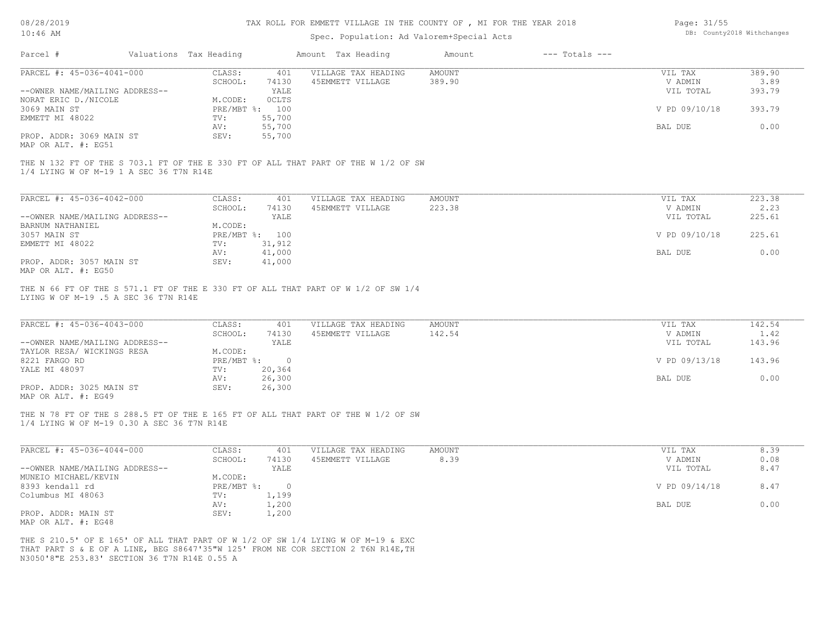08/28/2019 10:46 AM

## TAX ROLL FOR EMMETT VILLAGE IN THE COUNTY OF , MI FOR THE YEAR 2018

## Spec. Population: Ad Valorem+Special Acts

| Page: 31/55 |                            |
|-------------|----------------------------|
|             | DB: County2018 Withchanges |

| Parcel #                                                                                                                                         | Valuations Tax Heading                     |                                        |                                         |                  |                                                  |                                    |
|--------------------------------------------------------------------------------------------------------------------------------------------------|--------------------------------------------|----------------------------------------|-----------------------------------------|------------------|--------------------------------------------------|------------------------------------|
| PARCEL #: 45-036-4041-000                                                                                                                        | CLASS:<br>SCHOOL:                          | 401<br>74130                           | VILLAGE TAX HEADING<br>45EMMETT VILLAGE | AMOUNT<br>389.90 | VIL TAX<br>V ADMIN                               | 389.90<br>3.89                     |
| --OWNER NAME/MAILING ADDRESS--                                                                                                                   |                                            | YALE                                   |                                         |                  | VIL TOTAL                                        | 393.79                             |
| NORAT ERIC D./NICOLE                                                                                                                             | M.CODE:                                    | <b>OCLTS</b>                           |                                         |                  |                                                  |                                    |
| 3069 MAIN ST                                                                                                                                     | PRE/MBT %: 100                             |                                        |                                         |                  | V PD 09/10/18                                    | 393.79                             |
| EMMETT MI 48022                                                                                                                                  | TV:                                        | 55,700                                 |                                         |                  |                                                  |                                    |
|                                                                                                                                                  | AV:                                        | 55,700                                 |                                         |                  | BAL DUE                                          | 0.00                               |
| PROP. ADDR: 3069 MAIN ST<br>MAP OR ALT. #: EG51                                                                                                  | SEV:                                       | 55,700                                 |                                         |                  |                                                  |                                    |
| THE N 132 FT OF THE S 703.1 FT OF THE E 330 FT OF ALL THAT PART OF THE W 1/2 OF SW<br>1/4 LYING W OF M-19 1 A SEC 36 T7N R14E                    |                                            |                                        |                                         |                  |                                                  |                                    |
| PARCEL #: 45-036-4042-000                                                                                                                        | CLASS:                                     | 401                                    | VILLAGE TAX HEADING                     | <b>AMOUNT</b>    | VIL TAX                                          | 223.38                             |
|                                                                                                                                                  | SCHOOL:                                    | 74130                                  | 45EMMETT VILLAGE                        | 223.38           | V ADMIN                                          | 2.23                               |
| --OWNER NAME/MAILING ADDRESS--                                                                                                                   |                                            | YALE                                   |                                         |                  | VIL TOTAL                                        | 225.61                             |
| BARNUM NATHANIEL                                                                                                                                 | M.CODE:                                    |                                        |                                         |                  |                                                  |                                    |
| 3057 MAIN ST                                                                                                                                     | PRE/MBT %: 100                             |                                        |                                         |                  | V PD 09/10/18                                    | 225.61                             |
| EMMETT MI 48022                                                                                                                                  | TV:                                        | 31,912                                 |                                         |                  |                                                  |                                    |
|                                                                                                                                                  | AV:                                        | 41,000                                 |                                         |                  | BAL DUE                                          | 0.00                               |
| PROP. ADDR: 3057 MAIN ST                                                                                                                         | SEV:                                       | 41,000                                 |                                         |                  |                                                  |                                    |
| MAP OR ALT. #: EG50<br>THE N 66 FT OF THE S 571.1 FT OF THE E 330 FT OF ALL THAT PART OF W 1/2 OF SW 1/4<br>LYING W OF M-19 .5 A SEC 36 T7N R14E |                                            |                                        |                                         |                  |                                                  |                                    |
| PARCEL #: 45-036-4043-000<br>--OWNER NAME/MAILING ADDRESS--<br>TAYLOR RESA/ WICKINGS RESA<br>8221 FARGO RD                                       | CLASS:<br>SCHOOL:<br>M.CODE:<br>PRE/MBT %: | 401<br>74130<br>YALE<br>$\overline{0}$ | VILLAGE TAX HEADING<br>45EMMETT VILLAGE | AMOUNT<br>142.54 | VIL TAX<br>V ADMIN<br>VIL TOTAL<br>V PD 09/13/18 | 142.54<br>1.42<br>143.96<br>143.96 |
| YALE MI 48097                                                                                                                                    | TV:                                        | 20,364                                 |                                         |                  |                                                  |                                    |
|                                                                                                                                                  | AV:                                        | 26,300                                 |                                         |                  | BAL DUE                                          | 0.00                               |
| PROP. ADDR: 3025 MAIN ST<br>MAP OR ALT. #: EG49                                                                                                  | SEV:                                       | 26,300                                 |                                         |                  |                                                  |                                    |
| THE N 78 FT OF THE S 288.5 FT OF THE E 165 FT OF ALL THAT PART OF THE W 1/2 OF SW<br>1/4 LYING W OF M-19 0.30 A SEC 36 T7N R14E                  |                                            |                                        |                                         |                  |                                                  |                                    |
| PARCEL #: 45-036-4044-000                                                                                                                        | CLASS:                                     | 401                                    | VILLAGE TAX HEADING                     | AMOUNT           | VIL TAX                                          | 8.39                               |
|                                                                                                                                                  | SCHOOL:                                    | 74130                                  | 45EMMETT VILLAGE                        | 8.39             | V ADMIN                                          | 0.08                               |
| --OWNER NAME/MAILING ADDRESS--                                                                                                                   |                                            | YALE                                   |                                         |                  | VIL TOTAL                                        | 8.47                               |
| MUNEIO MICHAEL/KEVIN                                                                                                                             | M.CODE:                                    |                                        |                                         |                  |                                                  |                                    |
| 8393 kendall rd                                                                                                                                  | PRE/MBT %: 0                               |                                        |                                         |                  | V PD 09/14/18                                    | 8.47                               |
| Columbus MI 48063                                                                                                                                | TV:                                        | 1,199                                  |                                         |                  |                                                  |                                    |
|                                                                                                                                                  | AV:                                        | 1,200                                  |                                         |                  | BAL DUE                                          | 0.00                               |
| PROP. ADDR: MAIN ST<br>MAP OR ALT. #: EG48                                                                                                       | SEV:                                       | 1,200                                  |                                         |                  |                                                  |                                    |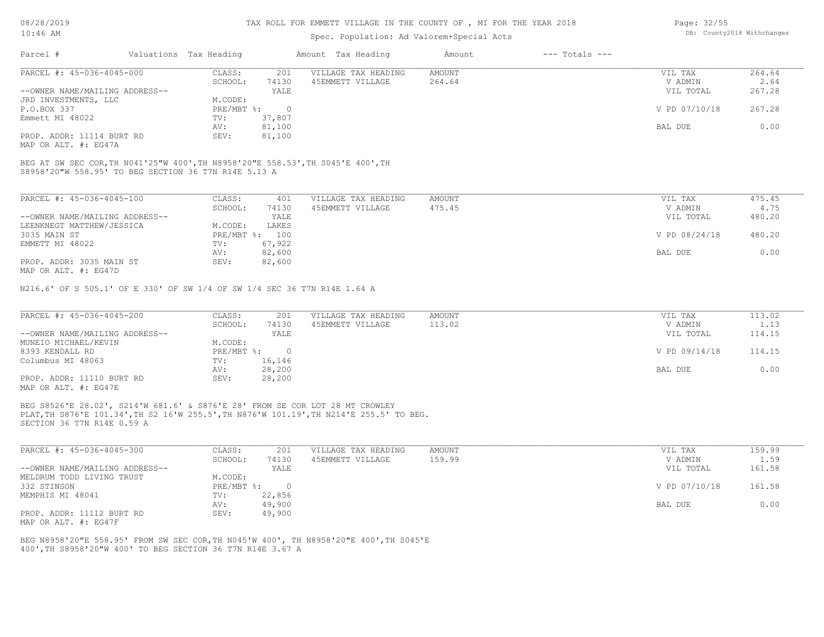## Spec. Population: Ad Valorem+Special Acts

| Page: 32/55 |                            |
|-------------|----------------------------|
|             | DB: County2018 Withchanges |

| Parcel #                       | Valuations Tax Heading |        | Amount Tax Heading  | Amount | $---$ Totals $---$ |               |        |
|--------------------------------|------------------------|--------|---------------------|--------|--------------------|---------------|--------|
| PARCEL #: 45-036-4045-000      | CLASS:                 | 201    | VILLAGE TAX HEADING | AMOUNT |                    | VIL TAX       | 264.64 |
|                                | SCHOOL:                | 74130  | 45EMMETT VILLAGE    | 264.64 |                    | V ADMIN       | 2.64   |
| --OWNER NAME/MAILING ADDRESS-- |                        | YALE   |                     |        |                    | VIL TOTAL     | 267.28 |
| JRD INVESTMENTS, LLC           | M.CODE:                |        |                     |        |                    |               |        |
| P.O.BOX 337                    | PRE/MBT %:             |        |                     |        |                    | V PD 07/10/18 | 267.28 |
| Emmett MI 48022                | TV:                    | 37,807 |                     |        |                    |               |        |
|                                | AV:                    | 81,100 |                     |        |                    | BAL DUE       | 0.00   |
| PROP. ADDR: 11114 BURT RD      | SEV:                   | 81,100 |                     |        |                    |               |        |
|                                |                        |        |                     |        |                    |               |        |

MAP OR ALT. #: EG47A

S8958'20"W 558.95' TO BEG SECTION 36 T7N R14E 5.13 A BEG AT SW SEC COR,TH N041'25"W 400',TH N8958'20"E 558.53',TH S045'E 400',TH

| PARCEL #: 45-036-4045-100                                  | CLASS:       | 401    | VILLAGE TAX HEADING | AMOUNT | VIL TAX       | 475.45 |
|------------------------------------------------------------|--------------|--------|---------------------|--------|---------------|--------|
|                                                            | SCHOOL:      | 74130  | 45EMMETT VILLAGE    | 475.45 | V ADMIN       | 4.75   |
| --OWNER NAME/MAILING ADDRESS--                             |              | YALE   |                     |        | VIL TOTAL     | 480.20 |
| LEENKNEGT MATTHEW/JESSICA                                  | M.CODE:      | LAKES  |                     |        |               |        |
| 3035 MAIN ST                                               | $PRE/MBT$ %: | 100    |                     |        | V PD 08/24/18 | 480.20 |
| EMMETT MI 48022                                            | TV:          | 67,922 |                     |        |               |        |
|                                                            | AV:          | 82,600 |                     |        | BAL DUE       | 0.00   |
| PROP. ADDR: 3035 MAIN ST<br>$MAD$ $CD$ $ATM$ $H$ , $DCACD$ | SEV:         | 82,600 |                     |        |               |        |

MAP OR ALT. #: EG47D

N216.6' OF S 505.1' OF E 330' OF SW 1/4 OF SW 1/4 SEC 36 T7N R14E 1.64 A

| PARCEL #: 45-036-4045-200      | CLASS:     | 201    | VILLAGE TAX HEADING | AMOUNT | VIL TAX       | 113.02 |
|--------------------------------|------------|--------|---------------------|--------|---------------|--------|
|                                | SCHOOL:    | 74130  | 45EMMETT VILLAGE    | 113.02 | V ADMIN       | 1.13   |
| --OWNER NAME/MAILING ADDRESS-- |            | YALE   |                     |        | VIL TOTAL     | 114.15 |
| MUNEIO MICHAEL/KEVIN           | M.CODE:    |        |                     |        |               |        |
| 8393 KENDALL RD                | PRE/MBT %: |        |                     |        | V PD 09/14/18 | 114.15 |
| Columbus MI 48063              | TV:        | 16,146 |                     |        |               |        |
|                                | AV:        | 28,200 |                     |        | BAL DUE       | 0.00   |
| PROP. ADDR: 11110 BURT RD      | SEV:       | 28,200 |                     |        |               |        |
| MAP OR ALT. #: EG47E           |            |        |                     |        |               |        |

SECTION 36 T7N R14E 0.59 A PLAT,TH S876'E 101.34',TH S2 16'W 255.5',TH N876'W 101.19',TH N214'E 255.5' TO BEG. BEG S8526'E 28.02', S214'W 681.6' & S876'E 28' FROM SE COR LOT 28 MT CROWLEY

| PARCEL #: 45-036-4045-300      | CLASS:       | 201    | VILLAGE TAX HEADING | AMOUNT | VIL TAX       | 159.99 |
|--------------------------------|--------------|--------|---------------------|--------|---------------|--------|
|                                | SCHOOL:      | 74130  | 45EMMETT VILLAGE    | 159.99 | V ADMIN       | 1.59   |
| --OWNER NAME/MAILING ADDRESS-- |              | YALE   |                     |        | VIL TOTAL     | 161.58 |
| MELDRUM TODD LIVING TRUST      | M.CODE:      |        |                     |        |               |        |
| 332 STINSON                    | $PRE/MBT$ %: |        |                     |        | V PD 07/10/18 | 161.58 |
| MEMPHIS MI 48041               | TV:          | 22,856 |                     |        |               |        |
|                                | AV:          | 49,900 |                     |        | BAL DUE       | 0.00   |
| PROP. ADDR: 11112 BURT RD      | SEV:         | 49,900 |                     |        |               |        |
| MAP OR ALT. #: EG47F           |              |        |                     |        |               |        |

400',TH S8958'20"W 400' TO BEG SECTION 36 T7N R14E 3.67 A BEG N8958'20"E 558.95' FROM SW SEC COR,TH N045'W 400', TH N8958'20"E 400',TH S045'E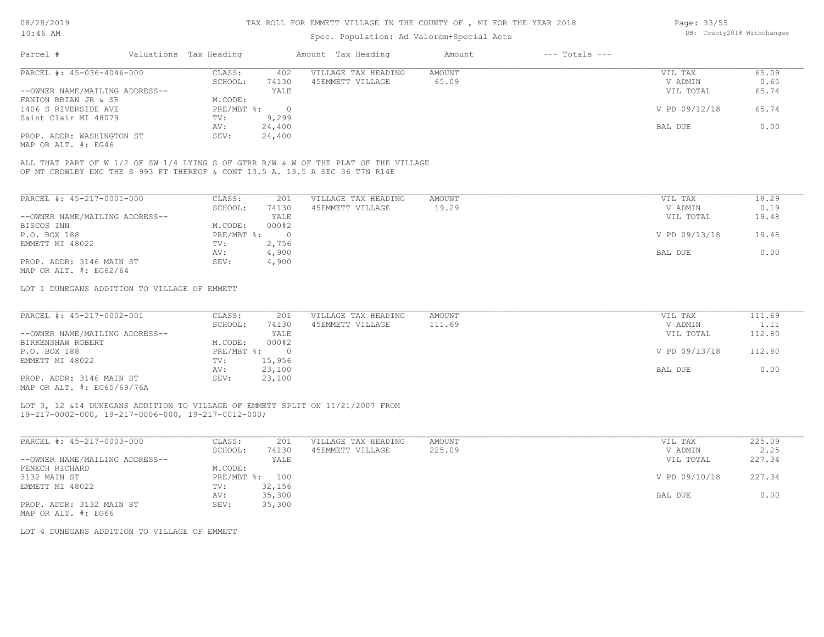## Spec. Population: Ad Valorem+Special Acts

| Page: 33/55 |                            |
|-------------|----------------------------|
|             | DB: County2018 Withchanges |

| Parcel #                       | Valuations Tax Heading |        | Amount Tax Heading  | Amount | $---$ Totals $---$ |               |       |
|--------------------------------|------------------------|--------|---------------------|--------|--------------------|---------------|-------|
| PARCEL #: 45-036-4046-000      | CLASS:                 | 402    | VILLAGE TAX HEADING | AMOUNT |                    | VIL TAX       | 65.09 |
|                                | SCHOOL:                | 74130  | 45EMMETT VILLAGE    | 65.09  |                    | V ADMIN       | 0.65  |
| --OWNER NAME/MAILING ADDRESS-- |                        | YALE   |                     |        |                    | VIL TOTAL     | 65.74 |
| FANION BRIAN JR & SR           | M.CODE:                |        |                     |        |                    |               |       |
| 1406 S RIVERSIDE AVE           | PRE/MBT %:             |        |                     |        |                    | V PD 09/12/18 | 65.74 |
| Saint Clair MI 48079           | TV:                    | 9,299  |                     |        |                    |               |       |
|                                | AV:                    | 24,400 |                     |        |                    | BAL DUE       | 0.00  |
| PROP. ADDR: WASHINGTON ST      | SEV:                   | 24,400 |                     |        |                    |               |       |
| MAP OR ALT. #: EG46            |                        |        |                     |        |                    |               |       |

OF MT CROWLEY EXC THE S 993 FT THEREOF & CONT 13.5 A. 13.5 A SEC 36 T7N R14E ALL THAT PART OF W 1/2 OF SW 1/4 LYING S OF GTRR R/W & W OF THE PLAT OF THE VILLAGE

| PARCEL #: 45-217-0001-000      | CLASS:     | 201      | VILLAGE TAX HEADING | AMOUNT | 19.29<br>VIL TAX       |
|--------------------------------|------------|----------|---------------------|--------|------------------------|
|                                | SCHOOL:    | 74130    | 45EMMETT VILLAGE    | 19.29  | V ADMIN<br>0.19        |
| --OWNER NAME/MAILING ADDRESS-- |            | YALE     |                     |        | 19.48<br>VIL TOTAL     |
| BISCOS INN                     | M.CODE:    | 000#2    |                     |        |                        |
| P.O. BOX 188                   | PRE/MBT %: | $\Omega$ |                     |        | V PD 09/13/18<br>19.48 |
| EMMETT MI 48022                | TV:        | 2,756    |                     |        |                        |
|                                | AV:        | 4,900    |                     |        | 0.00<br>BAL DUE        |
| PROP. ADDR: 3146 MAIN ST       | SEV:       | 4,900    |                     |        |                        |
| MAP OR ALT. $\#$ : EG62/64     |            |          |                     |        |                        |

LOT 1 DUNEGANS ADDITION TO VILLAGE OF EMMETT

| PARCEL #: 45-217-0002-001                                                                                                                                                                                                                                                                                                                    | CLASS:       | 201    | VILLAGE TAX HEADING | AMOUNT | VIL TAX       | 111.69 |
|----------------------------------------------------------------------------------------------------------------------------------------------------------------------------------------------------------------------------------------------------------------------------------------------------------------------------------------------|--------------|--------|---------------------|--------|---------------|--------|
|                                                                                                                                                                                                                                                                                                                                              | SCHOOL:      | 74130  | 45EMMETT VILLAGE    | 111.69 | V ADMIN       | 1.11   |
| --OWNER NAME/MAILING ADDRESS--                                                                                                                                                                                                                                                                                                               |              | YALE   |                     |        | VIL TOTAL     | 112.80 |
| BIRKENSHAW ROBERT                                                                                                                                                                                                                                                                                                                            | M.CODE:      | 000#2  |                     |        |               |        |
| P.O. BOX 188                                                                                                                                                                                                                                                                                                                                 | $PRE/MBT$ %: |        |                     |        | V PD 09/13/18 | 112.80 |
| EMMETT MI 48022                                                                                                                                                                                                                                                                                                                              | TV:          | 15,956 |                     |        |               |        |
|                                                                                                                                                                                                                                                                                                                                              | AV:          | 23,100 |                     |        | BAL DUE       | 0.00   |
| PROP. ADDR: 3146 MAIN ST                                                                                                                                                                                                                                                                                                                     | SEV:         | 23,100 |                     |        |               |        |
| $\cdots$ $\cdots$ $\cdots$ $\cdots$ $\cdots$ $\cdots$ $\cdots$ $\cdots$ $\cdots$ $\cdots$ $\cdots$ $\cdots$ $\cdots$ $\cdots$ $\cdots$ $\cdots$ $\cdots$ $\cdots$ $\cdots$ $\cdots$ $\cdots$ $\cdots$ $\cdots$ $\cdots$ $\cdots$ $\cdots$ $\cdots$ $\cdots$ $\cdots$ $\cdots$ $\cdots$ $\cdots$ $\cdots$ $\cdots$ $\cdots$ $\cdots$ $\cdots$ |              |        |                     |        |               |        |

MAP OR ALT. #: EG65/69/76A

#### 19-217-0002-000, 19-217-0006-000, 19-217-0012-000; LOT 3, 12 &14 DUNEGANS ADDITION TO VILLAGE OF EMMETT SPLIT ON 11/21/2007 FROM

| PARCEL #: 45-217-0003-000      | CLASS:       | 201    | VILLAGE TAX HEADING | AMOUNT | VIL TAX       | 225.09 |
|--------------------------------|--------------|--------|---------------------|--------|---------------|--------|
|                                | SCHOOL:      | 74130  | 45EMMETT VILLAGE    | 225.09 | V ADMIN       | 2.25   |
| --OWNER NAME/MAILING ADDRESS-- |              | YALE   |                     |        | VIL TOTAL     | 227.34 |
| FENECH RICHARD                 | M.CODE:      |        |                     |        |               |        |
| 3132 MAIN ST                   | $PRE/MBT$ %: | 100    |                     |        | V PD 09/10/18 | 227.34 |
| EMMETT MI 48022                | TV:          | 32,156 |                     |        |               |        |
|                                | AV:          | 35,300 |                     |        | BAL DUE       | 0.00   |
| PROP. ADDR: 3132 MAIN ST       | SEV:         | 35,300 |                     |        |               |        |
|                                |              |        |                     |        |               |        |

MAP OR ALT. #: EG66

LOT 4 DUNEGANS ADDITION TO VILLAGE OF EMMETT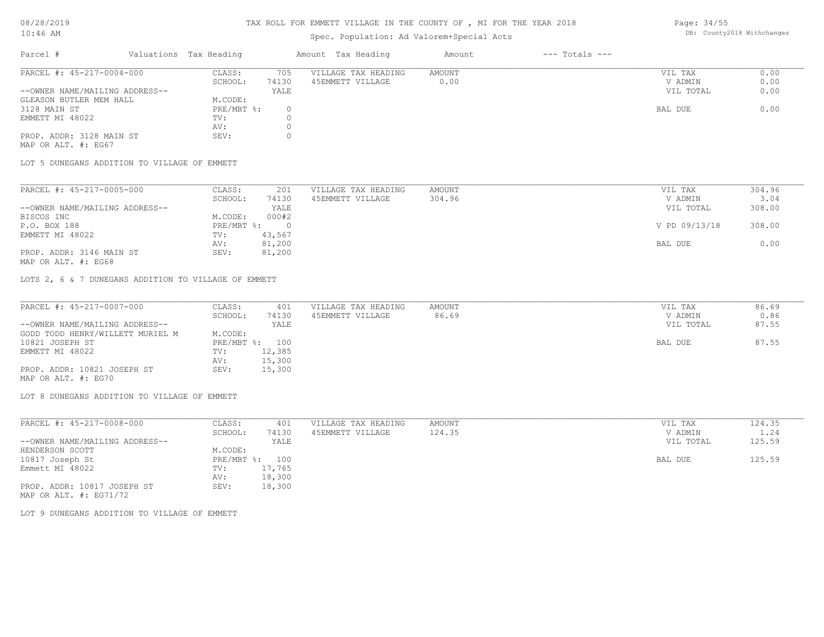## Spec. Population: Ad Valorem+Special Acts

Page: 34/55 DB: County2018 Withchanges

| Parcel #                       | Valuations Tax Heading |       | Amount Tax Heading  | Amount | $---$ Totals $---$ |           |      |
|--------------------------------|------------------------|-------|---------------------|--------|--------------------|-----------|------|
| PARCEL #: 45-217-0004-000      | CLASS:                 | 705   | VILLAGE TAX HEADING | AMOUNT |                    | VIL TAX   | 0.00 |
|                                | SCHOOL:                | 74130 | 45EMMETT VILLAGE    | 0.00   |                    | V ADMIN   | 0.00 |
| --OWNER NAME/MAILING ADDRESS-- |                        | YALE  |                     |        |                    | VIL TOTAL | 0.00 |
| GLEASON BUTLER MEM HALL        | M.CODE:                |       |                     |        |                    |           |      |
| 3128 MAIN ST                   | PRE/MBT %:             |       |                     |        |                    | BAL DUE   | 0.00 |
| EMMETT MI 48022                | TV:                    |       |                     |        |                    |           |      |
|                                | AV:                    |       |                     |        |                    |           |      |
| PROP. ADDR: 3128 MAIN ST       | SEV:                   |       |                     |        |                    |           |      |
| MAP OR ALT. #: EG67            |                        |       |                     |        |                    |           |      |

LOT 5 DUNEGANS ADDITION TO VILLAGE OF EMMETT

| PARCEL #: 45-217-0005-000      | CLASS:     | 201    | VILLAGE TAX HEADING | AMOUNT | VIL TAX       | 304.96 |
|--------------------------------|------------|--------|---------------------|--------|---------------|--------|
|                                | SCHOOL:    | 74130  | 45EMMETT VILLAGE    | 304.96 | V ADMIN       | 3.04   |
| --OWNER NAME/MAILING ADDRESS-- |            | YALE   |                     |        | VIL TOTAL     | 308.00 |
| BISCOS INC                     | M.CODE:    | 000#2  |                     |        |               |        |
| P.O. BOX 188                   | PRE/MBT %: |        |                     |        | V PD 09/13/18 | 308.00 |
| EMMETT MI 48022                | TV:        | 43,567 |                     |        |               |        |
|                                | AV:        | 81,200 |                     |        | BAL DUE       | 0.00   |
| PROP. ADDR: 3146 MAIN ST       | SEV:       | 81,200 |                     |        |               |        |
| MAP OR ALT. #: EG68            |            |        |                     |        |               |        |

LOTS 2, 6 & 7 DUNEGANS ADDITION TO VILLAGE OF EMMETT

| PARCEL #: 45-217-0007-000        | CLASS:  | 401            | VILLAGE TAX HEADING | AMOUNT | VIL TAX   | 86.69 |
|----------------------------------|---------|----------------|---------------------|--------|-----------|-------|
|                                  | SCHOOL: | 74130          | 45EMMETT VILLAGE    | 86.69  | V ADMIN   | 0.86  |
| --OWNER NAME/MAILING ADDRESS--   |         | YALE           |                     |        | VIL TOTAL | 87.55 |
| GODD TODD HENRY/WILLETT MURIEL M | M.CODE: |                |                     |        |           |       |
| 10821 JOSEPH ST                  |         | PRE/MBT %: 100 |                     |        | BAL DUE   | 87.55 |
| EMMETT MI 48022                  | TV:     | 12,385         |                     |        |           |       |
|                                  | AV:     | 15,300         |                     |        |           |       |
| PROP. ADDR: 10821 JOSEPH ST      | SEV:    | 15,300         |                     |        |           |       |
| MAP OR ALT. #: EG70              |         |                |                     |        |           |       |

LOT 8 DUNEGANS ADDITION TO VILLAGE OF EMMETT

| PARCEL #: 45-217-0008-000      | CLASS:       | 401    | VILLAGE TAX HEADING | AMOUNT | VIL TAX   | 124.35 |
|--------------------------------|--------------|--------|---------------------|--------|-----------|--------|
|                                | SCHOOL:      | 74130  | 45EMMETT VILLAGE    | 124.35 | V ADMIN   | 1.24   |
| --OWNER NAME/MAILING ADDRESS-- |              | YALE   |                     |        | VIL TOTAL | 125.59 |
| HENDERSON SCOTT                | M.CODE:      |        |                     |        |           |        |
| 10817 Joseph St                | $PRE/MBT$ %: | 100    |                     |        | BAL DUE   | 125.59 |
| Emmett MI 48022                | TV:          | 17,765 |                     |        |           |        |
|                                | AV:          | 18,300 |                     |        |           |        |
| PROP. ADDR: 10817 JOSEPH ST    | SEV:         | 18,300 |                     |        |           |        |
| MAP OR ALT. $\#$ : EG71/72     |              |        |                     |        |           |        |

LOT 9 DUNEGANS ADDITION TO VILLAGE OF EMMETT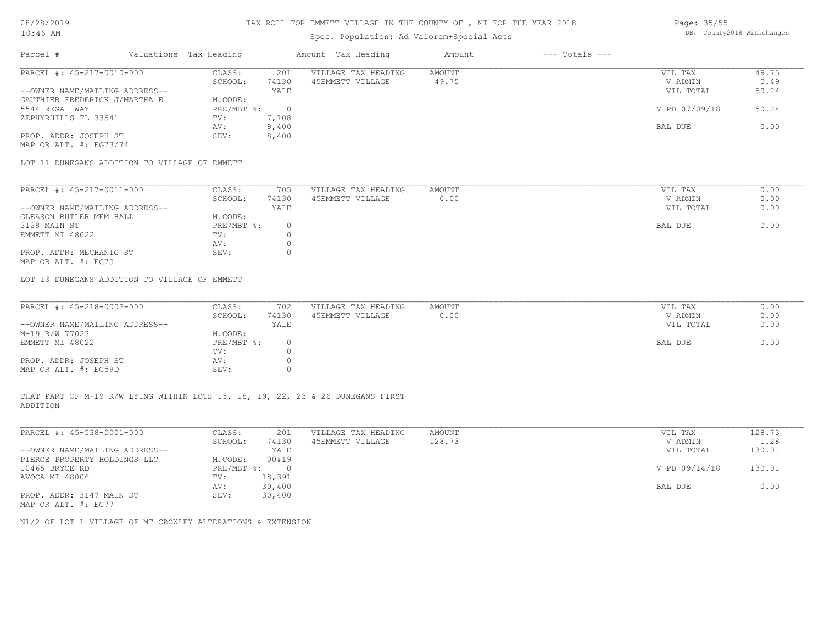## Spec. Population: Ad Valorem+Special Acts

Page: 35/55 DB: County2018 Withchanges

| Parcel #                       | Valuations Tax Heading |       | Amount Tax Heading  | Amount | $---$ Totals $---$ |               |       |
|--------------------------------|------------------------|-------|---------------------|--------|--------------------|---------------|-------|
| PARCEL #: 45-217-0010-000      | CLASS:                 | 201   | VILLAGE TAX HEADING | AMOUNT |                    | VIL TAX       | 49.75 |
|                                | SCHOOL:                | 74130 | 45EMMETT VILLAGE    | 49.75  |                    | V ADMIN       | 0.49  |
| --OWNER NAME/MAILING ADDRESS-- |                        | YALE  |                     |        |                    | VIL TOTAL     | 50.24 |
| GAUTHIER FREDERICK J/MARTHA E  | M.CODE:                |       |                     |        |                    |               |       |
| 5544 REGAL WAY                 | $PRE/MBT$ %:           |       |                     |        |                    | V PD 07/09/18 | 50.24 |
| ZEPHYRHILLS FL 33541           | TV:                    | 7,108 |                     |        |                    |               |       |
|                                | AV:                    | 8,400 |                     |        |                    | BAL DUE       | 0.00  |
| PROP. ADDR: JOSEPH ST          | SEV:                   | 8,400 |                     |        |                    |               |       |
| MAP OR ALT. $\#$ : EG73/74     |                        |       |                     |        |                    |               |       |

LOT 11 DUNEGANS ADDITION TO VILLAGE OF EMMETT

| PARCEL #: 45-217-0011-000      | CLASS:     | 705   | VILLAGE TAX HEADING | AMOUNT | VIL TAX   | 0.00 |
|--------------------------------|------------|-------|---------------------|--------|-----------|------|
|                                | SCHOOL:    | 74130 | 45EMMETT VILLAGE    | 0.00   | V ADMIN   | 0.00 |
| --OWNER NAME/MAILING ADDRESS-- |            | YALE  |                     |        | VIL TOTAL | 0.00 |
| GLEASON BUTLER MEM HALL        | M.CODE:    |       |                     |        |           |      |
| 3128 MAIN ST                   | PRE/MBT %: |       |                     |        | BAL DUE   | 0.00 |
| EMMETT MI 48022                | TV:        |       |                     |        |           |      |
|                                | AV:        |       |                     |        |           |      |
| PROP. ADDR: MECHANIC ST        | SEV:       |       |                     |        |           |      |
| MAP OR ALT. #: EG75            |            |       |                     |        |           |      |

LOT 13 DUNEGANS ADDITION TO VILLAGE OF EMMETT

| PARCEL #: 45-218-0002-000      | CLASS:     | 702   | VILLAGE TAX HEADING | AMOUNT | VIL TAX   | 0.00 |
|--------------------------------|------------|-------|---------------------|--------|-----------|------|
|                                | SCHOOL:    | 74130 | 45EMMETT VILLAGE    | 0.00   | V ADMIN   | 0.00 |
| --OWNER NAME/MAILING ADDRESS-- |            | YALE  |                     |        | VIL TOTAL | 0.00 |
| M-19 R/W 77023                 | M.CODE:    |       |                     |        |           |      |
| EMMETT MI 48022                | PRE/MBT %: |       |                     |        | BAL DUE   | 0.00 |
|                                | TV:        |       |                     |        |           |      |
| PROP. ADDR: JOSEPH ST          | AV:        |       |                     |        |           |      |
| MAP OR ALT. #: EG59D           | SEV:       |       |                     |        |           |      |

ADDITION THAT PART OF M-19 R/W LYING WITHIN LOTS 15, 18, 19, 22, 23 & 26 DUNEGANS FIRST

| PARCEL #: 45-538-0001-000      | CLASS:       | 201    | VILLAGE TAX HEADING | AMOUNT | VIL TAX       | 128.73 |
|--------------------------------|--------------|--------|---------------------|--------|---------------|--------|
|                                | SCHOOL:      | 74130  | 45EMMETT VILLAGE    | 128.73 | V ADMIN       | 1.28   |
| --OWNER NAME/MAILING ADDRESS-- |              | YALE   |                     |        | VIL TOTAL     | 130.01 |
| PIERCE PROPERTY HOLDINGS LLC   | M.CODE:      | 00#19  |                     |        |               |        |
| 10465 BRYCE RD                 | $PRE/MBT$ %: |        |                     |        | V PD 09/14/18 | 130.01 |
| AVOCA MI 48006                 | TV:          | 18,391 |                     |        |               |        |
|                                | AV:          | 30,400 |                     |        | BAL DUE       | 0.00   |
| PROP. ADDR: 3147 MAIN ST       | SEV:         | 30,400 |                     |        |               |        |
| MAP OR ALT. #: EG77            |              |        |                     |        |               |        |

N1/2 OF LOT 1 VILLAGE OF MT CROWLEY ALTERATIONS & EXTENSION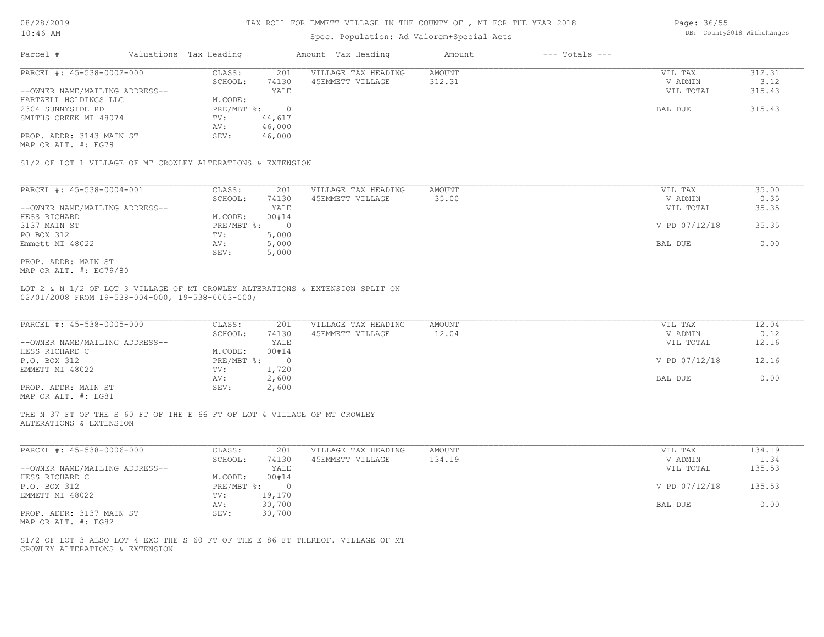### Spec. Population: Ad Valorem+Special Acts

| Page: 36/55 |                            |
|-------------|----------------------------|
|             | DB: County2018 Withchanges |

| Parcel #                       |         | Valuations Tax Heading |                  | Amount Tax Heading  | Amount | $---$ Totals $---$ |           |        |
|--------------------------------|---------|------------------------|------------------|---------------------|--------|--------------------|-----------|--------|
| PARCEL #: 45-538-0002-000      |         | CLASS:                 | 201              | VILLAGE TAX HEADING | AMOUNT |                    | VIL TAX   | 312.31 |
|                                | SCHOOL: | 74130                  | 45EMMETT VILLAGE | 312.31              |        | V ADMIN            | 3.12      |        |
| --OWNER NAME/MAILING ADDRESS-- |         |                        | YALE             |                     |        |                    | VIL TOTAL | 315.43 |
| HARTZELL HOLDINGS LLC          |         | M.CODE:                |                  |                     |        |                    |           |        |
| 2304 SUNNYSIDE RD              |         | $PRE/MBT$ %:           |                  |                     |        |                    | BAL DUE   | 315.43 |
| SMITHS CREEK MI 48074          |         | TV:                    | 44,617           |                     |        |                    |           |        |
|                                |         | AV:                    | 46,000           |                     |        |                    |           |        |
| PROP. ADDR: 3143 MAIN ST       |         | SEV:                   | 46,000           |                     |        |                    |           |        |
| MAP OR ALT. #: EG78            |         |                        |                  |                     |        |                    |           |        |

S1/2 OF LOT 1 VILLAGE OF MT CROWLEY ALTERATIONS & EXTENSION

| PARCEL #: 45-538-0004-001      | CLASS:     | 201   | VILLAGE TAX HEADING | AMOUNT | VIL TAX       | 35.00 |
|--------------------------------|------------|-------|---------------------|--------|---------------|-------|
|                                | SCHOOL:    | 74130 | 45EMMETT VILLAGE    | 35.00  | V ADMIN       | 0.35  |
| --OWNER NAME/MAILING ADDRESS-- |            | YALE  |                     |        | VIL TOTAL     | 35.35 |
| HESS RICHARD                   | M.CODE:    | 00#14 |                     |        |               |       |
| 3137 MAIN ST                   | PRE/MBT %: |       |                     |        | V PD 07/12/18 | 35.35 |
| PO BOX 312                     | TV:        | 5,000 |                     |        |               |       |
| Emmett MI 48022                | AV:        | 5,000 |                     |        | BAL DUE       | 0.00  |
|                                | SEV:       | 5,000 |                     |        |               |       |
| PROP. ADDR: MAIN ST            |            |       |                     |        |               |       |

MAP OR ALT. #: EG79/80

02/01/2008 FROM 19-538-004-000, 19-538-0003-000; LOT 2 & N 1/2 OF LOT 3 VILLAGE OF MT CROWLEY ALTERATIONS & EXTENSION SPLIT ON

| PARCEL #: 45-538-0005-000      | CLASS:       | 201   | VILLAGE TAX HEADING | AMOUNT | VIL TAX       | 12.04 |
|--------------------------------|--------------|-------|---------------------|--------|---------------|-------|
|                                | SCHOOL:      | 74130 | 45EMMETT VILLAGE    | 12.04  | V ADMIN       | 0.12  |
| --OWNER NAME/MAILING ADDRESS-- |              | YALE  |                     |        | VIL TOTAL     | 12.16 |
| HESS RICHARD C                 | M.CODE:      | 00#14 |                     |        |               |       |
| P.O. BOX 312                   | $PRE/MBT$ %: |       |                     |        | V PD 07/12/18 | 12.16 |
| EMMETT MI 48022                | TV:          | 1,720 |                     |        |               |       |
|                                | AV:          | 2,600 |                     |        | BAL DUE       | 0.00  |
| PROP. ADDR: MAIN ST            | SEV:         | 2,600 |                     |        |               |       |
|                                |              |       |                     |        |               |       |

MAP OR ALT. #: EG81

ALTERATIONS & EXTENSION THE N 37 FT OF THE S 60 FT OF THE E 66 FT OF LOT 4 VILLAGE OF MT CROWLEY

| PARCEL #: 45-538-0006-000      | CLASS:     | 201      | VILLAGE TAX HEADING | AMOUNT | VIL TAX       | 134.19 |
|--------------------------------|------------|----------|---------------------|--------|---------------|--------|
|                                | SCHOOL:    | 74130    | 45EMMETT VILLAGE    | 134.19 | V ADMIN       | 1.34   |
| --OWNER NAME/MAILING ADDRESS-- |            | YALE     |                     |        | VIL TOTAL     | 135.53 |
| HESS RICHARD C                 | M.CODE:    | 00#14    |                     |        |               |        |
| P.O. BOX 312                   | PRE/MBT %: | $\Omega$ |                     |        | V PD 07/12/18 | 135.53 |
| EMMETT MI 48022                | TV:        | 19,170   |                     |        |               |        |
|                                | AV:        | 30,700   |                     |        | BAL DUE       | 0.00   |
| PROP. ADDR: 3137 MAIN ST       | SEV:       | 30,700   |                     |        |               |        |
| MAP OR ALT. #: EG82            |            |          |                     |        |               |        |

 $\_$  , and the state of the state of the state of the state of the state of the state of the state of the state of the state of the state of the state of the state of the state of the state of the state of the state of the

CROWLEY ALTERATIONS & EXTENSION S1/2 OF LOT 3 ALSO LOT 4 EXC THE S 60 FT OF THE E 86 FT THEREOF. VILLAGE OF MT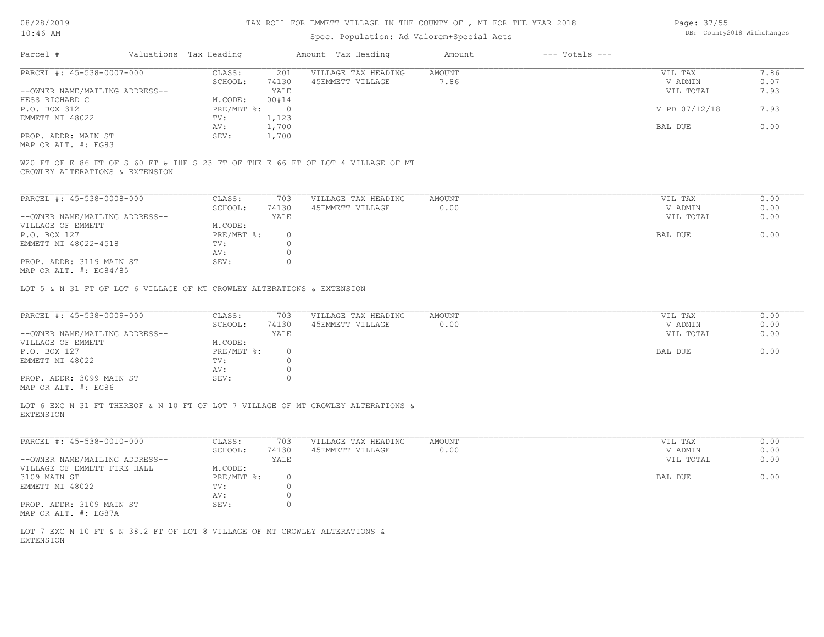## Spec. Population: Ad Valorem+Special Acts

Page: 37/55 DB: County2018 Withchanges

| Parcel #                       |  | Valuations Tax Heading |       | Amount Tax Heading  | Amount | $---$ Totals $---$ |               |      |
|--------------------------------|--|------------------------|-------|---------------------|--------|--------------------|---------------|------|
| PARCEL #: 45-538-0007-000      |  | CLASS:                 | 201   | VILLAGE TAX HEADING | AMOUNT |                    | VIL TAX       | 7.86 |
|                                |  | SCHOOL:                | 74130 | 45EMMETT VILLAGE    | 7.86   |                    | V ADMIN       | 0.07 |
| --OWNER NAME/MAILING ADDRESS-- |  |                        | YALE  |                     |        |                    | VIL TOTAL     | 7.93 |
| HESS RICHARD C                 |  | M.CODE:                | 00#14 |                     |        |                    |               |      |
| P.O. BOX 312                   |  | $PRE/MBT$ %:           |       |                     |        |                    | V PD 07/12/18 | 7.93 |
| EMMETT MI 48022                |  | TV:                    | 1,123 |                     |        |                    |               |      |
|                                |  | AV:                    | 1,700 |                     |        |                    | BAL DUE       | 0.00 |
| PROP. ADDR: MAIN ST            |  | SEV:                   | 1,700 |                     |        |                    |               |      |
| MAP OR ALT. #: EG83            |  |                        |       |                     |        |                    |               |      |

CROWLEY ALTERATIONS & EXTENSION W20 FT OF E 86 FT OF S 60 FT & THE S 23 FT OF THE E 66 FT OF LOT 4 VILLAGE OF MT

| PARCEL #: 45-538-0008-000                 | CLASS:     | 703   | VILLAGE TAX HEADING | AMOUNT | VIL TAX   | 0.00 |
|-------------------------------------------|------------|-------|---------------------|--------|-----------|------|
|                                           | SCHOOL:    | 74130 | 45EMMETT VILLAGE    | 0.00   | V ADMIN   | 0.00 |
| --OWNER NAME/MAILING ADDRESS--            |            | YALE  |                     |        | VIL TOTAL | 0.00 |
| VILLAGE OF EMMETT                         | M.CODE:    |       |                     |        |           |      |
| P.O. BOX 127                              | PRE/MBT %: |       |                     |        | BAL DUE   | 0.00 |
| EMMETT MI 48022-4518                      | TV:        |       |                     |        |           |      |
|                                           | AV:        |       |                     |        |           |      |
| PROP. ADDR: 3119 MAIN ST<br>$\frac{1}{2}$ | SEV:       |       |                     |        |           |      |

MAP OR ALT. #: EG84/85

LOT 5 & N 31 FT OF LOT 6 VILLAGE OF MT CROWLEY ALTERATIONS & EXTENSION

| PARCEL #: 45-538-0009-000        | CLASS:     | 703   | VILLAGE TAX HEADING | AMOUNT | VIL TAX   | 0.00 |
|----------------------------------|------------|-------|---------------------|--------|-----------|------|
|                                  | SCHOOL:    | 74130 | 45EMMETT VILLAGE    | 0.00   | V ADMIN   | 0.00 |
| --OWNER NAME/MAILING ADDRESS--   |            | YALE  |                     |        | VIL TOTAL | 0.00 |
| VILLAGE OF EMMETT                | M.CODE:    |       |                     |        |           |      |
| P.O. BOX 127                     | PRE/MBT %: |       |                     |        | BAL DUE   | 0.00 |
| EMMETT MI 48022                  | TV:        |       |                     |        |           |      |
|                                  | AV:        |       |                     |        |           |      |
| PROP. ADDR: 3099 MAIN ST         | SEV:       |       |                     |        |           |      |
| $M3D$ $CD$ $3T$ $m$ $\pm$ , $DQ$ |            |       |                     |        |           |      |

MAP OR ALT. #: EG86

EXTENSION LOT 6 EXC N 31 FT THEREOF & N 10 FT OF LOT 7 VILLAGE OF MT CROWLEY ALTERATIONS &

| PARCEL #: 45-538-0010-000      | CLASS:     | 703   | VILLAGE TAX HEADING | AMOUNT | VIL TAX   | 0.00 |
|--------------------------------|------------|-------|---------------------|--------|-----------|------|
|                                | SCHOOL:    | 74130 | 45EMMETT VILLAGE    | 0.00   | V ADMIN   | 0.00 |
| --OWNER NAME/MAILING ADDRESS-- |            | YALE  |                     |        | VIL TOTAL | 0.00 |
| VILLAGE OF EMMETT FIRE HALL    | M.CODE:    |       |                     |        |           |      |
| 3109 MAIN ST                   | PRE/MBT %: |       |                     |        | BAL DUE   | 0.00 |
| EMMETT MI 48022                | TV:        |       |                     |        |           |      |
|                                | AV:        |       |                     |        |           |      |
| PROP. ADDR: 3109 MAIN ST       | SEV:       |       |                     |        |           |      |
| $\frac{1}{2}$                  |            |       |                     |        |           |      |

MAP OR ALT. #: EG87A

EXTENSION LOT 7 EXC N 10 FT & N 38.2 FT OF LOT 8 VILLAGE OF MT CROWLEY ALTERATIONS &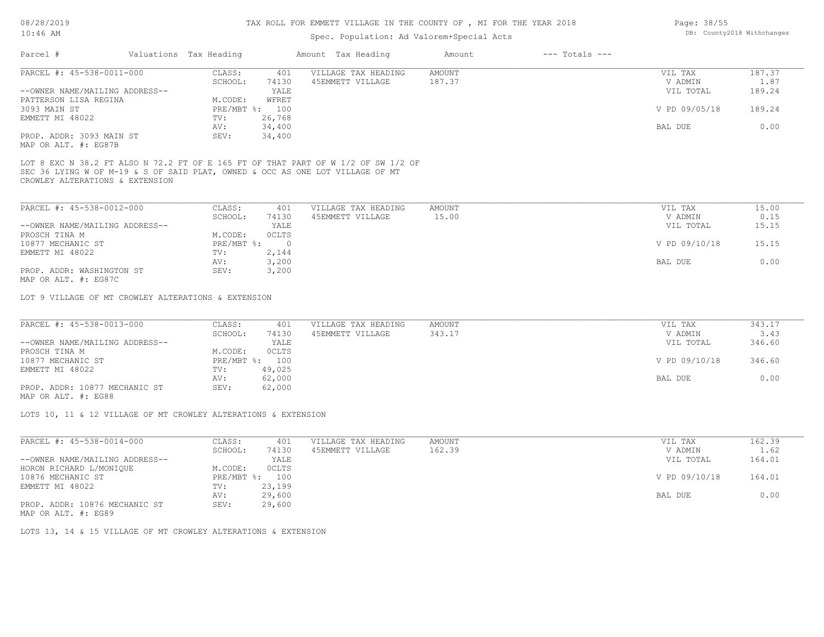## Spec. Population: Ad Valorem+Special Acts

| ppost formations na sature product note |  |                        |        |                     |        |                |           |        |  |  |
|-----------------------------------------|--|------------------------|--------|---------------------|--------|----------------|-----------|--------|--|--|
| Parcel #                                |  | Valuations Tax Heading |        | Amount Tax Heading  | Amount | --- Totals --- |           |        |  |  |
| PARCEL #: 45-538-0011-000               |  | CLASS:                 | 401    | VILLAGE TAX HEADING | AMOUNT |                | VIL TAX   | 187.37 |  |  |
|                                         |  | SCHOOL:                | 74130  | 45EMMETT VILLAGE    | 187.37 |                | V ADMIN   | 1.87   |  |  |
| --OWNER NAME/MAILING ADDRESS--          |  |                        | YALE   |                     |        |                | VIL TOTAL | 189.24 |  |  |
|                                         |  | $\cdots$ $\alpha$      | ------ |                     |        |                |           |        |  |  |

| PATTERSON LISA REGINA    | WFRET<br>M.CODE: |         |                         |
|--------------------------|------------------|---------|-------------------------|
| 3093 MAIN ST             | PRE/MBT %: 100   |         | V PD 09/05/18<br>189.24 |
| EMMETT MI 48022          | TV:<br>26,768    |         |                         |
|                          | AV:<br>34,400    | BAL DUE |                         |
| PROP. ADDR: 3093 MAIN ST | 34,400<br>SEV:   |         |                         |
| MAP OR ALT. #: EG87B     |                  |         |                         |

CROWLEY ALTERATIONS & EXTENSION SEC 36 LYING W OF M-19 & S OF SAID PLAT, OWNED & OCC AS ONE LOT VILLAGE OF MT LOT 8 EXC N 38.2 FT ALSO N 72.2 FT OF E 165 FT OF THAT PART OF W 1/2 OF SW 1/2 OF

| PARCEL #: 45-538-0012-000      | CLASS:     | 401          | VILLAGE TAX HEADING | AMOUNT | VIL TAX       | 15.00 |
|--------------------------------|------------|--------------|---------------------|--------|---------------|-------|
|                                | SCHOOL:    | 74130        | 45EMMETT VILLAGE    | 15.00  | V ADMIN       | 0.15  |
| --OWNER NAME/MAILING ADDRESS-- |            | YALE         |                     |        | VIL TOTAL     | 15.15 |
| PROSCH TINA M                  | M.CODE:    | <b>OCLTS</b> |                     |        |               |       |
| 10877 MECHANIC ST              | PRE/MBT %: |              |                     |        | V PD 09/10/18 | 15.15 |
| EMMETT MI 48022                | TV:        | 2,144        |                     |        |               |       |
|                                | AV:        | 3,200        |                     |        | BAL DUE       | 0.00  |
| PROP. ADDR: WASHINGTON ST      | SEV:       | 3,200        |                     |        |               |       |
| MAP OR ALT. #: EG87C           |            |              |                     |        |               |       |

LOT 9 VILLAGE OF MT CROWLEY ALTERATIONS & EXTENSION

| PARCEL #: 45-538-0013-000      | CLASS:         | 401    | VILLAGE TAX HEADING | AMOUNT | VIL TAX       | 343.17 |
|--------------------------------|----------------|--------|---------------------|--------|---------------|--------|
|                                | SCHOOL:        | 74130  | 45EMMETT VILLAGE    | 343.17 | V ADMIN       | 3.43   |
| --OWNER NAME/MAILING ADDRESS-- |                | YALE   |                     |        | VIL TOTAL     | 346.60 |
| PROSCH TINA M                  | M.CODE:        | OCLTS  |                     |        |               |        |
| 10877 MECHANIC ST              | PRE/MBT %: 100 |        |                     |        | V PD 09/10/18 | 346.60 |
| EMMETT MI 48022                | TV:            | 49,025 |                     |        |               |        |
|                                | AV:            | 62,000 |                     |        | BAL DUE       | 0.00   |
| PROP. ADDR: 10877 MECHANIC ST  | SEV:           | 62,000 |                     |        |               |        |
|                                |                |        |                     |        |               |        |

MAP OR ALT. #: EG88

LOTS 10, 11 & 12 VILLAGE OF MT CROWLEY ALTERATIONS & EXTENSION

| PARCEL #: 45-538-0014-000      | CLASS:       | 401    | VILLAGE TAX HEADING | AMOUNT | VIL TAX       | 162.39 |
|--------------------------------|--------------|--------|---------------------|--------|---------------|--------|
|                                | SCHOOL:      | 74130  | 45EMMETT VILLAGE    | 162.39 | V ADMIN       | 1.62   |
| --OWNER NAME/MAILING ADDRESS-- |              | YALE   |                     |        | VIL TOTAL     | 164.01 |
| HORON RICHARD L/MONIQUE        | M.CODE:      | OCLTS  |                     |        |               |        |
| 10876 MECHANIC ST              | $PRE/MBT$ %: | 100    |                     |        | V PD 09/10/18 | 164.01 |
| EMMETT MI 48022                | TV:          | 23,199 |                     |        |               |        |
|                                | AV:          | 29,600 |                     |        | BAL DUE       | 0.00   |
| PROP. ADDR: 10876 MECHANIC ST  | SEV:         | 29,600 |                     |        |               |        |

MAP OR ALT. #: EG89

LOTS 13, 14 & 15 VILLAGE OF MT CROWLEY ALTERATIONS & EXTENSION

Page: 38/55 DB: County2018 Withchanges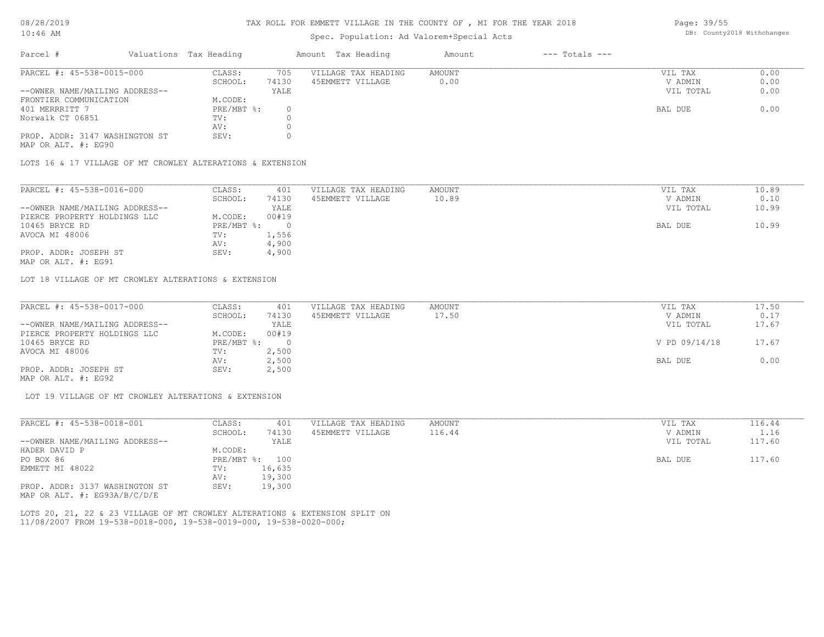## Spec. Population: Ad Valorem+Special Acts

| Page: 39/55 |                            |
|-------------|----------------------------|
|             | DB: County2018 Withchanges |

| Parcel #                       | Valuations Tax Heading |       | Amount Tax Heading  | Amount | $---$ Totals $---$ |           |      |
|--------------------------------|------------------------|-------|---------------------|--------|--------------------|-----------|------|
| PARCEL #: 45-538-0015-000      | CLASS:                 | 705   | VILLAGE TAX HEADING | AMOUNT |                    | VIL TAX   | 0.00 |
|                                | SCHOOL:                | 74130 | 45EMMETT VILLAGE    | 0.00   |                    | V ADMIN   | 0.00 |
| --OWNER NAME/MAILING ADDRESS-- |                        | YALE  |                     |        |                    | VIL TOTAL | 0.00 |
| FRONTIER COMMUNICATION         | M.CODE:                |       |                     |        |                    |           |      |
| 401 MERRRITT 7                 | $PRE/MBT$ %:           |       |                     |        |                    | BAL DUE   | 0.00 |
| Norwalk CT 06851               | TV:                    |       |                     |        |                    |           |      |
|                                | AV:                    |       |                     |        |                    |           |      |
| PROP. ADDR: 3147 WASHINGTON ST | SEV:                   |       |                     |        |                    |           |      |
|                                |                        |       |                     |        |                    |           |      |

MAP OR ALT. #: EG90

LOTS 16 & 17 VILLAGE OF MT CROWLEY ALTERATIONS & EXTENSION

| PARCEL #: 45-538-0016-000      | CLASS:     | 401   | VILLAGE TAX HEADING | AMOUNT | VIL TAX   | 10.89 |
|--------------------------------|------------|-------|---------------------|--------|-----------|-------|
|                                | SCHOOL:    | 74130 | 45EMMETT VILLAGE    | 10.89  | V ADMIN   | 0.10  |
| --OWNER NAME/MAILING ADDRESS-- |            | YALE  |                     |        | VIL TOTAL | 10.99 |
| PIERCE PROPERTY HOLDINGS LLC   | M.CODE:    | 00#19 |                     |        |           |       |
| 10465 BRYCE RD                 | PRE/MBT %: |       |                     |        | BAL DUE   | 10.99 |
| AVOCA MI 48006                 | TV:        | 1,556 |                     |        |           |       |
|                                | AV:        | 4,900 |                     |        |           |       |
| PROP. ADDR: JOSEPH ST          | SEV:       | 4,900 |                     |        |           |       |
|                                |            |       |                     |        |           |       |

MAP OR ALT. #: EG91

LOT 18 VILLAGE OF MT CROWLEY ALTERATIONS & EXTENSION

| PARCEL #: 45-538-0017-000      | CLASS:     | 401   | VILLAGE TAX HEADING | AMOUNT | VIL TAX       | 17.50 |
|--------------------------------|------------|-------|---------------------|--------|---------------|-------|
|                                | SCHOOL:    | 74130 | 45EMMETT VILLAGE    | 17.50  | V ADMIN       | 0.17  |
| --OWNER NAME/MAILING ADDRESS-- |            | YALE  |                     |        | VIL TOTAL     | 17.67 |
| PIERCE PROPERTY HOLDINGS LLC   | M.CODE:    | 00#19 |                     |        |               |       |
| 10465 BRYCE RD                 | PRE/MBT %: |       |                     |        | V PD 09/14/18 | 17.67 |
| AVOCA MI 48006                 | TV:        | 2,500 |                     |        |               |       |
|                                | AV:        | 2,500 |                     |        | BAL DUE       | 0.00  |
| PROP. ADDR: JOSEPH ST          | SEV:       | 2,500 |                     |        |               |       |
|                                |            |       |                     |        |               |       |

MAP OR ALT. #: EG92

LOT 19 VILLAGE OF MT CROWLEY ALTERATIONS & EXTENSION

| PARCEL #: 45-538-0018-001      | CLASS:     | 401    | VILLAGE TAX HEADING | AMOUNT | VIL TAX   | 116.44 |
|--------------------------------|------------|--------|---------------------|--------|-----------|--------|
|                                | SCHOOL:    | 74130  | 45EMMETT VILLAGE    | 116.44 | V ADMIN   | 1.16   |
| --OWNER NAME/MAILING ADDRESS-- |            | YALE   |                     |        | VIL TOTAL | 117.60 |
| HADER DAVID P                  | M.CODE:    |        |                     |        |           |        |
| PO BOX 86                      | PRE/MBT %: | 100    |                     |        | BAL DUE   | 117.60 |
| EMMETT MI 48022                | TV:        | 16,635 |                     |        |           |        |
|                                | AV:        | 19,300 |                     |        |           |        |
| PROP. ADDR: 3137 WASHINGTON ST | SEV:       | 19,300 |                     |        |           |        |
| MAP OR ALT. #: EG93A/B/C/D/E   |            |        |                     |        |           |        |

11/08/2007 FROM 19-538-0018-000, 19-538-0019-000, 19-538-0020-000; LOTS 20, 21, 22 & 23 VILLAGE OF MT CROWLEY ALTERATIONS & EXTENSION SPLIT ON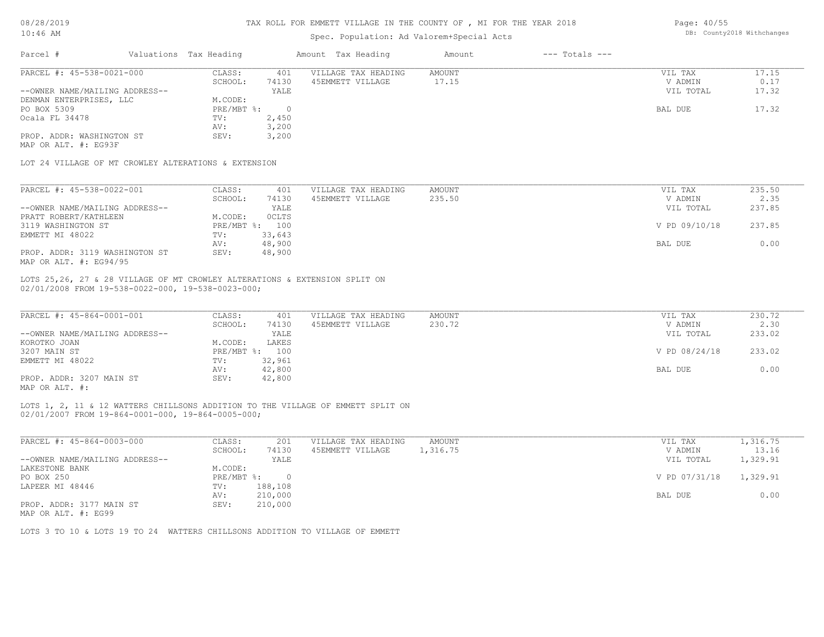### Spec. Population: Ad Valorem+Special Acts

Page: 40/55 DB: County2018 Withchanges

| Parcel #                                             | Valuations Tax Heading |           | Amount Tax Heading  | Amount | $---$ Totals $---$ |           |       |
|------------------------------------------------------|------------------------|-----------|---------------------|--------|--------------------|-----------|-------|
| PARCEL #: 45-538-0021-000                            | CLASS:                 | 401       | VILLAGE TAX HEADING | AMOUNT |                    | VIL TAX   | 17.15 |
|                                                      | SCHOOL:                | 74130     | 45EMMETT VILLAGE    | 17.15  |                    | V ADMIN   | 0.17  |
| --OWNER NAME/MAILING ADDRESS--                       |                        | YALE      |                     |        |                    | VIL TOTAL | 17.32 |
| DENMAN ENTERPRISES, LLC                              | M.CODE:                |           |                     |        |                    |           |       |
| PO BOX 5309                                          | $PRE/MBT$ $\div$       | $\bigcap$ |                     |        |                    | BAL DUE   | 17.32 |
| Ocala FL 34478                                       | TV:                    | 2,450     |                     |        |                    |           |       |
|                                                      | AV:                    | 3,200     |                     |        |                    |           |       |
| PROP. ADDR: WASHINGTON ST                            | SEV:                   | 3,200     |                     |        |                    |           |       |
| MAP OR ALT. #: EG93F                                 |                        |           |                     |        |                    |           |       |
|                                                      |                        |           |                     |        |                    |           |       |
| LOT 24 VILLAGE OF MT CROWLEY ALTERATIONS & EXTENSION |                        |           |                     |        |                    |           |       |

| PARCEL #: 45-538-0022-001      | CLASS:     | 401    | VILLAGE TAX HEADING | AMOUNT | VIL TAX       | 235.50 |
|--------------------------------|------------|--------|---------------------|--------|---------------|--------|
|                                | SCHOOL:    | 74130  | 45EMMETT VILLAGE    | 235.50 | V ADMIN       | 2.35   |
| --OWNER NAME/MAILING ADDRESS-- |            | YALE   |                     |        | VIL TOTAL     | 237.85 |
| PRATT ROBERT/KATHLEEN          | M.CODE:    | OCLTS  |                     |        |               |        |
| 3119 WASHINGTON ST             | PRE/MBT %: | 100    |                     |        | V PD 09/10/18 | 237.85 |
| EMMETT MI 48022                | TV:        | 33,643 |                     |        |               |        |
|                                | AV:        | 48,900 |                     |        | BAL DUE       | 0.00   |
| PROP. ADDR: 3119 WASHINGTON ST | SEV:       | 48,900 |                     |        |               |        |
| MAP OR ALT. $\#$ : EG94/95     |            |        |                     |        |               |        |

02/01/2008 FROM 19-538-0022-000, 19-538-0023-000; LOTS 25,26, 27 & 28 VILLAGE OF MT CROWLEY ALTERATIONS & EXTENSION SPLIT ON

| PARCEL #: 45-864-0001-001           | CLASS:       | 401    | VILLAGE TAX HEADING | AMOUNT | VIL TAX       | 230.72 |
|-------------------------------------|--------------|--------|---------------------|--------|---------------|--------|
|                                     | SCHOOL:      | 74130  | 45EMMETT VILLAGE    | 230.72 | V ADMIN       | 2.30   |
| --OWNER NAME/MAILING ADDRESS--      |              | YALE   |                     |        | VIL TOTAL     | 233.02 |
| KOROTKO JOAN                        | M.CODE:      | LAKES  |                     |        |               |        |
| 3207 MAIN ST                        | $PRE/MBT$ %: | 100    |                     |        | V PD 08/24/18 | 233.02 |
| EMMETT MI 48022                     | TV:          | 32,961 |                     |        |               |        |
|                                     | AV:          | 42,800 |                     |        | BAL DUE       | 0.00   |
| PROP. ADDR: 3207 MAIN ST            | SEV:         | 42,800 |                     |        |               |        |
| $\cdots$ $\cdots$ $\cdots$ $\cdots$ |              |        |                     |        |               |        |

MAP OR ALT. #:

02/01/2007 FROM 19-864-0001-000, 19-864-0005-000; LOTS 1, 2, 11 & 12 WATTERS CHILLSONS ADDITION TO THE VILLAGE OF EMMETT SPLIT ON

| PARCEL #: 45-864-0003-000      | CLASS:     | 201     | VILLAGE TAX HEADING | AMOUNT   | VIL TAX       | 1,316.75 |
|--------------------------------|------------|---------|---------------------|----------|---------------|----------|
|                                | SCHOOL:    | 74130   | 45EMMETT VILLAGE    | 1,316.75 | V ADMIN       | 13.16    |
| --OWNER NAME/MAILING ADDRESS-- |            | YALE    |                     |          | VIL TOTAL     | 1,329.91 |
| LAKESTONE BANK                 | M.CODE:    |         |                     |          |               |          |
| PO BOX 250                     | PRE/MBT %: |         |                     |          | V PD 07/31/18 | 1,329.91 |
| LAPEER MI 48446                | TV:        | 188,108 |                     |          |               |          |
|                                | AV:        | 210,000 |                     |          | BAL DUE       | 0.00     |
| PROP. ADDR: 3177 MAIN ST       | SEV:       | 210,000 |                     |          |               |          |

MAP OR ALT. #: EG99

LOTS 3 TO 10 & LOTS 19 TO 24 WATTERS CHILLSONS ADDITION TO VILLAGE OF EMMETT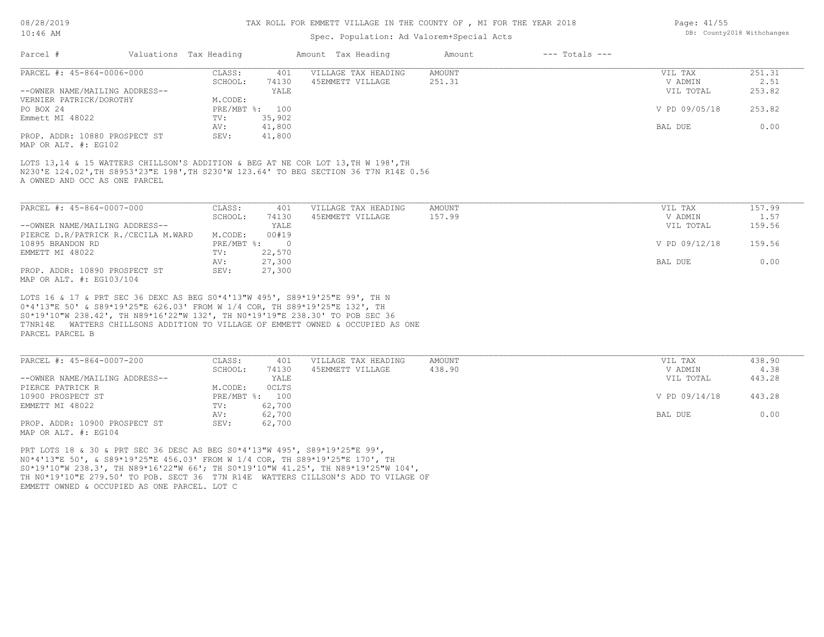## Spec. Population: Ad Valorem+Special Acts

| Page: 41/55 |                            |
|-------------|----------------------------|
|             | DB: County2018 Withchanges |

| Parcel #                                       | Valuations Tax Heading |        | Amount Tax Heading  | Amount | $---$ Totals $---$ |               |        |
|------------------------------------------------|------------------------|--------|---------------------|--------|--------------------|---------------|--------|
| PARCEL #: 45-864-0006-000                      | CLASS:                 | 401    | VILLAGE TAX HEADING | AMOUNT |                    | VIL TAX       | 251.31 |
|                                                | SCHOOL:                | 74130  | 45EMMETT VILLAGE    | 251.31 |                    | V ADMIN       | 2.51   |
| --OWNER NAME/MAILING ADDRESS--                 |                        | YALE   |                     |        |                    | VIL TOTAL     | 253.82 |
| VERNIER PATRICK/DOROTHY                        | M.CODE:                |        |                     |        |                    |               |        |
| PO BOX 24                                      | PRE/MBT %: 100         |        |                     |        |                    | V PD 09/05/18 | 253.82 |
| Emmett MI 48022                                | TV:                    | 35,902 |                     |        |                    |               |        |
|                                                | AV:                    | 41,800 |                     |        |                    | BAL DUE       | 0.00   |
| PROP. ADDR: 10880 PROSPECT ST<br>$\frac{1}{2}$ | SEV:                   | 41,800 |                     |        |                    |               |        |

MAP OR ALT. #: EG102

A OWNED AND OCC AS ONE PARCEL N230'E 124.02',TH S8953'23"E 198',TH S230'W 123.64' TO BEG SECTION 36 T7N R14E 0.56 LOTS 13,14 & 15 WATTERS CHILLSON'S ADDITION & BEG AT NE COR LOT 13,TH W 198',TH

| PARCEL #: 45-864-0007-000           | CLASS:       | 401    | VILLAGE TAX HEADING | AMOUNT | VIL TAX       | 157.99 |
|-------------------------------------|--------------|--------|---------------------|--------|---------------|--------|
|                                     | SCHOOL:      | 74130  | 45EMMETT VILLAGE    | 157.99 | V ADMIN       | 1.57   |
| --OWNER NAME/MAILING ADDRESS--      |              | YALE   |                     |        | VIL TOTAL     | 159.56 |
| PIERCE D.R/PATRICK R./CECILA M.WARD | M.CODE:      | 00#19  |                     |        |               |        |
| 10895 BRANDON RD                    | $PRE/MBT$ %: |        |                     |        | V PD 09/12/18 | 159.56 |
| EMMETT MI 48022                     | TV:          | 22,570 |                     |        |               |        |
|                                     | AV:          | 27,300 |                     |        | BAL DUE       | 0.00   |
| PROP. ADDR: 10890 PROSPECT ST       | SEV:         | 27,300 |                     |        |               |        |
| MAP OR ALT. #: EG103/104            |              |        |                     |        |               |        |

PARCEL PARCEL B T7NR14E WATTERS CHILLSONS ADDITION TO VILLAGE OF EMMETT OWNED & OCCUPIED AS ONE S0\*19'10"W 238.42', TH N89\*16'22"W 132', TH N0\*19'19"E 238.30' TO POB SEC 36 0\*4'13"E 50' & S89\*19'25"E 626.03' FROM W 1/4 COR, TH S89\*19'25"E 132', TH LOTS 16 & 17 & PRT SEC 36 DEXC AS BEG S0\*4'13"W 495', S89\*19'25"E 99', TH N

| PARCEL #: 45-864-0007-200      | CLASS:  | 401            | VILLAGE TAX HEADING | AMOUNT | VIL TAX       | 438.90 |
|--------------------------------|---------|----------------|---------------------|--------|---------------|--------|
|                                | SCHOOL: | 74130          | 45EMMETT VILLAGE    | 438.90 | V ADMIN       | 4.38   |
| --OWNER NAME/MAILING ADDRESS-- |         | YALE           |                     |        | VIL TOTAL     | 443.28 |
| PIERCE PATRICK R               | M.CODE: | OCLTS          |                     |        |               |        |
| 10900 PROSPECT ST              |         | PRE/MBT %: 100 |                     |        | V PD 09/14/18 | 443.28 |
| EMMETT MI 48022                | TV:     | 62,700         |                     |        |               |        |
|                                | AV:     | 62,700         |                     |        | BAL DUE       | 0.00   |
| PROP. ADDR: 10900 PROSPECT ST  | SEV:    | 62,700         |                     |        |               |        |
| MAP OR ALT. #: EG104           |         |                |                     |        |               |        |

EMMETT OWNED & OCCUPIED AS ONE PARCEL. LOT C TH N0\*19'10"E 279.50' TO POB. SECT 36 T7N R14E WATTERS CILLSON'S ADD TO VILAGE OF S0\*19'10"W 238.3', TH N89\*16'22"W 66'; TH S0\*19'10"W 41.25', TH N89\*19'25"W 104', N0\*4'13"E 50', & S89\*19'25"E 456.03' FROM W 1/4 COR, TH S89\*19'25"E 170', TH PRT LOTS 18 & 30 & PRT SEC 36 DESC AS BEG S0\*4'13"W 495', S89\*19'25"E 99',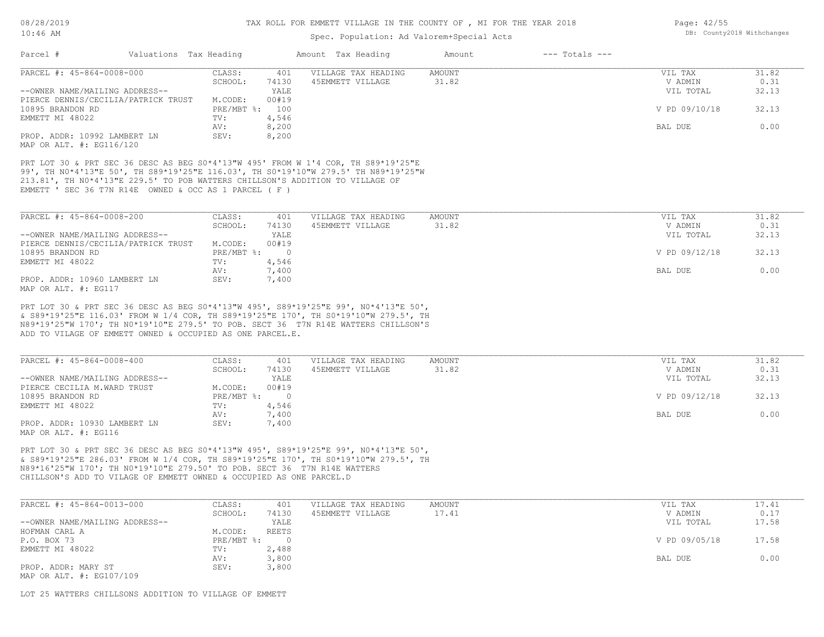## Spec. Population: Ad Valorem+Special Acts

| Parcel #                                               | Valuations Tax Heading |       | Amount Tax Heading                                                                                                                                                                                                                                       | Amount | $---$ Totals $---$ |               |       |
|--------------------------------------------------------|------------------------|-------|----------------------------------------------------------------------------------------------------------------------------------------------------------------------------------------------------------------------------------------------------------|--------|--------------------|---------------|-------|
| PARCEL #: 45-864-0008-000                              | CLASS:                 | 401   | VILLAGE TAX HEADING                                                                                                                                                                                                                                      | AMOUNT |                    | VIL TAX       | 31.82 |
|                                                        | SCHOOL:                | 74130 | 45EMMETT VILLAGE                                                                                                                                                                                                                                         | 31.82  |                    | V ADMIN       | 0.31  |
| --OWNER NAME/MAILING ADDRESS--                         |                        | YALE  |                                                                                                                                                                                                                                                          |        |                    | VIL TOTAL     | 32.13 |
| PIERCE DENNIS/CECILIA/PATRICK TRUST                    | M.CODE:                | 00#19 |                                                                                                                                                                                                                                                          |        |                    |               |       |
| 10895 BRANDON RD                                       | PRE/MBT %: 100         |       |                                                                                                                                                                                                                                                          |        |                    | V PD 09/10/18 | 32.13 |
| EMMETT MI 48022                                        | TV:                    | 4,546 |                                                                                                                                                                                                                                                          |        |                    |               |       |
|                                                        | AV:                    | 8,200 |                                                                                                                                                                                                                                                          |        |                    | BAL DUE       | 0.00  |
| PROP. ADDR: 10992 LAMBERT LN                           | SEV:                   | 8,200 |                                                                                                                                                                                                                                                          |        |                    |               |       |
| MAP OR ALT. #: EG116/120                               |                        |       |                                                                                                                                                                                                                                                          |        |                    |               |       |
| EMMETT ' SEC 36 T7N R14E OWNED & OCC AS 1 PARCEL ( F ) |                        |       | PRT LOT 30 & PRT SEC 36 DESC AS BEG S0*4'13"W 495' FROM W 1'4 COR, TH S89*19'25"E<br>99', TH NO*4'13"E 50', TH S89*19'25"E 116.03', TH SO*19'10"W 279.5' TH N89*19'25"W<br>213.81', TH NO*4'13"E 229.5' TO POB WATTERS CHILLSON'S ADDITION TO VILLAGE OF |        |                    |               |       |
| PARCEL #: 45-864-0008-200                              | CLASS:                 | -401  | VILLAGE TAX HEADING                                                                                                                                                                                                                                      | AMOUNT |                    | VIL TAX       | 31.82 |
|                                                        | SCHOOL:                | 74130 | 45EMMETT VILLAGE                                                                                                                                                                                                                                         | 31.82  |                    | V ADMIN       | 0.31  |

|                                     | SCHOOL:                   | 74130 | 45EMMETT VILLAGE | 31.82 | V ADMIN       | 0.31  |
|-------------------------------------|---------------------------|-------|------------------|-------|---------------|-------|
| --OWNER NAME/MAILING ADDRESS--      |                           | YALE  |                  |       | VIL TOTAL     | 32.13 |
| PIERCE DENNIS/CECILIA/PATRICK TRUST | M.CODE:                   | 00#19 |                  |       |               |       |
| 10895 BRANDON RD                    | $PRE/MBT$ $\frac{1}{6}$ : |       |                  |       | V PD 09/12/18 | 32.13 |
| EMMETT MI 48022                     | TV:                       | 4,546 |                  |       |               |       |
|                                     | AV:                       | 7,400 |                  |       | BAL DUE       | 0.00  |
| PROP. ADDR: 10960 LAMBERT LN        | SEV:                      | 7,400 |                  |       |               |       |
| MAP OR ALT. #: EG117                |                           |       |                  |       |               |       |

ADD TO VILAGE OF EMMETT OWNED & OCCUPIED AS ONE PARCEL.E. N89\*19'25"W 170'; TH N0\*19'10"E 279.5' TO POB. SECT 36 T7N R14E WATTERS CHILLSON'S & S89\*19'25"E 116.03' FROM W 1/4 COR, TH S89\*19'25"E 170', TH S0\*19'10"W 279.5', TH PRT LOT 30 & PRT SEC 36 DESC AS BEG S0\*4'13"W 495', S89\*19'25"E 99', N0\*4'13"E 50',

| PARCEL #: 45-864-0008-400      | CLASS:     | 401   | VILLAGE TAX HEADING | AMOUNT | VIL TAX       | 31.82 |
|--------------------------------|------------|-------|---------------------|--------|---------------|-------|
|                                | SCHOOL:    | 74130 | 45EMMETT VILLAGE    | 31.82  | V ADMIN       | 0.31  |
| --OWNER NAME/MAILING ADDRESS-- |            | YALE  |                     |        | VIL TOTAL     | 32.13 |
| PIERCE CECILIA M.WARD TRUST    | M.CODE:    | 00#19 |                     |        |               |       |
| 10895 BRANDON RD               | PRE/MBT %: |       |                     |        | V PD 09/12/18 | 32.13 |
| EMMETT MI 48022                | TV:        | 4,546 |                     |        |               |       |
|                                | AV:        | 7,400 |                     |        | BAL DUE       | 0.00  |
| PROP. ADDR: 10930 LAMBERT LN   | SEV:       | 7,400 |                     |        |               |       |
| MAP OR ALT. #: EG116           |            |       |                     |        |               |       |

CHILLSON'S ADD TO VILAGE OF EMMETT OWNED & OCCUPIED AS ONE PARCEL.D N89\*16'25"W 170'; TH N0\*19'10"E 279.50' TO POB. SECT 36 T7N R14E WATTERS & S89\*19'25"E 286.03' FROM W 1/4 COR, TH S89\*19'25"E 170', TH S0\*19'10"W 279.5', TH PRT LOT 30 & PRT SEC 36 DESC AS BEG S0\*4'13"W 495', S89\*19'25"E 99', N0\*4'13"E 50',

| PARCEL #: 45-864-0013-000      | CLASS:     | 401   | VILLAGE TAX HEADING | AMOUNT | VIL TAX       | 17.41 |
|--------------------------------|------------|-------|---------------------|--------|---------------|-------|
|                                | SCHOOL:    | 74130 | 45EMMETT VILLAGE    | 17.41  | V ADMIN       | 0.17  |
| --OWNER NAME/MAILING ADDRESS-- |            | YALE  |                     |        | VIL TOTAL     | 17.58 |
| HOFMAN CARL A                  | M.CODE:    | REETS |                     |        |               |       |
| P.O. BOX 73                    | PRE/MBT %: |       |                     |        | V PD 09/05/18 | 17.58 |
| EMMETT MI 48022                | TV:        | 2,488 |                     |        |               |       |
|                                | AV:        | 3,800 |                     |        | BAL DUE       | 0.00  |
| PROP. ADDR: MARY ST            | SEV:       | 3,800 |                     |        |               |       |
| MAP OR ALT. #: EG107/109       |            |       |                     |        |               |       |

LOT 25 WATTERS CHILLSONS ADDITION TO VILLAGE OF EMMETT

Page: 42/55 DB: County2018 Withchanges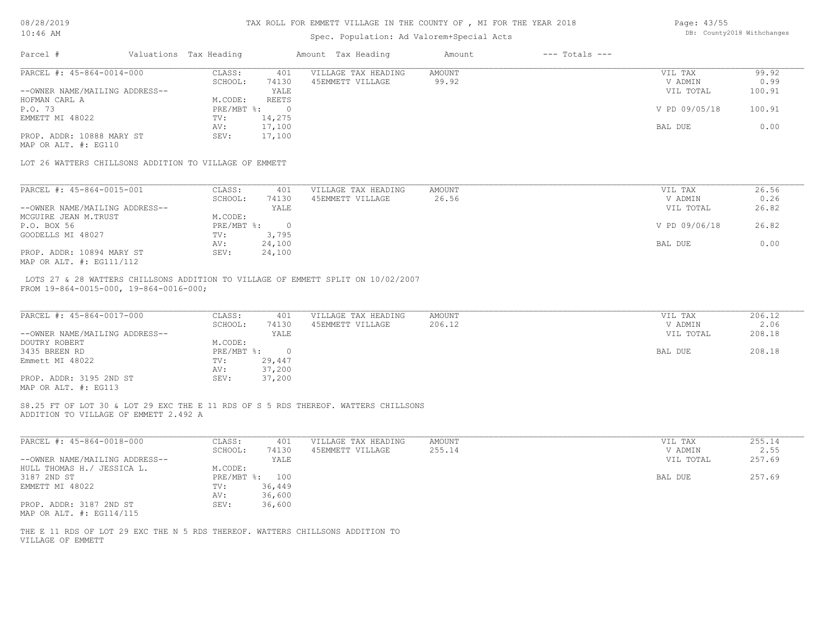## Spec. Population: Ad Valorem+Special Acts

| Page: 43/55 |                            |
|-------------|----------------------------|
|             | DB: County2018 Withchanges |

| Parcel #                       | Valuations Tax Heading |        | Amount Tax Heading  | Amount | $---$ Totals $---$ |               |        |
|--------------------------------|------------------------|--------|---------------------|--------|--------------------|---------------|--------|
| PARCEL #: 45-864-0014-000      | CLASS:                 | 401    | VILLAGE TAX HEADING | AMOUNT |                    | VIL TAX       | 99.92  |
|                                | SCHOOL:                | 74130  | 45EMMETT VILLAGE    | 99.92  |                    | V ADMIN       | 0.99   |
| --OWNER NAME/MAILING ADDRESS-- |                        | YALE   |                     |        |                    | VIL TOTAL     | 100.91 |
| HOFMAN CARL A                  | M.CODE:                | REETS  |                     |        |                    |               |        |
| P.O. 73                        | $PRE/MBT$ %:           |        |                     |        |                    | V PD 09/05/18 | 100.91 |
| EMMETT MI 48022                | TV:                    | 14,275 |                     |        |                    |               |        |
|                                | AV:                    | 17,100 |                     |        |                    | BAL DUE       | 0.00   |
| PROP. ADDR: 10888 MARY ST      | SEV:                   | 17,100 |                     |        |                    |               |        |
| MAP OR ALT. #: EG110           |                        |        |                     |        |                    |               |        |

LOT 26 WATTERS CHILLSONS ADDITION TO VILLAGE OF EMMETT

| PARCEL #: 45-864-0015-001      | CLASS:     | 401    | VILLAGE TAX HEADING | AMOUNT | VIL TAX       | 26.56 |
|--------------------------------|------------|--------|---------------------|--------|---------------|-------|
|                                | SCHOOL:    | 74130  | 45EMMETT VILLAGE    | 26.56  | V ADMIN       | 0.26  |
| --OWNER NAME/MAILING ADDRESS-- |            | YALE   |                     |        | VIL TOTAL     | 26.82 |
| MCGUIRE JEAN M.TRUST           | M.CODE:    |        |                     |        |               |       |
| P.O. BOX 56                    | PRE/MBT %: |        |                     |        | V PD 09/06/18 | 26.82 |
| GOODELLS MI 48027              | TV:        | 3,795  |                     |        |               |       |
|                                | AV:        | 24,100 |                     |        | BAL DUE       | 0.00  |
| PROP. ADDR: 10894 MARY ST      | SEV:       | 24,100 |                     |        |               |       |
| MAP OR ALT. #: EG111/112       |            |        |                     |        |               |       |

FROM 19-864-0015-000, 19-864-0016-000; LOTS 27 & 28 WATTERS CHILLSONS ADDITION TO VILLAGE OF EMMETT SPLIT ON 10/02/2007

| PARCEL #: 45-864-0017-000      | CLASS:     | 401    | VILLAGE TAX HEADING | AMOUNT | VIL TAX   | 206.12 |
|--------------------------------|------------|--------|---------------------|--------|-----------|--------|
|                                | SCHOOL:    | 74130  | 45EMMETT VILLAGE    | 206.12 | V ADMIN   | 2.06   |
| --OWNER NAME/MAILING ADDRESS-- |            | YALE   |                     |        | VIL TOTAL | 208.18 |
| DOUTRY ROBERT                  | M.CODE:    |        |                     |        |           |        |
| 3435 BREEN RD                  | PRE/MBT %: |        |                     |        | BAL DUE   | 208.18 |
| Emmett MI 48022                | TV:        | 29,447 |                     |        |           |        |
|                                | AV:        | 37,200 |                     |        |           |        |
| PROP. ADDR: 3195 2ND ST        | SEV:       | 37,200 |                     |        |           |        |
| MAP OR ALT. #: EG113           |            |        |                     |        |           |        |

ADDITION TO VILLAGE OF EMMETT 2.492 A S8.25 FT OF LOT 30 & LOT 29 EXC THE E 11 RDS OF S 5 RDS THEREOF. WATTERS CHILLSONS

| PARCEL #: 45-864-0018-000      | CLASS:     | 401    | VILLAGE TAX HEADING | AMOUNT | 255.14<br>VIL TAX   |
|--------------------------------|------------|--------|---------------------|--------|---------------------|
|                                | SCHOOL:    | 74130  | 45EMMETT VILLAGE    | 255.14 | 2.55<br>V ADMIN     |
| --OWNER NAME/MAILING ADDRESS-- |            | YALE   |                     |        | 257.69<br>VIL TOTAL |
| HULL THOMAS H./ JESSICA L.     | M.CODE:    |        |                     |        |                     |
| 3187 2ND ST                    | PRE/MBT %: | 100    |                     |        | 257.69<br>BAL DUE   |
| EMMETT MI 48022                | TV:        | 36,449 |                     |        |                     |
|                                | AV:        | 36,600 |                     |        |                     |
| PROP. ADDR: 3187 2ND ST        | SEV:       | 36,600 |                     |        |                     |
| MAP OR ALT. #: EG114/115       |            |        |                     |        |                     |

VILLAGE OF EMMETT THE E 11 RDS OF LOT 29 EXC THE N 5 RDS THEREOF. WATTERS CHILLSONS ADDITION TO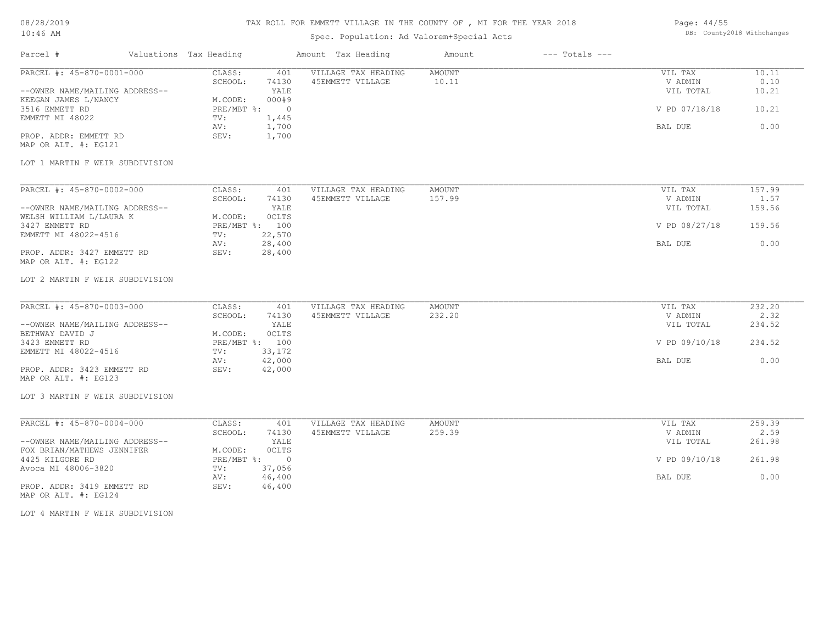## Spec. Population: Ad Valorem+Special Acts

| Page: 44/55 |                            |
|-------------|----------------------------|
|             | DB: County2018 Withchanges |

| Parcel #                       | Valuations Tax Heading |       | Amount Tax Heading  | Amount | $---$ Totals $---$ |               |       |
|--------------------------------|------------------------|-------|---------------------|--------|--------------------|---------------|-------|
| PARCEL #: 45-870-0001-000      | CLASS:                 | 401   | VILLAGE TAX HEADING | AMOUNT |                    | VIL TAX       | 10.11 |
|                                | SCHOOL:                | 74130 | 45EMMETT VILLAGE    | 10.11  |                    | V ADMIN       | 0.10  |
| --OWNER NAME/MAILING ADDRESS-- |                        | YALE  |                     |        |                    | VIL TOTAL     | 10.21 |
| KEEGAN JAMES L/NANCY           | M.CODE:                | 000#9 |                     |        |                    |               |       |
| 3516 EMMETT RD                 | PRE/MBT %:             |       |                     |        |                    | V PD 07/18/18 | 10.21 |
| EMMETT MI 48022                | TV:                    | 1,445 |                     |        |                    |               |       |
|                                | AV:                    | 1,700 |                     |        |                    | BAL DUE       | 0.00  |
| PROP. ADDR: EMMETT RD          | SEV:                   | 1,700 |                     |        |                    |               |       |
| MAP OR ALT. #: EG121           |                        |       |                     |        |                    |               |       |

#### LOT 1 MARTIN F WEIR SUBDIVISION

| PARCEL #: 45-870-0002-000      | CLASS:  | 401            | VILLAGE TAX HEADING | AMOUNT | VIL TAX       | 157.99 |
|--------------------------------|---------|----------------|---------------------|--------|---------------|--------|
|                                | SCHOOL: | 74130          | 45EMMETT VILLAGE    | 157.99 | V ADMIN       | 1.57   |
| --OWNER NAME/MAILING ADDRESS-- |         | YALE           |                     |        | VIL TOTAL     | 159.56 |
| WELSH WILLIAM L/LAURA K        | M.CODE: | OCLTS          |                     |        |               |        |
| 3427 EMMETT RD                 |         | PRE/MBT %: 100 |                     |        | V PD 08/27/18 | 159.56 |
| EMMETT MI 48022-4516           | TV:     | 22,570         |                     |        |               |        |
|                                | AV:     | 28,400         |                     |        | BAL DUE       | 0.00   |
| PROP. ADDR: 3427 EMMETT RD     | SEV:    | 28,400         |                     |        |               |        |
| MAP OR ALT. #: EG122           |         |                |                     |        |               |        |

#### LOT 2 MARTIN F WEIR SUBDIVISION

| PARCEL #: 45-870-0003-000      | CLASS:  | 401            | VILLAGE TAX HEADING | AMOUNT | VIL TAX       | 232.20 |
|--------------------------------|---------|----------------|---------------------|--------|---------------|--------|
|                                | SCHOOL: | 74130          | 45EMMETT VILLAGE    | 232.20 | V ADMIN       | 2.32   |
| --OWNER NAME/MAILING ADDRESS-- |         | YALE           |                     |        | VIL TOTAL     | 234.52 |
| BETHWAY DAVID J                | M.CODE: | <b>OCLTS</b>   |                     |        |               |        |
| 3423 EMMETT RD                 |         | PRE/MBT %: 100 |                     |        | V PD 09/10/18 | 234.52 |
| EMMETT MI 48022-4516           | TV:     | 33,172         |                     |        |               |        |
|                                | AV:     | 42,000         |                     |        | BAL DUE       | 0.00   |
| PROP. ADDR: 3423 EMMETT RD     | SEV:    | 42,000         |                     |        |               |        |
| MAP OR ALT. #: EG123           |         |                |                     |        |               |        |

### LOT 3 MARTIN F WEIR SUBDIVISION

| PARCEL #: 45-870-0004-000      | CLASS:     | 401          | VILLAGE TAX HEADING | AMOUNT | VIL TAX       | 259.39 |
|--------------------------------|------------|--------------|---------------------|--------|---------------|--------|
|                                | SCHOOL:    | 74130        | 45EMMETT VILLAGE    | 259.39 | V ADMIN       | 2.59   |
| --OWNER NAME/MAILING ADDRESS-- |            | YALE         |                     |        | VIL TOTAL     | 261.98 |
| FOX BRIAN/MATHEWS JENNIFER     | M.CODE:    | <b>OCLTS</b> |                     |        |               |        |
| 4425 KILGORE RD                | PRE/MBT %: |              |                     |        | V PD 09/10/18 | 261.98 |
| Avoca MI 48006-3820            | TV:        | 37,056       |                     |        |               |        |
|                                | AV:        | 46,400       |                     |        | BAL DUE       | 0.00   |
| PROP. ADDR: 3419 EMMETT RD     | SEV:       | 46,400       |                     |        |               |        |

MAP OR ALT. #: EG124

LOT 4 MARTIN F WEIR SUBDIVISION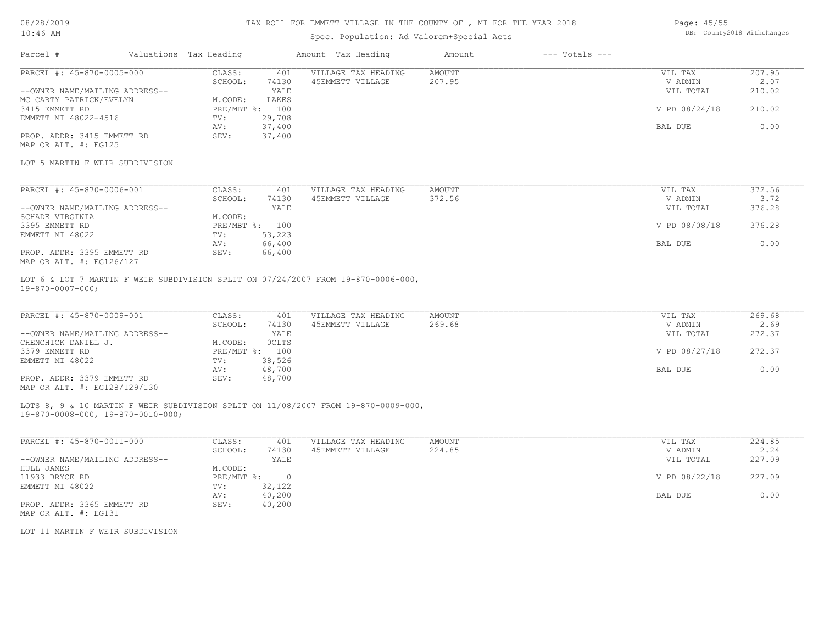## Spec. Population: Ad Valorem+Special Acts

| Page: 45/55 |                            |
|-------------|----------------------------|
|             | DB: County2018 Withchanges |

| Parcel #                       | Valuations Tax Heading |        | Amount Tax Heading  | Amount | $---$ Totals $---$ |               |        |
|--------------------------------|------------------------|--------|---------------------|--------|--------------------|---------------|--------|
| PARCEL #: 45-870-0005-000      | CLASS:                 | 401    | VILLAGE TAX HEADING | AMOUNT |                    | VIL TAX       | 207.95 |
|                                | SCHOOL:                | 74130  | 45EMMETT VILLAGE    | 207.95 |                    | V ADMIN       | 2.07   |
| --OWNER NAME/MAILING ADDRESS-- |                        | YALE   |                     |        |                    | VIL TOTAL     | 210.02 |
| MC CARTY PATRICK/EVELYN        | M.CODE:                | LAKES  |                     |        |                    |               |        |
| 3415 EMMETT RD                 | $PRE/MBT$ %:           | 100    |                     |        |                    | V PD 08/24/18 | 210.02 |
| EMMETT MI 48022-4516           | TV:                    | 29,708 |                     |        |                    |               |        |
|                                | AV:                    | 37,400 |                     |        |                    | BAL DUE       | 0.00   |
| PROP. ADDR: 3415 EMMETT RD     | SEV:                   | 37,400 |                     |        |                    |               |        |
| MAP OR ALT. #: EG125           |                        |        |                     |        |                    |               |        |

### LOT 5 MARTIN F WEIR SUBDIVISION

| PARCEL #: 45-870-0006-001      | CLASS:  | 401            | VILLAGE TAX HEADING | AMOUNT | VIL TAX       | 372.56 |
|--------------------------------|---------|----------------|---------------------|--------|---------------|--------|
|                                | SCHOOL: | 74130          | 45EMMETT VILLAGE    | 372.56 | V ADMIN       | 3.72   |
| --OWNER NAME/MAILING ADDRESS-- |         | YALE           |                     |        | VIL TOTAL     | 376.28 |
| SCHADE VIRGINIA                | M.CODE: |                |                     |        |               |        |
| 3395 EMMETT RD                 |         | PRE/MBT %: 100 |                     |        | V PD 08/08/18 | 376.28 |
| EMMETT MI 48022                | TV:     | 53,223         |                     |        |               |        |
|                                | AV:     | 66,400         |                     |        | BAL DUE       | 0.00   |
| PROP. ADDR: 3395 EMMETT RD     | SEV:    | 66,400         |                     |        |               |        |
| MAP OR ALT. #: EG126/127       |         |                |                     |        |               |        |

19-870-0007-000; LOT 6 & LOT 7 MARTIN F WEIR SUBDIVISION SPLIT ON 07/24/2007 FROM 19-870-0006-000,

| PARCEL #: 45-870-0009-001      | CLASS:  | 401            | VILLAGE TAX HEADING | AMOUNT | VIL TAX       | 269.68 |
|--------------------------------|---------|----------------|---------------------|--------|---------------|--------|
|                                | SCHOOL: | 74130          | 45EMMETT VILLAGE    | 269.68 | V ADMIN       | 2.69   |
| --OWNER NAME/MAILING ADDRESS-- |         | YALE           |                     |        | VIL TOTAL     | 272.37 |
| CHENCHICK DANIEL J.            | M.CODE: | <b>OCLTS</b>   |                     |        |               |        |
| 3379 EMMETT RD                 |         | PRE/MBT %: 100 |                     |        | V PD 08/27/18 | 272.37 |
| EMMETT MI 48022                | TV:     | 38,526         |                     |        |               |        |
|                                | AV:     | 48,700         |                     |        | BAL DUE       | 0.00   |
| PROP. ADDR: 3379 EMMETT RD     | SEV:    | 48,700         |                     |        |               |        |
| MAP OR ALT. #: EG128/129/130   |         |                |                     |        |               |        |

LOTS 8, 9 & 10 MARTIN F WEIR SUBDIVISION SPLIT ON 11/08/2007 FROM 19-870-0009-000,

19-870-0008-000, 19-870-0010-000;

| PARCEL #: 45-870-0011-000      | CLASS:     | 401      | VILLAGE TAX HEADING | AMOUNT | VIL TAX       | 224.85 |
|--------------------------------|------------|----------|---------------------|--------|---------------|--------|
|                                | SCHOOL:    | 74130    | 45EMMETT VILLAGE    | 224.85 | V ADMIN       | 2.24   |
| --OWNER NAME/MAILING ADDRESS-- |            | YALE     |                     |        | VIL TOTAL     | 227.09 |
| HULL JAMES                     | M.CODE:    |          |                     |        |               |        |
| 11933 BRYCE RD                 | PRE/MBT %: | $\Omega$ |                     |        | V PD 08/22/18 | 227.09 |
| EMMETT MI 48022                | TV:        | 32,122   |                     |        |               |        |
|                                | AV:        | 40,200   |                     |        | BAL DUE       | 0.00   |
| PROP. ADDR: 3365 EMMETT RD     | SEV:       | 40,200   |                     |        |               |        |
| MAP OR ALT. #: EG131           |            |          |                     |        |               |        |

LOT 11 MARTIN F WEIR SUBDIVISION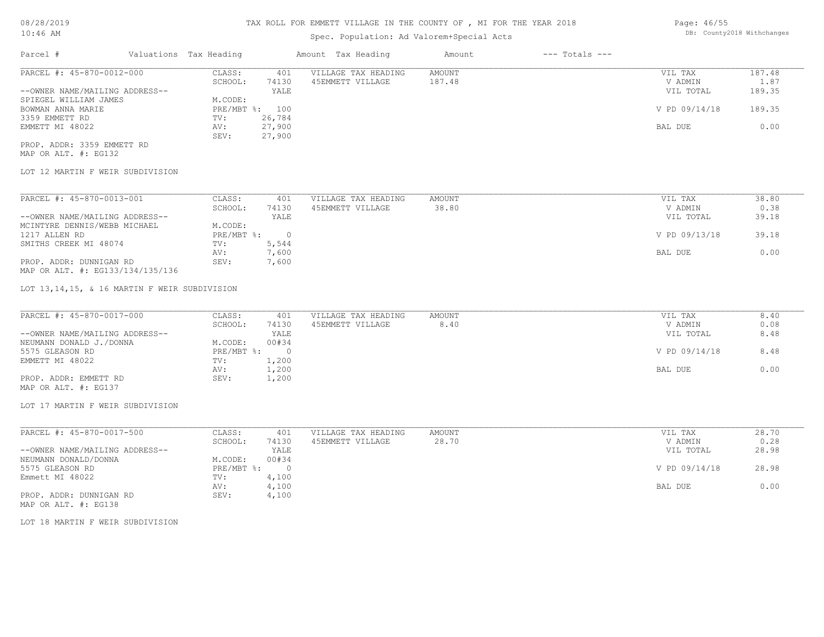## Spec. Population: Ad Valorem+Special Acts

| Parcel #                       | Valuations Tax Heading |        | Amount Tax Heading  | Amount | $---$ Totals $---$ |               |        |
|--------------------------------|------------------------|--------|---------------------|--------|--------------------|---------------|--------|
| PARCEL #: 45-870-0012-000      | CLASS:                 | 401    | VILLAGE TAX HEADING | AMOUNT |                    | VIL TAX       | 187.48 |
|                                | SCHOOL:                | 74130  | 45EMMETT VILLAGE    | 187.48 |                    | V ADMIN       | 1.87   |
| --OWNER NAME/MAILING ADDRESS-- |                        | YALE   |                     |        |                    | VIL TOTAL     | 189.35 |
| SPIEGEL WILLIAM JAMES          | M.CODE:                |        |                     |        |                    |               |        |
| BOWMAN ANNA MARIE              | PRE/MBT %: 100         |        |                     |        |                    | V PD 09/14/18 | 189.35 |
| 3359 EMMETT RD                 | TV:                    | 26,784 |                     |        |                    |               |        |
| EMMETT MI 48022                | AV:                    | 27,900 |                     |        |                    | BAL DUE       | 0.00   |
|                                |                        |        |                     |        |                    |               |        |

MAP OR ALT. #: EG132 PROP. ADDR: 3359 EMMETT RD

## LOT 12 MARTIN F WEIR SUBDIVISION

| PARCEL #: 45-870-0013-001        | CLASS:     | 401    | VILLAGE TAX HEADING | AMOUNT | 38.80<br>VIL TAX       |
|----------------------------------|------------|--------|---------------------|--------|------------------------|
|                                  | SCHOOL:    | 74130  | 45EMMETT VILLAGE    | 38.80  | 0.38<br>V ADMIN        |
| --OWNER NAME/MAILING ADDRESS--   |            | YALE   |                     |        | 39.18<br>VIL TOTAL     |
| MCINTYRE DENNIS/WEBB MICHAEL     | M.CODE:    |        |                     |        |                        |
| 1217 ALLEN RD                    | PRE/MBT %: | $\cap$ |                     |        | V PD 09/13/18<br>39.18 |
| SMITHS CREEK MI 48074            | TV:        | 5,544  |                     |        |                        |
|                                  | AV:        | 7,600  |                     |        | 0.00<br>BAL DUE        |
| PROP. ADDR: DUNNIGAN RD          | SEV:       | 7,600  |                     |        |                        |
| MAP OR ALT. #: EG133/134/135/136 |            |        |                     |        |                        |

LOT 13,14,15, & 16 MARTIN F WEIR SUBDIVISION

SEV: 27,900

| PARCEL #: 45-870-0017-000      | CLASS:       | 401   | VILLAGE TAX HEADING | AMOUNT | VIL TAX       | 8.40 |
|--------------------------------|--------------|-------|---------------------|--------|---------------|------|
|                                | SCHOOL:      | 74130 | 45EMMETT VILLAGE    | 8.40   | V ADMIN       | 0.08 |
| --OWNER NAME/MAILING ADDRESS-- |              | YALE  |                     |        | VIL TOTAL     | 8.48 |
| NEUMANN DONALD J./DONNA        | M.CODE:      | 00#34 |                     |        |               |      |
| 5575 GLEASON RD                | $PRE/MBT$ %: |       |                     |        | V PD 09/14/18 | 8.48 |
| EMMETT MI 48022                | TV:          | 1,200 |                     |        |               |      |
|                                | AV:          | 1,200 |                     |        | BAL DUE       | 0.00 |
| PROP. ADDR: EMMETT RD          | SEV:         | 1,200 |                     |        |               |      |
| MAP OR ALT. #: EG137           |              |       |                     |        |               |      |

#### LOT 17 MARTIN F WEIR SUBDIVISION

| PARCEL #: 45-870-0017-500      | CLASS:     | 401   | VILLAGE TAX HEADING | AMOUNT | VIL TAX       | 28.70 |
|--------------------------------|------------|-------|---------------------|--------|---------------|-------|
|                                | SCHOOL:    | 74130 | 45EMMETT VILLAGE    | 28.70  | V ADMIN       | 0.28  |
| --OWNER NAME/MAILING ADDRESS-- |            | YALE  |                     |        | VIL TOTAL     | 28.98 |
| NEUMANN DONALD/DONNA           | M.CODE:    | 00#34 |                     |        |               |       |
| 5575 GLEASON RD                | PRE/MBT %: |       |                     |        | V PD 09/14/18 | 28.98 |
| Emmett MI 48022                | TV:        | 4,100 |                     |        |               |       |
|                                | AV:        | 4,100 |                     |        | BAL DUE       | 0.00  |
| PROP. ADDR: DUNNIGAN RD        | SEV:       | 4,100 |                     |        |               |       |
| MAP OR ALT. #: EG138           |            |       |                     |        |               |       |

LOT 18 MARTIN F WEIR SUBDIVISION

Page: 46/55 DB: County2018 Withchanges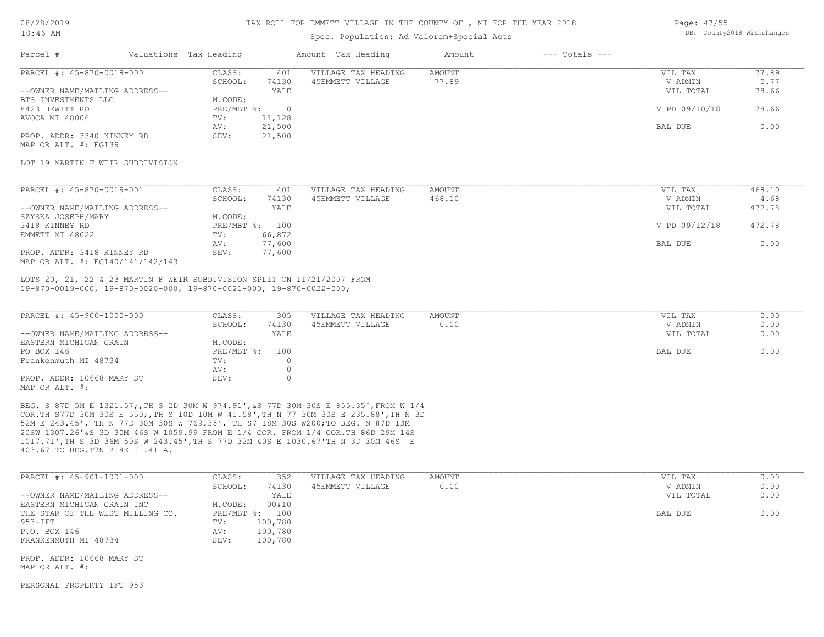### Spec. Population: Ad Valorem+Special Acts

| Page: 47/55 |                            |
|-------------|----------------------------|
|             | DB: County2018 Withchanges |

| Parcel #                       | Valuations Tax Heading |          | Amount Tax Heading  | Amount | $---$ Totals $---$ |               |       |
|--------------------------------|------------------------|----------|---------------------|--------|--------------------|---------------|-------|
| PARCEL #: 45-870-0018-000      | CLASS:                 | 401      | VILLAGE TAX HEADING | AMOUNT |                    | VIL TAX       | 77.89 |
|                                | SCHOOL:                | 74130    | 45EMMETT VILLAGE    | 77.89  |                    | V ADMIN       | 0.77  |
| --OWNER NAME/MAILING ADDRESS-- |                        | YALE     |                     |        |                    | VIL TOTAL     | 78.66 |
| BTS INVESTMENTS LLC            | M.CODE:                |          |                     |        |                    |               |       |
| 8423 HEWITT RD                 | $PRE/MBT$ %:           | $\Omega$ |                     |        |                    | V PD 09/10/18 | 78.66 |
| AVOCA MI 48006                 | TV:                    | 11,128   |                     |        |                    |               |       |
|                                | AV:                    | 21,500   |                     |        |                    | BAL DUE       | 0.00  |
| PROP. ADDR: 3340 KINNEY RD     | SEV:                   | 21,500   |                     |        |                    |               |       |
| MAP OR ALT. #: EG139           |                        |          |                     |        |                    |               |       |

LOT 19 MARTIN F WEIR SUBDIVISION

| PARCEL #: 45-870-0019-001        | CLASS:  | 401            | VILLAGE TAX HEADING | AMOUNT | VIL TAX       | 468.10 |
|----------------------------------|---------|----------------|---------------------|--------|---------------|--------|
|                                  | SCHOOL: | 74130          | 45EMMETT VILLAGE    | 468.10 | V ADMIN       | 4.68   |
| --OWNER NAME/MAILING ADDRESS--   |         | YALE           |                     |        | VIL TOTAL     | 472.78 |
| SZYSKA JOSEPH/MARY               | M.CODE: |                |                     |        |               |        |
| 3418 KINNEY RD                   |         | PRE/MBT %: 100 |                     |        | V PD 09/12/18 | 472.78 |
| EMMETT MI 48022                  | TV:     | 66,872         |                     |        |               |        |
|                                  | AV:     | 77,600         |                     |        | BAL DUE       | 0.00   |
| PROP. ADDR: 3418 KINNEY RD       | SEV:    | 77,600         |                     |        |               |        |
| MAP OR ALT. #: EG140/141/142/143 |         |                |                     |        |               |        |

19-870-0019-000, 19-870-0020-000, 19-870-0021-000, 19-870-0022-000; LOTS 20, 21, 22 & 23 MARTIN F WEIR SUBDIVISION SPLIT ON 11/21/2007 FROM

| PARCEL #: 45-900-1000-000      | CLASS:         | 305   | VILLAGE TAX HEADING | AMOUNT | VIL TAX   | 0.00 |
|--------------------------------|----------------|-------|---------------------|--------|-----------|------|
|                                | SCHOOL:        | 74130 | 45EMMETT VILLAGE    | 0.00   | V ADMIN   | 0.00 |
| --OWNER NAME/MAILING ADDRESS-- |                | YALE  |                     |        | VIL TOTAL | 0.00 |
| EASTERN MICHIGAN GRAIN         | M.CODE:        |       |                     |        |           |      |
| PO BOX 146                     | PRE/MBT %: 100 |       |                     |        | BAL DUE   | 0.00 |
| Frankenmuth MI 48734           | TV:            |       |                     |        |           |      |
|                                | AV:            |       |                     |        |           |      |
| PROP. ADDR: 10668 MARY ST      | SEV:           |       |                     |        |           |      |
| MAP OR ALT. #:                 |                |       |                     |        |           |      |

403.67 TO BEG.T7N R14E 11.41 A. 1017.71',TH S 3D 36M 50S W 243.45',TH S 77D 32M 40S E 1030.67'TH N 3D 30M 46S E 20SW 1307.26'&S 3D 30M 46S W 1059.99 FROM E 1/4 COR. FROM 1/4 COR.TH 86D 29M 14S 52M E 243.45', TH N 77D 30M 30S W 769.35', TH S7 18M 30S W200;TO BEG. N 87D 13M COR.TH S77D 30M 30S E 550;,TH S 10D 10M W 41.58',TH N 77 30M 30S E 235.88',TH N 3D BEG. S 87D 5M E 1321.57;,TH S 2D 30M W 974.91',&S 77D 30M 30S E 855.35',FROM W 1/4

| PARCEL #: 45-901-1001-000                   | CLASS:<br>352    | VILLAGE TAX HEADING | AMOUNT | VIL TAX   | 0.00 |
|---------------------------------------------|------------------|---------------------|--------|-----------|------|
|                                             | 74130<br>SCHOOL: | 45EMMETT VILLAGE    | 0.00   | V ADMIN   | 0.00 |
| --OWNER NAME/MAILING ADDRESS--              | YALE             |                     |        | VIL TOTAL | 0.00 |
| EASTERN MICHIGAN GRAIN INC                  | 00#10<br>M.CODE: |                     |        |           |      |
| THE STAR OF THE WEST MILLING CO.            | PRE/MBT %: 100   |                     |        | BAL DUE   | 0.00 |
| 953-IFT                                     | 100,780<br>TV:   |                     |        |           |      |
| P.O. BOX 146                                | 100,780<br>AV:   |                     |        |           |      |
| FRANKENMUTH MI 48734                        | 100,780<br>SEV:  |                     |        |           |      |
| PROP. ADDR: 10668 MARY ST<br>MAP OR ALT. #: |                  |                     |        |           |      |

PERSONAL PROPERTY IFT 953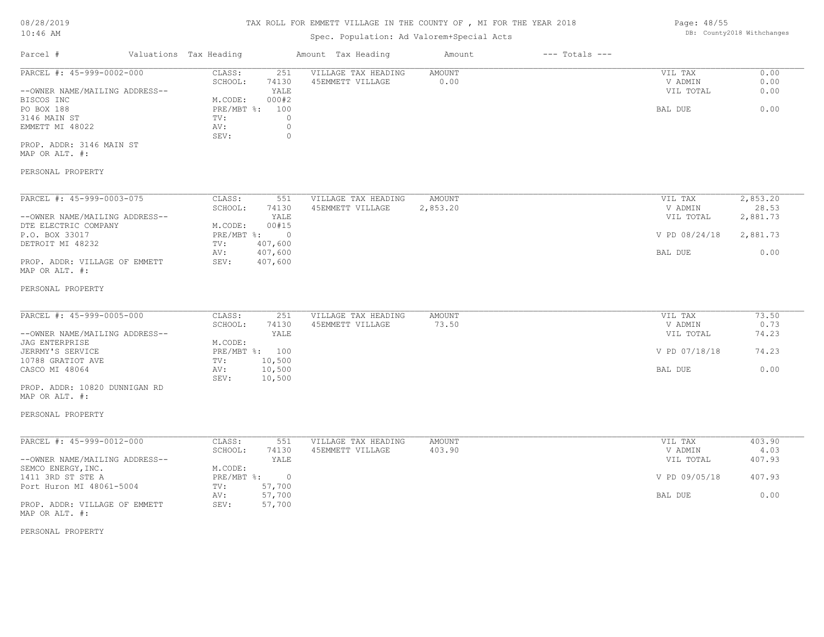## Spec. Population: Ad Valorem+Special Acts

| Parcel #                       | Valuations Tax Heading |       | Amount Tax Heading  | Amount | $---$ Totals $---$ |           |      |
|--------------------------------|------------------------|-------|---------------------|--------|--------------------|-----------|------|
| PARCEL #: 45-999-0002-000      | CLASS:                 | 251   | VILLAGE TAX HEADING | AMOUNT |                    | VIL TAX   | 0.00 |
|                                | SCHOOL:                | 74130 | 45EMMETT VILLAGE    | 0.00   |                    | V ADMIN   | 0.00 |
| --OWNER NAME/MAILING ADDRESS-- |                        | YALE  |                     |        |                    | VIL TOTAL | 0.00 |
| BISCOS INC                     | M.CODE:                | 000#2 |                     |        |                    |           |      |
| PO BOX 188                     | PRE/MBT %: 100         |       |                     |        |                    | BAL DUE   | 0.00 |
| 3146 MAIN ST                   | TV:                    |       |                     |        |                    |           |      |
| EMMETT MI 48022                | AV:                    |       |                     |        |                    |           |      |
|                                | SEV:                   |       |                     |        |                    |           |      |
|                                |                        |       |                     |        |                    |           |      |

MAP OR ALT. #: PROP. ADDR: 3146 MAIN ST

### PERSONAL PROPERTY

| PARCEL #: 45-999-0003-075      | CLASS:     | 551        | VILLAGE TAX HEADING | AMOUNT   | VIL TAX       | 2,853.20 |
|--------------------------------|------------|------------|---------------------|----------|---------------|----------|
|                                | SCHOOL:    | 74130      | 45EMMETT VILLAGE    | 2,853.20 | V ADMIN       | 28.53    |
| --OWNER NAME/MAILING ADDRESS-- |            | YALE       |                     |          | VIL TOTAL     | 2,881.73 |
| DTE ELECTRIC COMPANY           | M.CODE:    | 00#15      |                     |          |               |          |
| P.O. BOX 33017                 | PRE/MBT %: | $\bigcirc$ |                     |          | V PD 08/24/18 | 2,881.73 |
| DETROIT MI 48232               | TV:        | 407,600    |                     |          |               |          |
|                                | AV:        | 407,600    |                     |          | BAL DUE       | 0.00     |
| PROP. ADDR: VILLAGE OF EMMETT  | SEV:       | 407,600    |                     |          |               |          |
| MAP OR ALT. #:                 |            |            |                     |          |               |          |

#### PERSONAL PROPERTY

| PARCEL #: 45-999-0005-000      | CLASS:         | 251    | VILLAGE TAX HEADING | AMOUNT | VIL TAX       | 73.50 |
|--------------------------------|----------------|--------|---------------------|--------|---------------|-------|
|                                | SCHOOL:        | 74130  | 45EMMETT VILLAGE    | 73.50  | V ADMIN       | 0.73  |
| --OWNER NAME/MAILING ADDRESS-- |                | YALE   |                     |        | VIL TOTAL     | 74.23 |
| JAG ENTERPRISE                 | M.CODE:        |        |                     |        |               |       |
| JERRMY'S SERVICE               | PRE/MBT %: 100 |        |                     |        | V PD 07/18/18 | 74.23 |
| 10788 GRATIOT AVE              | TV:            | 10,500 |                     |        |               |       |
| CASCO MI 48064                 | AV:            | 10,500 |                     |        | BAL DUE       | 0.00  |
|                                | SEV:           | 10,500 |                     |        |               |       |

MAP OR ALT. #: PROP. ADDR: 10820 DUNNIGAN RD

### PERSONAL PROPERTY

| PARCEL #: 45-999-0012-000      | CLASS:     | 551    | VILLAGE TAX HEADING | AMOUNT | VIL TAX       | 403.90 |
|--------------------------------|------------|--------|---------------------|--------|---------------|--------|
|                                | SCHOOL:    | 74130  | 45EMMETT VILLAGE    | 403.90 | V ADMIN       | 4.03   |
| --OWNER NAME/MAILING ADDRESS-- |            | YALE   |                     |        | VIL TOTAL     | 407.93 |
| SEMCO ENERGY, INC.             | M.CODE:    |        |                     |        |               |        |
| 1411 3RD ST STE A              | PRE/MBT %: |        |                     |        | V PD 09/05/18 | 407.93 |
| Port Huron MI 48061-5004       | TV:        | 57,700 |                     |        |               |        |
|                                | AV:        | 57,700 |                     |        | BAL DUE       | 0.00   |
| PROP. ADDR: VILLAGE OF EMMETT  | SEV:       | 57,700 |                     |        |               |        |
| MAP OR ALT. #:                 |            |        |                     |        |               |        |

PERSONAL PROPERTY

Page: 48/55 DB: County2018 Withchanges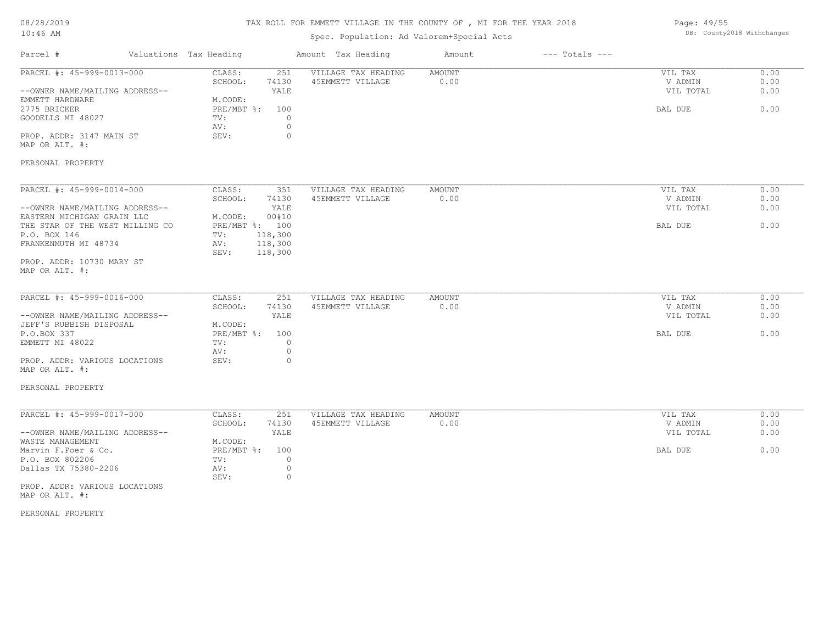| 08/28/2019 |  |
|------------|--|
| $10:46$ AM |  |

## Spec. Population: Ad Valorem+Special Acts

| Page: 49/55 |                            |
|-------------|----------------------------|
|             | DB: County2018 Withchanges |

| Parcel #                                                                                       | Valuations Tax Heading                                                    | Amount Tax Heading                      | Amount                | $---$ Totals $---$ |                                            |                              |
|------------------------------------------------------------------------------------------------|---------------------------------------------------------------------------|-----------------------------------------|-----------------------|--------------------|--------------------------------------------|------------------------------|
| PARCEL #: 45-999-0013-000<br>--OWNER NAME/MAILING ADDRESS--<br>EMMETT HARDWARE<br>2775 BRICKER | CLASS:<br>251<br>SCHOOL:<br>74130<br>YALE<br>M.CODE:<br>100<br>PRE/MBT %: | VILLAGE TAX HEADING<br>45EMMETT VILLAGE | <b>AMOUNT</b><br>0.00 |                    | VIL TAX<br>V ADMIN<br>VIL TOTAL<br>BAL DUE | 0.00<br>0.00<br>0.00<br>0.00 |
| GOODELLS MI 48027<br>PROP. ADDR: 3147 MAIN ST                                                  | TV:<br>AV:<br>SEV:                                                        | $\circ$<br>$\circ$<br>$\circ$           |                       |                    |                                            |                              |
| MAP OR ALT. #:                                                                                 |                                                                           |                                         |                       |                    |                                            |                              |
| PERSONAL PROPERTY                                                                              |                                                                           |                                         |                       |                    |                                            |                              |
| PARCEL #: 45-999-0014-000                                                                      | CLASS:<br>351                                                             | VILLAGE TAX HEADING                     | AMOUNT                |                    | VIL TAX                                    | 0.00                         |
|                                                                                                | SCHOOL:<br>74130                                                          | 45EMMETT VILLAGE                        | 0.00                  |                    | V ADMIN                                    | 0.00                         |
| --OWNER NAME/MAILING ADDRESS--<br>EASTERN MICHIGAN GRAIN LLC                                   | YALE<br>M.CODE:<br>00#10                                                  |                                         |                       |                    | VIL TOTAL                                  | 0.00                         |
| THE STAR OF THE WEST MILLING CO<br>P.O. BOX 146                                                | PRE/MBT %: 100<br>118,300<br>TV:                                          |                                         |                       |                    | BAL DUE                                    | 0.00                         |
| FRANKENMUTH MI 48734                                                                           | 118,300<br>AV:<br>SEV:<br>118,300                                         |                                         |                       |                    |                                            |                              |
| PROP. ADDR: 10730 MARY ST<br>MAP OR ALT. #:                                                    |                                                                           |                                         |                       |                    |                                            |                              |
|                                                                                                |                                                                           |                                         |                       |                    |                                            |                              |
| PARCEL #: 45-999-0016-000                                                                      | CLASS:<br>251                                                             | VILLAGE TAX HEADING                     | <b>AMOUNT</b>         |                    | VIL TAX                                    | 0.00                         |
| --OWNER NAME/MAILING ADDRESS--                                                                 | SCHOOL:<br>74130<br>YALE                                                  | 45EMMETT VILLAGE                        | 0.00                  |                    | V ADMIN<br>VIL TOTAL                       | 0.00<br>0.00                 |
| JEFF'S RUBBISH DISPOSAL                                                                        | M.CODE:                                                                   |                                         |                       |                    |                                            |                              |
| P.O.BOX 337                                                                                    | PRE/MBT %:<br>100                                                         |                                         |                       |                    | BAL DUE                                    | 0.00                         |
| EMMETT MI 48022                                                                                | TV:                                                                       | $\circ$<br>$\circ$                      |                       |                    |                                            |                              |
| PROP. ADDR: VARIOUS LOCATIONS                                                                  | AV:<br>SEV:                                                               | $\circ$                                 |                       |                    |                                            |                              |
| MAP OR ALT. #:                                                                                 |                                                                           |                                         |                       |                    |                                            |                              |
| PERSONAL PROPERTY                                                                              |                                                                           |                                         |                       |                    |                                            |                              |
|                                                                                                |                                                                           |                                         |                       |                    |                                            |                              |
| PARCEL #: 45-999-0017-000                                                                      | CLASS:<br>251<br>SCHOOL:<br>74130                                         | VILLAGE TAX HEADING<br>45EMMETT VILLAGE | AMOUNT<br>0.00        |                    | VIL TAX<br>V ADMIN                         | 0.00<br>0.00                 |
| --OWNER NAME/MAILING ADDRESS--                                                                 | YALE                                                                      |                                         |                       |                    | VIL TOTAL                                  | 0.00                         |
| WASTE MANAGEMENT                                                                               | M.CODE:                                                                   |                                         |                       |                    |                                            |                              |
| Marvin F. Poer & Co.                                                                           | PRE/MBT %:<br>100                                                         |                                         |                       |                    | BAL DUE                                    | 0.00                         |
| P.O. BOX 802206                                                                                | TV:                                                                       | $\circ$                                 |                       |                    |                                            |                              |
| Dallas TX 75380-2206                                                                           | AV:<br>SEV:                                                               | $\circ$                                 |                       |                    |                                            |                              |
| PROP. ADDR: VARIOUS LOCATIONS                                                                  |                                                                           | $\circ$                                 |                       |                    |                                            |                              |
| MAP OR ALT. #:                                                                                 |                                                                           |                                         |                       |                    |                                            |                              |

PERSONAL PROPERTY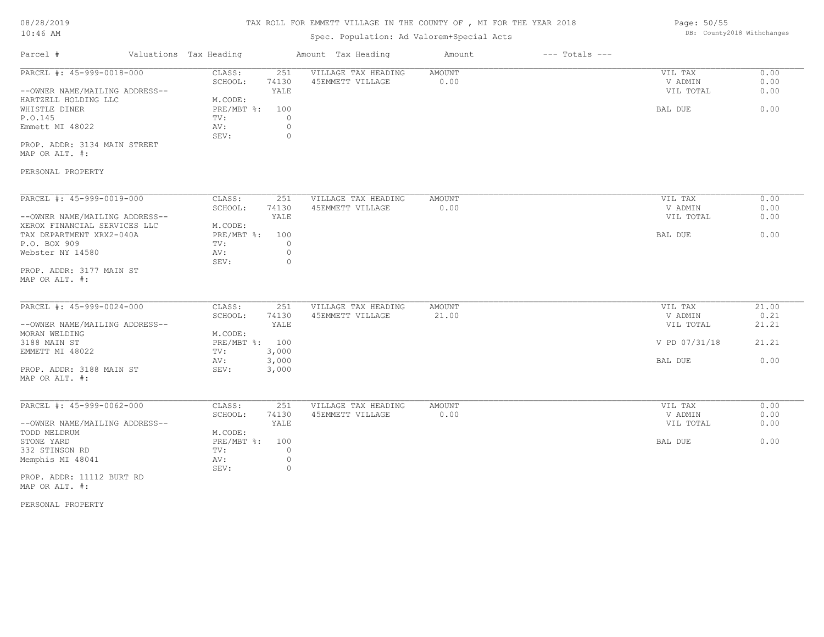## Spec. Population: Ad Valorem+Special Acts

| Parcel #                       | Valuations Tax Heading |       | Amount Tax Heading  | Amount | $---$ Totals $---$ |           |      |
|--------------------------------|------------------------|-------|---------------------|--------|--------------------|-----------|------|
| PARCEL #: 45-999-0018-000      | CLASS:                 | 251   | VILLAGE TAX HEADING | AMOUNT |                    | VIL TAX   | 0.00 |
|                                | SCHOOL:                | 74130 | 45EMMETT VILLAGE    | 0.00   |                    | V ADMIN   | 0.00 |
| --OWNER NAME/MAILING ADDRESS-- |                        | YALE  |                     |        |                    | VIL TOTAL | 0.00 |
| HARTZELL HOLDING LLC           | M.CODE:                |       |                     |        |                    |           |      |
| WHISTLE DINER                  | $PRE/MBT$ %:           | 100   |                     |        |                    | BAL DUE   | 0.00 |
| P.O.145                        | TV:                    |       |                     |        |                    |           |      |
| Emmett MI 48022                | AV:                    |       |                     |        |                    |           |      |
|                                | SEV:                   |       |                     |        |                    |           |      |
|                                |                        |       |                     |        |                    |           |      |

MAP OR ALT. #: PROP. ADDR: 3134 MAIN STREET

## PERSONAL PROPERTY

| PARCEL #: 45-999-0019-000      | CLASS:     | 251   | VILLAGE TAX HEADING | AMOUNT | 0.00<br>VIL TAX   |  |
|--------------------------------|------------|-------|---------------------|--------|-------------------|--|
|                                | SCHOOL:    | 74130 | 45EMMETT VILLAGE    | 0.00   | 0.00<br>V ADMIN   |  |
| --OWNER NAME/MAILING ADDRESS-- |            | YALE  |                     |        | 0.00<br>VIL TOTAL |  |
| XEROX FINANCIAL SERVICES LLC   | M.CODE:    |       |                     |        |                   |  |
| TAX DEPARTMENT XRX2-040A       | PRE/MBT %: | 100   |                     |        | 0.00<br>BAL DUE   |  |
| P.O. BOX 909                   | TV:        |       |                     |        |                   |  |
| Webster NY 14580               | AV:        |       |                     |        |                   |  |
|                                | SEV:       |       |                     |        |                   |  |
| PROP. ADDR: 3177 MAIN ST       |            |       |                     |        |                   |  |

MAP OR ALT. #:

| PARCEL #: 45-999-0024-000      | CLASS:  | 251            | VILLAGE TAX HEADING | AMOUNT | VIL TAX       | 21.00 |
|--------------------------------|---------|----------------|---------------------|--------|---------------|-------|
|                                | SCHOOL: | 74130          | 45EMMETT VILLAGE    | 21.00  | V ADMIN       | 0.21  |
| --OWNER NAME/MAILING ADDRESS-- |         | YALE           |                     |        | VIL TOTAL     | 21.21 |
| MORAN WELDING                  | M.CODE: |                |                     |        |               |       |
| 3188 MAIN ST                   |         | PRE/MBT %: 100 |                     |        | V PD 07/31/18 | 21.21 |
| EMMETT MI 48022                | TV:     | 3,000          |                     |        |               |       |
|                                | AV:     | 3,000          |                     |        | BAL DUE       | 0.00  |
| PROP. ADDR: 3188 MAIN ST       | SEV:    | 3,000          |                     |        |               |       |
| MAP OR ALT. #:                 |         |                |                     |        |               |       |

| PARCEL #: 45-999-0062-000      | CLASS:       | 251   | VILLAGE TAX HEADING | AMOUNT | VIL TAX   | 0.00 |
|--------------------------------|--------------|-------|---------------------|--------|-----------|------|
|                                | SCHOOL:      | 74130 | 45EMMETT VILLAGE    | 0.00   | V ADMIN   | 0.00 |
| --OWNER NAME/MAILING ADDRESS-- |              | YALE  |                     |        | VIL TOTAL | 0.00 |
| TODD MELDRUM                   | M.CODE:      |       |                     |        |           |      |
| STONE YARD                     | $PRE/MBT$ %: | 100   |                     |        | BAL DUE   | 0.00 |
| 332 STINSON RD                 | TV:          |       |                     |        |           |      |
| Memphis MI 48041               | AV:          |       |                     |        |           |      |
|                                | SEV:         |       |                     |        |           |      |
|                                |              |       |                     |        |           |      |

MAP OR ALT. #: PROP. ADDR: 11112 BURT RD

PERSONAL PROPERTY

Page: 50/55 DB: County2018 Withchanges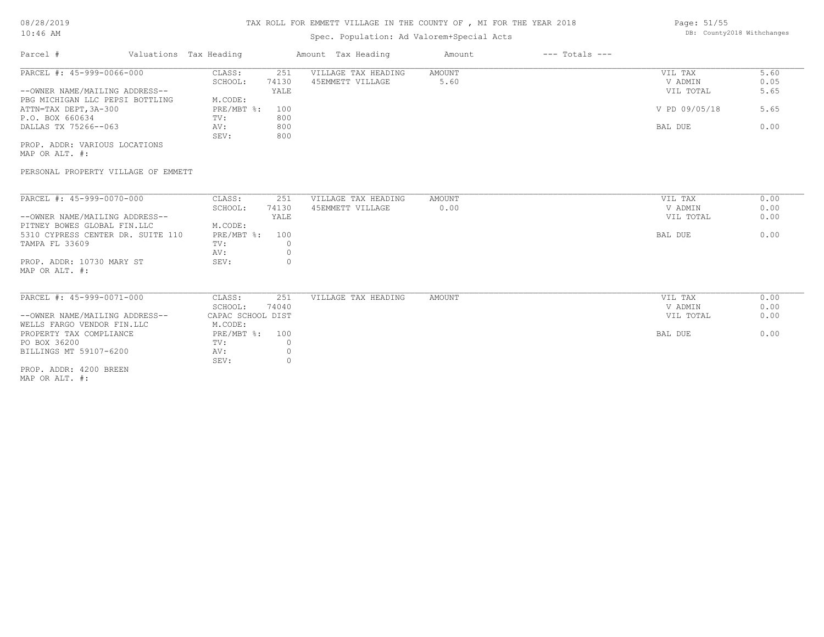## Spec. Population: Ad Valorem+Special Acts

| Page: 51/55 |                            |
|-------------|----------------------------|
|             | DB: County2018 Withchanges |

| Parcel #                        | Valuations Tax Heading |       | Amount Tax Heading  | Amount | $---$ Totals $---$ |               |      |
|---------------------------------|------------------------|-------|---------------------|--------|--------------------|---------------|------|
| PARCEL #: 45-999-0066-000       | CLASS:                 | 251   | VILLAGE TAX HEADING | AMOUNT |                    | VIL TAX       | 5.60 |
|                                 | SCHOOL:                | 74130 | 45EMMETT VILLAGE    | 5.60   |                    | V ADMIN       | 0.05 |
| --OWNER NAME/MAILING ADDRESS--  |                        | YALE  |                     |        |                    | VIL TOTAL     | 5.65 |
| PBG MICHIGAN LLC PEPSI BOTTLING | M.CODE:                |       |                     |        |                    |               |      |
| ATTN=TAX DEPT, 3A-300           | $PRE/MBT$ %:           | 100   |                     |        |                    | V PD 09/05/18 | 5.65 |
| P.O. BOX 660634                 | TV:                    | 800   |                     |        |                    |               |      |
| DALLAS TX 75266--063            | AV:                    | 800   |                     |        |                    | BAL DUE       | 0.00 |
|                                 | SEV:                   | 800   |                     |        |                    |               |      |
| PROP. ADDR: VARIOUS LOCATIONS   |                        |       |                     |        |                    |               |      |

MAP OR ALT. #:

### PERSONAL PROPERTY VILLAGE OF EMMETT

| PARCEL #: 45-999-0070-000         | CLASS:       | 251   | VILLAGE TAX HEADING | AMOUNT | 0.00<br>VIL TAX   |
|-----------------------------------|--------------|-------|---------------------|--------|-------------------|
|                                   | SCHOOL:      | 74130 | 45EMMETT VILLAGE    | 0.00   | 0.00<br>V ADMIN   |
| --OWNER NAME/MAILING ADDRESS--    |              | YALE  |                     |        | 0.00<br>VIL TOTAL |
| PITNEY BOWES GLOBAL FIN.LLC       | M.CODE:      |       |                     |        |                   |
| 5310 CYPRESS CENTER DR. SUITE 110 | $PRE/MBT$ %: | 100   |                     |        | 0.00<br>BAL DUE   |
| TAMPA FL 33609                    | TV:          |       |                     |        |                   |
|                                   | AV:          |       |                     |        |                   |
| PROP. ADDR: 10730 MARY ST         | SEV:         |       |                     |        |                   |
| MAP OR ALT. #:                    |              |       |                     |        |                   |

| PARCEL #: 45-999-0071-000      | CLASS:            | 251   | VILLAGE TAX HEADING | AMOUNT | VIL TAX |           | 0.00 |
|--------------------------------|-------------------|-------|---------------------|--------|---------|-----------|------|
|                                | SCHOOL:           | 74040 |                     |        | V ADMIN |           | 0.00 |
| --OWNER NAME/MAILING ADDRESS-- | CAPAC SCHOOL DIST |       |                     |        |         | VIL TOTAL | 0.00 |
| WELLS FARGO VENDOR FIN.LLC     | M.CODE:           |       |                     |        |         |           |      |
| PROPERTY TAX COMPLIANCE        | PRE/MBT %: 100    |       |                     |        | BAL DUE |           | 0.00 |
| PO BOX 36200                   | TV:               |       |                     |        |         |           |      |
| BILLINGS MT 59107-6200         | AV:               |       |                     |        |         |           |      |
|                                | SEV:              |       |                     |        |         |           |      |
| PROP. ADDR: 4200 BREEN         |                   |       |                     |        |         |           |      |

MAP OR ALT. #: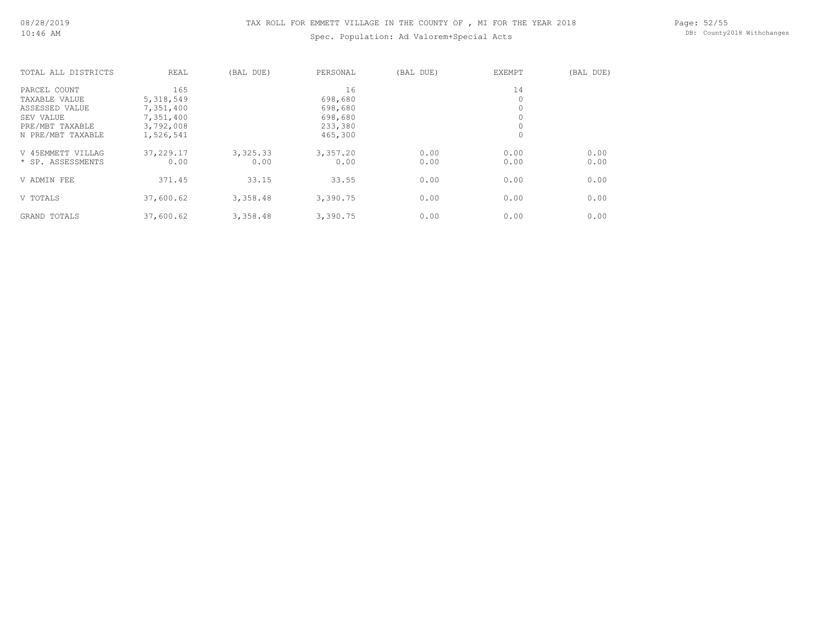## Spec. Population: Ad Valorem+Special Acts

Page: 52/55 DB: County2018 Withchanges

| TOTAL ALL DISTRICTS | REAL      | (BAL DUE) | PERSONAL | (BAL DUE) | <b>EXEMPT</b> | (BAL DUE) |
|---------------------|-----------|-----------|----------|-----------|---------------|-----------|
| PARCEL COUNT        | 165       |           | 16       |           | 14            |           |
| TAXABLE VALUE       | 5,318,549 |           | 698,680  |           | 0             |           |
| ASSESSED VALUE      | 7,351,400 |           | 698,680  |           | $\mathbf 0$   |           |
| SEV VALUE           | 7,351,400 |           | 698,680  |           | $\circ$       |           |
| PRE/MBT TAXABLE     | 3,792,008 |           | 233,380  |           | $\circ$       |           |
| N PRE/MBT TAXABLE   | 1,526,541 |           | 465,300  |           | 0             |           |
| V 45EMMETT VILLAG   | 37,229.17 | 3,325.33  | 3,357.20 | 0.00      | 0.00          | 0.00      |
| * SP. ASSESSMENTS   | 0.00      | 0.00      | 0.00     | 0.00      | 0.00          | 0.00      |
| V ADMIN FEE         | 371.45    | 33.15     | 33.55    | 0.00      | 0.00          | 0.00      |
| V TOTALS            | 37,600.62 | 3,358.48  | 3,390.75 | 0.00      | 0.00          | 0.00      |
| <b>GRAND TOTALS</b> | 37,600.62 | 3,358.48  | 3,390.75 | 0.00      | 0.00          | 0.00      |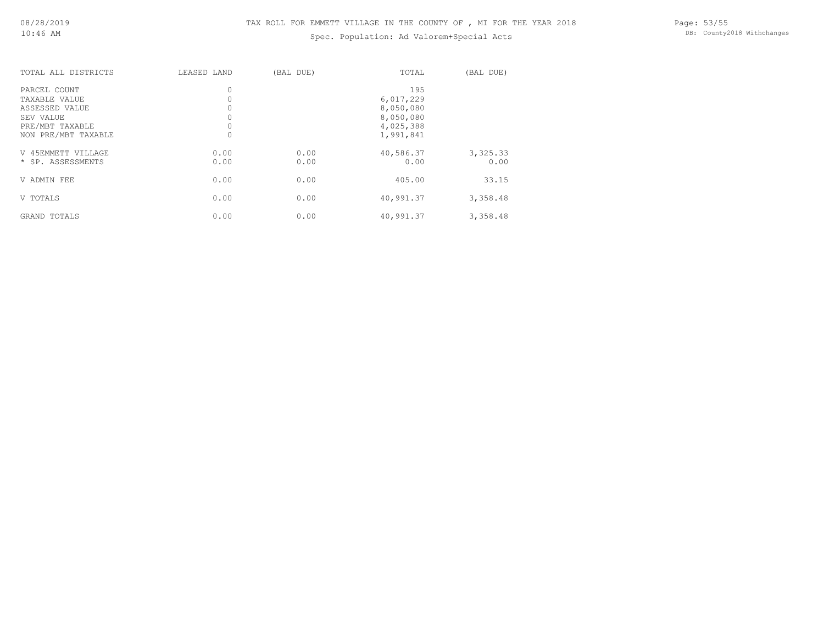## Spec. Population: Ad Valorem+Special Acts

| TOTAL ALL DISTRICTS | LEASED LAND | (BAL DUE) | TOTAL     | (BAL DUE) |
|---------------------|-------------|-----------|-----------|-----------|
| PARCEL COUNT        | 0           |           | 195       |           |
| TAXABLE VALUE       | 0           |           | 6,017,229 |           |
| ASSESSED VALUE      | 0           |           | 8,050,080 |           |
| SEV VALUE           | 0           |           | 8,050,080 |           |
| PRE/MBT TAXABLE     | 0           |           | 4,025,388 |           |
| NON PRE/MBT TAXABLE | 0           |           | 1,991,841 |           |
| V 45EMMETT VILLAGE  | 0.00        | 0.00      | 40,586.37 | 3,325.33  |
| * SP. ASSESSMENTS   | 0.00        | 0.00      | 0.00      | 0.00      |
| V ADMIN FEE         | 0.00        | 0.00      | 405.00    | 33.15     |
| V TOTALS            | 0.00        | 0.00      | 40,991.37 | 3,358.48  |
| GRAND TOTALS        | 0.00        | 0.00      | 40,991.37 | 3,358.48  |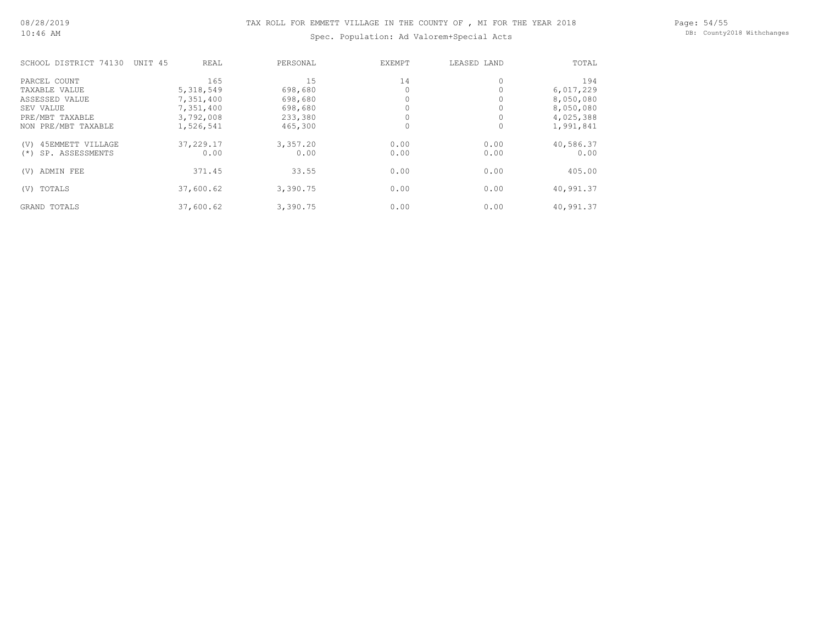Spec. Population: Ad Valorem+Special Acts

Page: 54/55 DB: County2018 Withchanges

| SCHOOL DISTRICT 74130    | UNIT 45 | REAL       | PERSONAL | EXEMPT | LEASED LAND | TOTAL     |
|--------------------------|---------|------------|----------|--------|-------------|-----------|
| PARCEL COUNT             |         | 165        | 15       | 14     |             | 194       |
| TAXABLE VALUE            |         | 5,318,549  | 698,680  |        |             | 6,017,229 |
| ASSESSED VALUE           |         | 7,351,400  | 698,680  |        |             | 8,050,080 |
| SEV VALUE                |         | 7,351,400  | 698,680  |        |             | 8,050,080 |
| PRE/MBT TAXABLE          |         | 3,792,008  | 233,380  |        |             | 4,025,388 |
| NON PRE/MBT TAXABLE      |         | 1,526,541  | 465,300  |        |             | 1,991,841 |
| 45EMMETT VILLAGE<br>(V)  |         | 37, 229.17 | 3,357.20 | 0.00   | 0.00        | 40,586.37 |
| SP. ASSESSMENTS<br>$(*)$ |         | 0.00       | 0.00     | 0.00   | 0.00        | 0.00      |
| ADMIN FEE<br>(V)         |         | 371.45     | 33.55    | 0.00   | 0.00        | 405.00    |
| TOTALS<br>(V)            |         | 37,600.62  | 3,390.75 | 0.00   | 0.00        | 40,991.37 |
| <b>GRAND TOTALS</b>      |         | 37,600.62  | 3,390.75 | 0.00   | 0.00        | 40,991.37 |